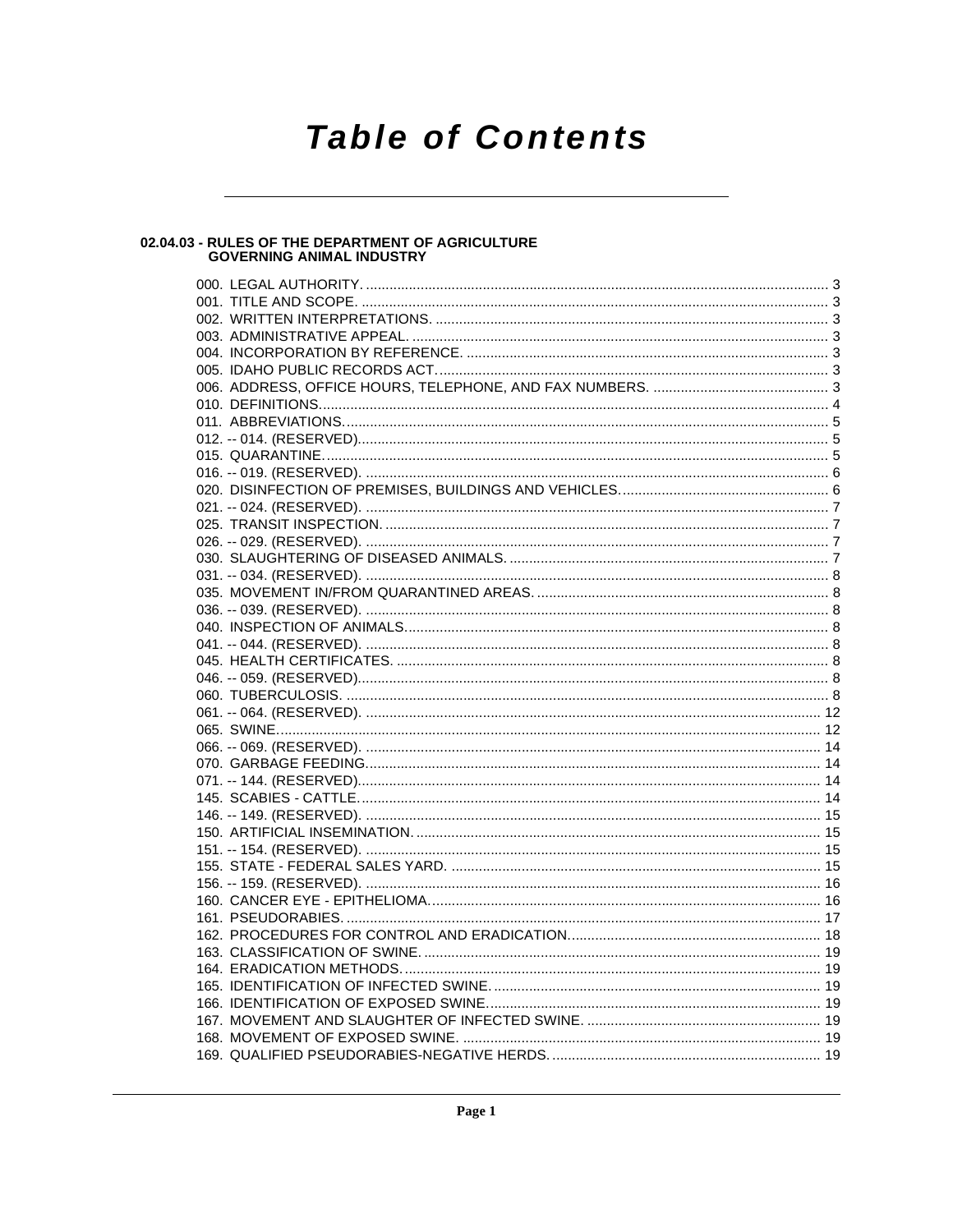# **Table of Contents**

# 02.04.03 - RULES OF THE DEPARTMENT OF AGRICULTURE<br>GOVERNING ANIMAL INDUSTRY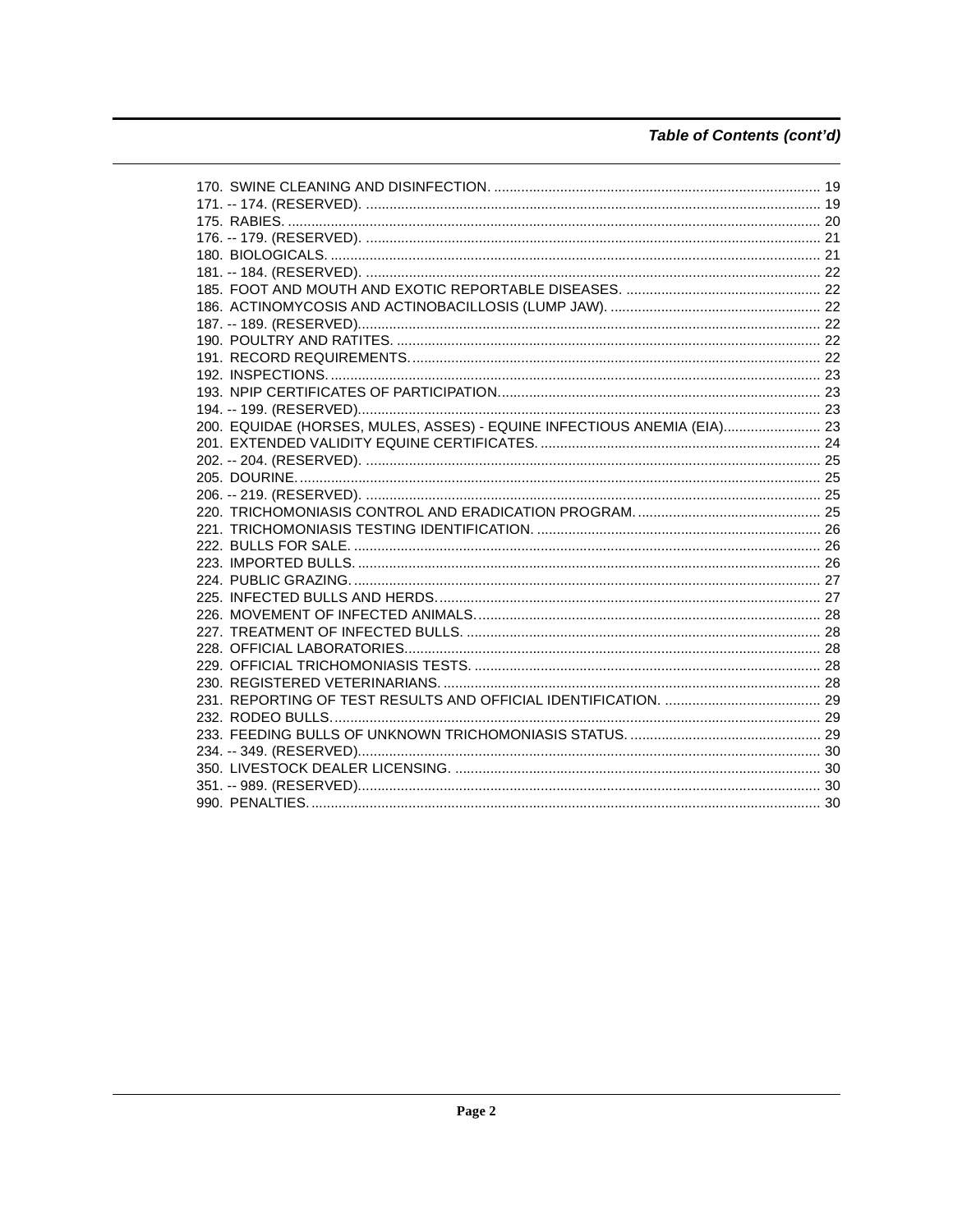# Table of Contents (cont'd)

| 200. EQUIDAE (HORSES, MULES, ASSES) - EQUINE INFECTIOUS ANEMIA (EIA) 23 |  |
|-------------------------------------------------------------------------|--|
|                                                                         |  |
|                                                                         |  |
|                                                                         |  |
|                                                                         |  |
|                                                                         |  |
|                                                                         |  |
|                                                                         |  |
|                                                                         |  |
|                                                                         |  |
|                                                                         |  |
|                                                                         |  |
|                                                                         |  |
|                                                                         |  |
|                                                                         |  |
|                                                                         |  |
|                                                                         |  |
|                                                                         |  |
|                                                                         |  |
|                                                                         |  |
|                                                                         |  |
|                                                                         |  |
|                                                                         |  |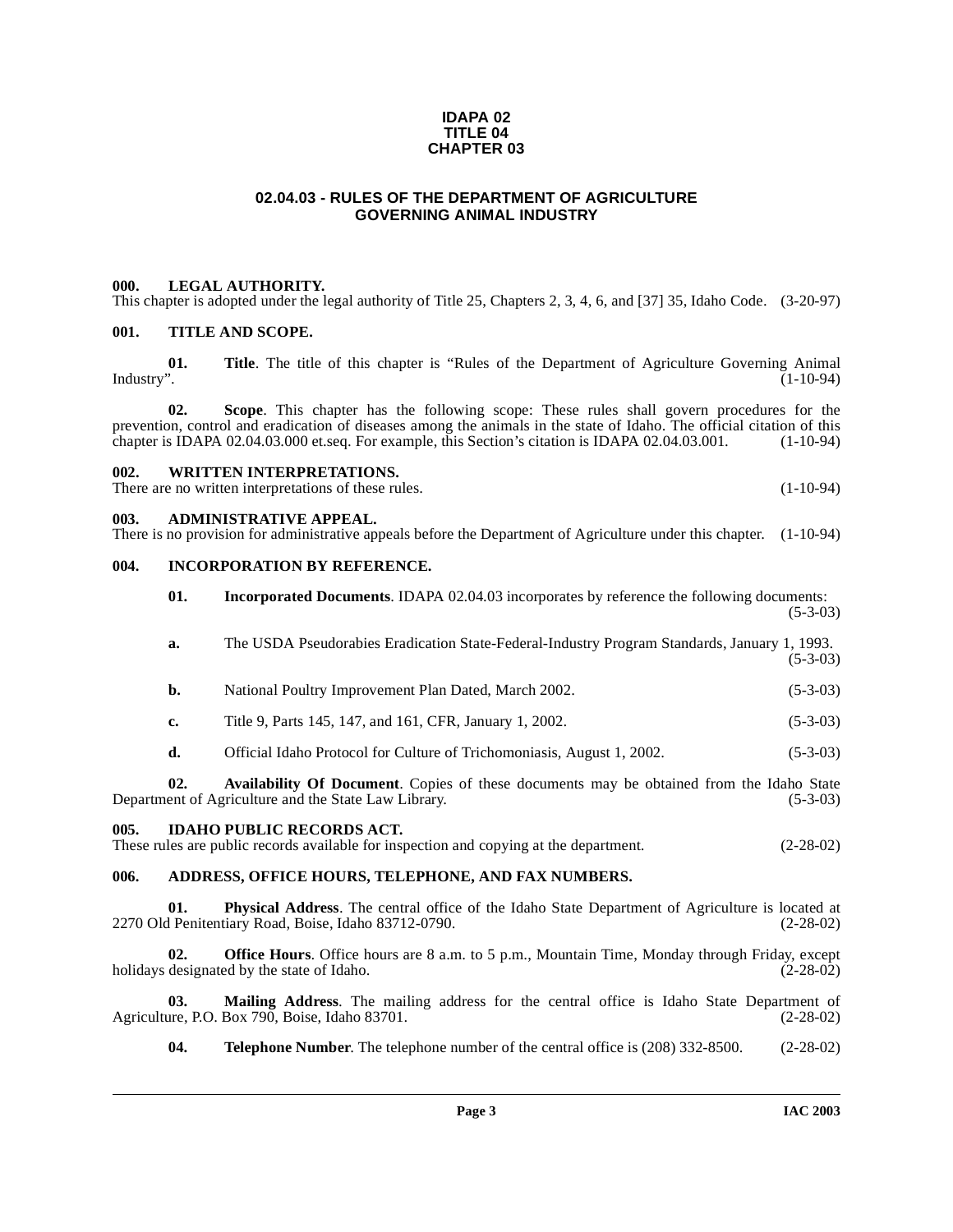#### **IDAPA 02 TITLE 04 CHAPTER 03**

# **02.04.03 - RULES OF THE DEPARTMENT OF AGRICULTURE GOVERNING ANIMAL INDUSTRY**

#### <span id="page-2-1"></span><span id="page-2-0"></span>**000. LEGAL AUTHORITY.**

This chapter is adopted under the legal authority of Title 25, Chapters 2, 3, 4, 6, and [37] 35, Idaho Code. (3-20-97)

#### <span id="page-2-2"></span>**001. TITLE AND SCOPE.**

**01.** Title. The title of this chapter is "Rules of the Department of Agriculture Governing Animal Industry". (1-10-94) Industry". (1-10-94)

**02. Scope**. This chapter has the following scope: These rules shall govern procedures for the prevention, control and eradication of diseases among the animals in the state of Idaho. The official citation of this chapter is IDAPA 02.04.03.000 et.seq. For example, this Section's citation is IDAPA 02.04.03.001. (1-10 chapter is IDAPA  $02.04.03.000$  et.seq. For example, this Section's citation is IDAPA  $02.04.03.001$ .

#### <span id="page-2-3"></span>**002. WRITTEN INTERPRETATIONS.**

There are no written interpretations of these rules. (1-10-94)

#### <span id="page-2-4"></span>**003. ADMINISTRATIVE APPEAL.**

| There is no provision for administrative appeals before the Department of Agriculture under this chapter. (1-10-94) |  |  |  |  |  |  |  |
|---------------------------------------------------------------------------------------------------------------------|--|--|--|--|--|--|--|
|                                                                                                                     |  |  |  |  |  |  |  |

# <span id="page-2-5"></span>**004. INCORPORATION BY REFERENCE.**

|                                                            | 01. | <b>Incorporated Documents.</b> IDAPA 02.04.03 incorporates by reference the following documents:                                                               | $(5-3-03)$  |  |  |
|------------------------------------------------------------|-----|----------------------------------------------------------------------------------------------------------------------------------------------------------------|-------------|--|--|
|                                                            | a.  | The USDA Pseudorabies Eradication State-Federal-Industry Program Standards, January 1, 1993.                                                                   | $(5-3-03)$  |  |  |
|                                                            | b.  | National Poultry Improvement Plan Dated, March 2002.                                                                                                           | $(5-3-03)$  |  |  |
|                                                            | c.  | Title 9, Parts 145, 147, and 161, CFR, January 1, 2002.                                                                                                        | $(5-3-03)$  |  |  |
|                                                            | d.  | Official Idaho Protocol for Culture of Trichomoniasis, August 1, 2002.                                                                                         | $(5-3-03)$  |  |  |
|                                                            | 02. | Availability Of Document. Copies of these documents may be obtained from the Idaho State<br>Department of Agriculture and the State Law Library.               | $(5-3-03)$  |  |  |
| 005.                                                       |     | <b>IDAHO PUBLIC RECORDS ACT.</b><br>These rules are public records available for inspection and copying at the department.                                     | $(2-28-02)$ |  |  |
| ADDRESS, OFFICE HOURS, TELEPHONE, AND FAX NUMBERS.<br>006. |     |                                                                                                                                                                |             |  |  |
|                                                            | 01. | <b>Physical Address.</b> The central office of the Idaho State Department of Agriculture is located at<br>2270 Old Penitentiary Road, Boise, Idaho 83712-0790. | $(2-28-02)$ |  |  |

<span id="page-2-7"></span><span id="page-2-6"></span>**02. Office Hours**. Office hours are 8 a.m. to 5 p.m., Mountain Time, Monday through Friday, except designated by the state of Idaho. (2-28-02) holidays designated by the state of Idaho.

**03.** Mailing Address. The mailing address for the central office is Idaho State Department of are, P.O. Box 790, Boise, Idaho 83701. (2-28-02) Agriculture, P.O. Box 790, Boise, Idaho 83701.

**04. Telephone Number**. The telephone number of the central office is (208) 332-8500. (2-28-02)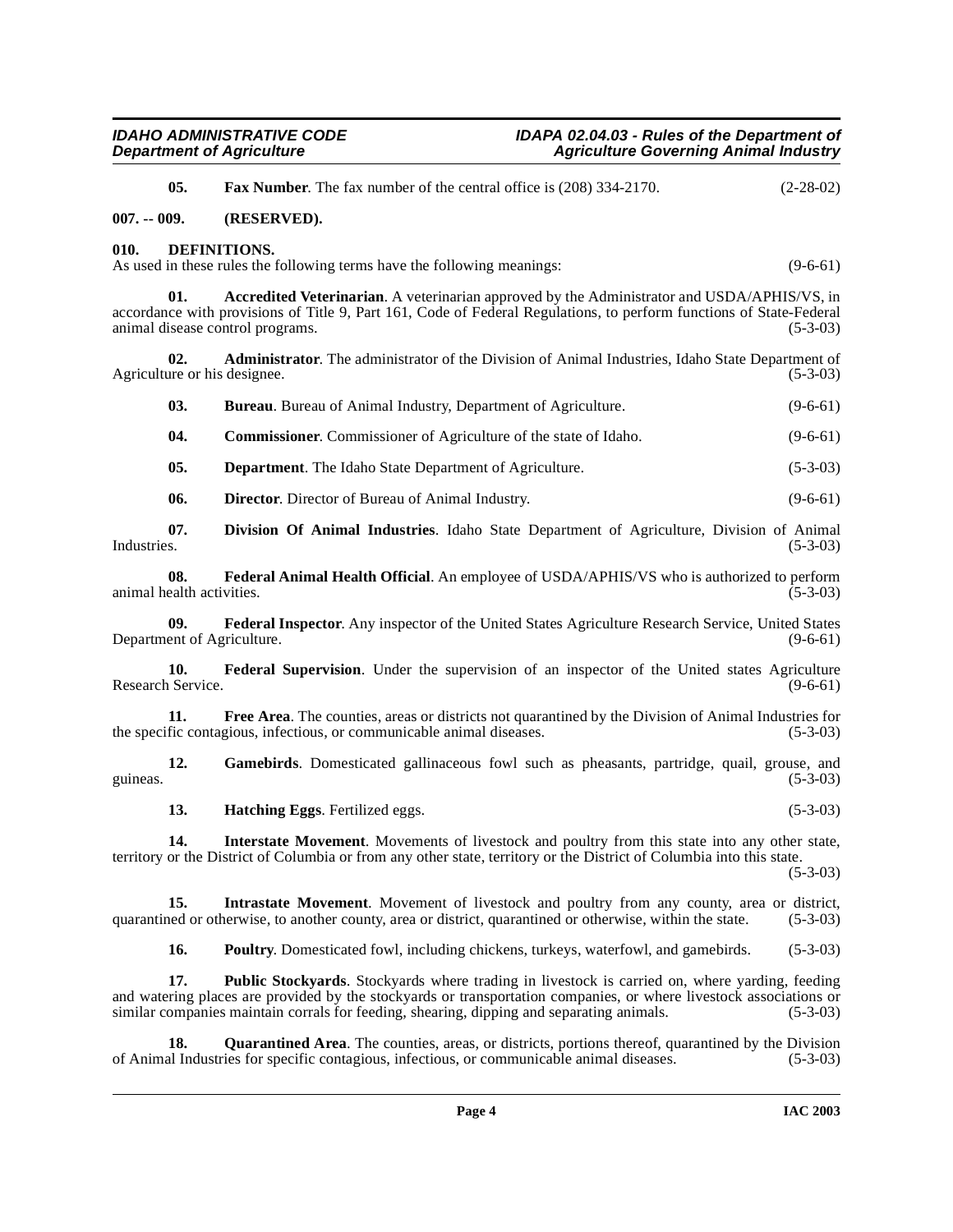<span id="page-3-1"></span><span id="page-3-0"></span>

|               | 05.                              | Fax Number. The fax number of the central office is (208) 334-2170.                                                                                                                                                                                    | $(2-28-02)$ |
|---------------|----------------------------------|--------------------------------------------------------------------------------------------------------------------------------------------------------------------------------------------------------------------------------------------------------|-------------|
| $007. - 009.$ |                                  | (RESERVED).                                                                                                                                                                                                                                            |             |
| 010.          |                                  | DEFINITIONS.<br>As used in these rules the following terms have the following meanings:                                                                                                                                                                | $(9-6-61)$  |
|               | 01.                              | Accredited Veterinarian. A veterinarian approved by the Administrator and USDA/APHIS/VS, in<br>accordance with provisions of Title 9, Part 161, Code of Federal Regulations, to perform functions of State-Federal<br>animal disease control programs. | $(5-3-03)$  |
|               | 02.                              | Administrator. The administrator of the Division of Animal Industries, Idaho State Department of<br>Agriculture or his designee.                                                                                                                       | $(5-3-03)$  |
|               | 03.                              | Bureau. Bureau of Animal Industry, Department of Agriculture.                                                                                                                                                                                          | $(9-6-61)$  |
|               | 04.                              | <b>Commissioner.</b> Commissioner of Agriculture of the state of Idaho.                                                                                                                                                                                | $(9-6-61)$  |
|               | 05.                              | <b>Department</b> . The Idaho State Department of Agriculture.                                                                                                                                                                                         | $(5-3-03)$  |
|               | 06.                              | Director. Director of Bureau of Animal Industry.                                                                                                                                                                                                       | $(9-6-61)$  |
| Industries.   | 07.                              | Division Of Animal Industries. Idaho State Department of Agriculture, Division of Animal                                                                                                                                                               | $(5-3-03)$  |
|               | 08.<br>animal health activities. | Federal Animal Health Official. An employee of USDA/APHIS/VS who is authorized to perform                                                                                                                                                              | $(5-3-03)$  |
|               | 09.                              | Federal Inspector. Any inspector of the United States Agriculture Research Service, United States<br>Department of Agriculture.                                                                                                                        | $(9-6-61)$  |
|               | 10.<br>Research Service.         | Federal Supervision. Under the supervision of an inspector of the United states Agriculture                                                                                                                                                            | $(9-6-61)$  |
|               | 11.                              | Free Area. The counties, areas or districts not quarantined by the Division of Animal Industries for<br>the specific contagious, infectious, or communicable animal diseases.                                                                          | $(5-3-03)$  |
| guineas.      | 12.                              | Gamebirds. Domesticated gallinaceous fowl such as pheasants, partridge, quail, grouse, and                                                                                                                                                             | $(5-3-03)$  |
|               | 13.                              | Hatching Eggs. Fertilized eggs.                                                                                                                                                                                                                        | $(5-3-03)$  |
|               | 14.                              | Interstate Movement. Movements of livestock and poultry from this state into any other state,<br>territory or the District of Columbia or from any other state, territory or the District of Columbia into this state.                                 | $(5-3-03)$  |
|               | 15.                              | Intrastate Movement. Movement of livestock and poultry from any county, area or district,<br>quarantined or otherwise, to another county, area or district, quarantined or otherwise, within the state.                                                | $(5-3-03)$  |
|               | 16.                              | Poultry. Domesticated fowl, including chickens, turkeys, waterfowl, and gamebirds.                                                                                                                                                                     | $(5-3-03)$  |
|               | 17.                              | Public Stockyards. Stockyards where trading in livestock is carried on, where yarding, feeding<br>and watering places are provided by the stockyards or transportation companies, or where livestock associations or                                   |             |

**18. Quarantined Area**. The counties, areas, or districts, portions thereof, quarantined by the Division al Industries for specific contagious, infectious, or communicable animal diseases. (5-3-03) of Animal Industries for specific contagious, infectious, or communicable animal diseases.

<span id="page-3-7"></span><span id="page-3-6"></span><span id="page-3-5"></span><span id="page-3-4"></span><span id="page-3-3"></span><span id="page-3-2"></span>similar companies maintain corrals for feeding, shearing, dipping and separating animals. (5-3-03)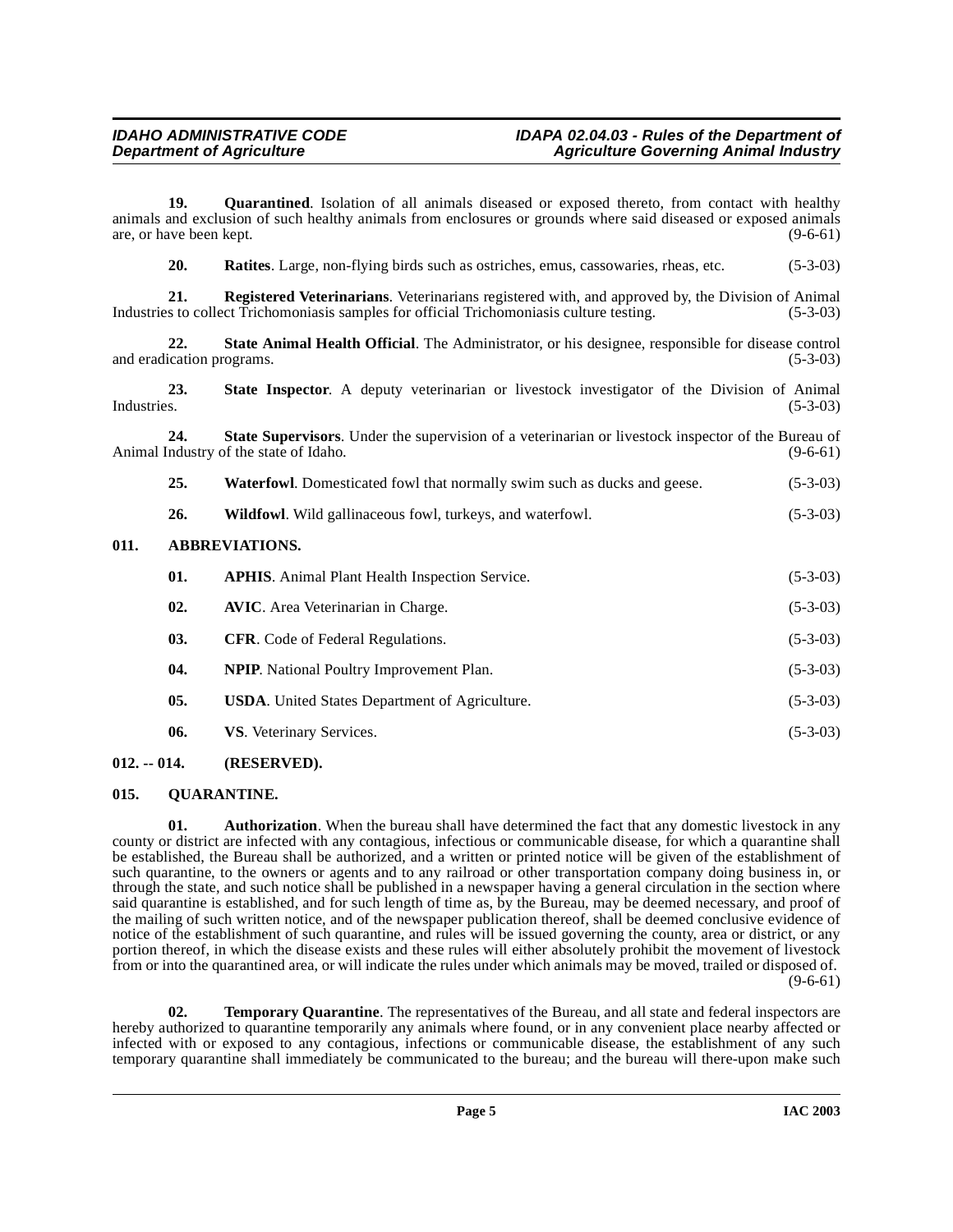19. Quarantined. Isolation of all animals diseased or exposed thereto, from contact with healthy animals and exclusion of such healthy animals from enclosures or grounds where said diseased or exposed animals are, or have been kept.  $(9-6-61)$ 

<span id="page-4-7"></span><span id="page-4-6"></span><span id="page-4-5"></span>**20. Ratites**. Large, non-flying birds such as ostriches, emus, cassowaries, rheas, etc. (5-3-03)

**21. Registered Veterinarians**. Veterinarians registered with, and approved by, the Division of Animal Industries to collect Trichomoniasis samples for official Trichomoniasis culture testing. (5-3-03)

**22. State Animal Health Official**. The Administrator, or his designee, responsible for disease control and eradication programs. (5-3-03)

<span id="page-4-8"></span>**23.** State Inspector. A deputy veterinarian or livestock investigator of the Division of Animal Industries. (5-3-03) Industries. (5-3-03)

**24.** State Supervisors. Under the supervision of a veterinarian or livestock inspector of the Bureau of ndustry of the state of Idaho. (9-6-61) Animal Industry of the state of Idaho.

- <span id="page-4-9"></span>**25.** Waterfowl. Domesticated fowl that normally swim such as ducks and geese. (5-3-03)
- **26.** Wildfowl. Wild gallinaceous fowl, turkeys, and waterfowl. (5-3-03)

#### <span id="page-4-0"></span>**011. ABBREVIATIONS.**

| 01. | <b>APHIS.</b> Animal Plant Health Inspection Service. | $(5-3-03)$ |
|-----|-------------------------------------------------------|------------|
| 02. | <b>AVIC.</b> Area Veterinarian in Charge.             | $(5-3-03)$ |
| 03. | <b>CFR.</b> Code of Federal Regulations.              | $(5-3-03)$ |
| 04. | <b>NPIP.</b> National Poultry Improvement Plan.       | $(5-3-03)$ |
| 05. | <b>USDA.</b> United States Department of Agriculture. | $(5-3-03)$ |
| 06. | VS. Veterinary Services.                              | $(5-3-03)$ |
|     |                                                       |            |

# <span id="page-4-1"></span>**012. -- 014. (RESERVED).**

# <span id="page-4-4"></span><span id="page-4-2"></span>**015. QUARANTINE.**

<span id="page-4-3"></span>**01. Authorization**. When the bureau shall have determined the fact that any domestic livestock in any county or district are infected with any contagious, infectious or communicable disease, for which a quarantine shall be established, the Bureau shall be authorized, and a written or printed notice will be given of the establishment of such quarantine, to the owners or agents and to any railroad or other transportation company doing business in, or through the state, and such notice shall be published in a newspaper having a general circulation in the section where said quarantine is established, and for such length of time as, by the Bureau, may be deemed necessary, and proof of the mailing of such written notice, and of the newspaper publication thereof, shall be deemed conclusive evidence of notice of the establishment of such quarantine, and rules will be issued governing the county, area or district, or any portion thereof, in which the disease exists and these rules will either absolutely prohibit the movement of livestock from or into the quarantined area, or will indicate the rules under which animals may be moved, trailed or disposed of.  $(9-6-61)$ 

<span id="page-4-10"></span>**02. Temporary Quarantine**. The representatives of the Bureau, and all state and federal inspectors are hereby authorized to quarantine temporarily any animals where found, or in any convenient place nearby affected or infected with or exposed to any contagious, infections or communicable disease, the establishment of any such temporary quarantine shall immediately be communicated to the bureau; and the bureau will there-upon make such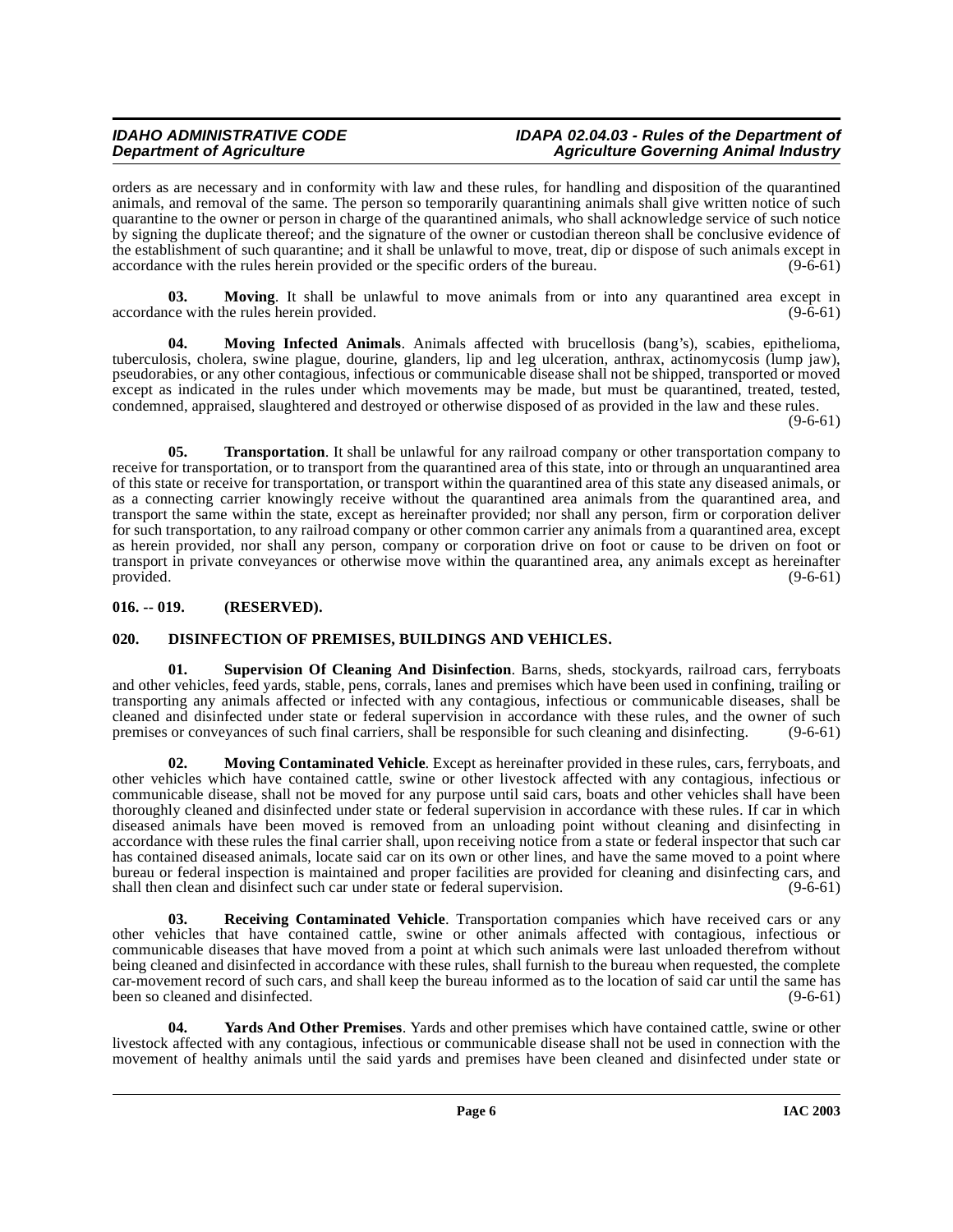orders as are necessary and in conformity with law and these rules, for handling and disposition of the quarantined animals, and removal of the same. The person so temporarily quarantining animals shall give written notice of such quarantine to the owner or person in charge of the quarantined animals, who shall acknowledge service of such notice by signing the duplicate thereof; and the signature of the owner or custodian thereon shall be conclusive evidence of the establishment of such quarantine; and it shall be unlawful to move, treat, dip or dispose of such animals except in accordance with the rules herein provided or the specific orders of the bureau. (9-6-61)

<span id="page-5-5"></span>**03. Moving**. It shall be unlawful to move animals from or into any quarantined area except in ce with the rules herein provided. (9-6-61) accordance with the rules herein provided.

<span id="page-5-4"></span>**04. Moving Infected Animals**. Animals affected with brucellosis (bang's), scabies, epithelioma, tuberculosis, cholera, swine plague, dourine, glanders, lip and leg ulceration, anthrax, actinomycosis (lump jaw), pseudorabies, or any other contagious, infectious or communicable disease shall not be shipped, transported or moved except as indicated in the rules under which movements may be made, but must be quarantined, treated, tested, condemned, appraised, slaughtered and destroyed or otherwise disposed of as provided in the law and these rules.

 $(9-6-61)$ 

<span id="page-5-8"></span>**05. Transportation**. It shall be unlawful for any railroad company or other transportation company to receive for transportation, or to transport from the quarantined area of this state, into or through an unquarantined area of this state or receive for transportation, or transport within the quarantined area of this state any diseased animals, or as a connecting carrier knowingly receive without the quarantined area animals from the quarantined area, and transport the same within the state, except as hereinafter provided; nor shall any person, firm or corporation deliver for such transportation, to any railroad company or other common carrier any animals from a quarantined area, except as herein provided, nor shall any person, company or corporation drive on foot or cause to be driven on foot or transport in private conveyances or otherwise move within the quarantined area, any animals except as hereinafter provided.  $(9-6-61)$ 

# <span id="page-5-0"></span>**016. -- 019. (RESERVED).**

# <span id="page-5-2"></span><span id="page-5-1"></span>**020. DISINFECTION OF PREMISES, BUILDINGS AND VEHICLES.**

<span id="page-5-7"></span>**01. Supervision Of Cleaning And Disinfection**. Barns, sheds, stockyards, railroad cars, ferryboats and other vehicles, feed yards, stable, pens, corrals, lanes and premises which have been used in confining, trailing or transporting any animals affected or infected with any contagious, infectious or communicable diseases, shall be cleaned and disinfected under state or federal supervision in accordance with these rules, and the owner of such premises or convevances of such final carriers, shall be responsible for such cleaning and disinfecting. (9-6 premises or conveyances of such final carriers, shall be responsible for such cleaning and disinfecting.

<span id="page-5-3"></span>**02. Moving Contaminated Vehicle**. Except as hereinafter provided in these rules, cars, ferryboats, and other vehicles which have contained cattle, swine or other livestock affected with any contagious, infectious or communicable disease, shall not be moved for any purpose until said cars, boats and other vehicles shall have been thoroughly cleaned and disinfected under state or federal supervision in accordance with these rules. If car in which diseased animals have been moved is removed from an unloading point without cleaning and disinfecting in accordance with these rules the final carrier shall, upon receiving notice from a state or federal inspector that such car has contained diseased animals, locate said car on its own or other lines, and have the same moved to a point where bureau or federal inspection is maintained and proper facilities are provided for cleaning and disinfecting cars, and shall then clean and disinfect such car under state or federal supervision. (9-6-61) shall then clean and disinfect such car under state or federal supervision.

<span id="page-5-6"></span>**Receiving Contaminated Vehicle**. Transportation companies which have received cars or any other vehicles that have contained cattle, swine or other animals affected with contagious, infectious or communicable diseases that have moved from a point at which such animals were last unloaded therefrom without being cleaned and disinfected in accordance with these rules, shall furnish to the bureau when requested, the complete car-movement record of such cars, and shall keep the bureau informed as to the location of said car until the same has been so cleaned and disinfected. (9-6-61)

<span id="page-5-9"></span>**04. Yards And Other Premises**. Yards and other premises which have contained cattle, swine or other livestock affected with any contagious, infectious or communicable disease shall not be used in connection with the movement of healthy animals until the said yards and premises have been cleaned and disinfected under state or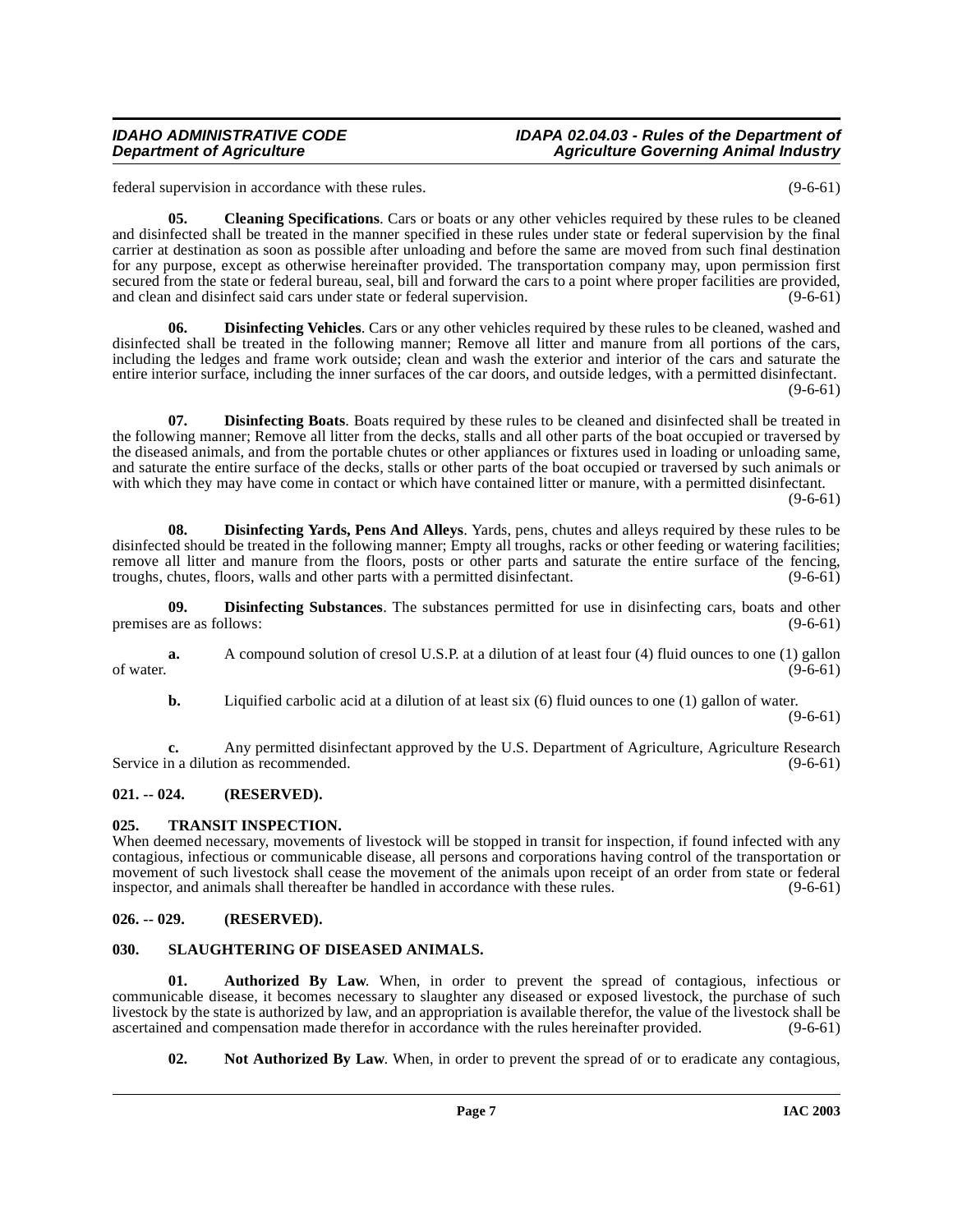federal supervision in accordance with these rules. (9-6-61)

<span id="page-6-5"></span>**05. Cleaning Specifications**. Cars or boats or any other vehicles required by these rules to be cleaned and disinfected shall be treated in the manner specified in these rules under state or federal supervision by the final carrier at destination as soon as possible after unloading and before the same are moved from such final destination for any purpose, except as otherwise hereinafter provided. The transportation company may, upon permission first secured from the state or federal bureau, seal, bill and forward the cars to a point where proper facilities are provided, and clean and disinfect said cars under state or federal supervision. (9-6-61) and clean and disinfect said cars under state or federal supervision.

<span id="page-6-8"></span>**Disinfecting Vehicles**. Cars or any other vehicles required by these rules to be cleaned, washed and disinfected shall be treated in the following manner; Remove all litter and manure from all portions of the cars, including the ledges and frame work outside; clean and wash the exterior and interior of the cars and saturate the entire interior surface, including the inner surfaces of the car doors, and outside ledges, with a permitted disinfectant.  $(9-6-61)$ 

<span id="page-6-6"></span>**07. Disinfecting Boats**. Boats required by these rules to be cleaned and disinfected shall be treated in the following manner; Remove all litter from the decks, stalls and all other parts of the boat occupied or traversed by the diseased animals, and from the portable chutes or other appliances or fixtures used in loading or unloading same, and saturate the entire surface of the decks, stalls or other parts of the boat occupied or traversed by such animals or with which they may have come in contact or which have contained litter or manure, with a permitted disinfectant.

 $(9-6-61)$ 

<span id="page-6-9"></span>**08. Disinfecting Yards, Pens And Alleys**. Yards, pens, chutes and alleys required by these rules to be disinfected should be treated in the following manner; Empty all troughs, racks or other feeding or watering facilities; remove all litter and manure from the floors, posts or other parts and saturate the entire surface of the fencing, troughs, chutes, floors, walls and other parts with a permitted disinfectant. (9-6-61)

<span id="page-6-7"></span>**09. Disinfecting Substances**. The substances permitted for use in disinfecting cars, boats and other are as follows: (9-6-61) premises are as follows:

**a.** A compound solution of cresol U.S.P. at a dilution of at least four (4) fluid ounces to one (1) gallon (9-6-61) of water.  $(9-6-61)$ 

**b.** Liquified carbolic acid at a dilution of at least six (6) fluid ounces to one (1) gallon of water.

(9-6-61)

**c.** Any permitted disinfectant approved by the U.S. Department of Agriculture, Agriculture Research n a dilution as recommended. (9-6-61) Service in a dilution as recommended.

# <span id="page-6-0"></span>**021. -- 024. (RESERVED).**

# <span id="page-6-12"></span><span id="page-6-1"></span>**025. TRANSIT INSPECTION.**

When deemed necessary, movements of livestock will be stopped in transit for inspection, if found infected with any contagious, infectious or communicable disease, all persons and corporations having control of the transportation or movement of such livestock shall cease the movement of the animals upon receipt of an order from state or federal inspector, and animals shall thereafter be handled in accordance with these rules. inspector, and animals shall thereafter be handled in accordance with these rules.

# <span id="page-6-2"></span>**026. -- 029. (RESERVED).**

# <span id="page-6-11"></span><span id="page-6-3"></span>**030. SLAUGHTERING OF DISEASED ANIMALS.**

**01. Authorized By Law**. When, in order to prevent the spread of contagious, infectious or communicable disease, it becomes necessary to slaughter any diseased or exposed livestock, the purchase of such livestock by the state is authorized by law, and an appropriation is available therefor, the value of the livestock shall be ascertained and compensation made therefor in accordance with the rules hereinafter provided. (9ascertained and compensation made therefor in accordance with the rules hereinafter provided.

<span id="page-6-10"></span><span id="page-6-4"></span>**02.** Not Authorized By Law. When, in order to prevent the spread of or to eradicate any contagious,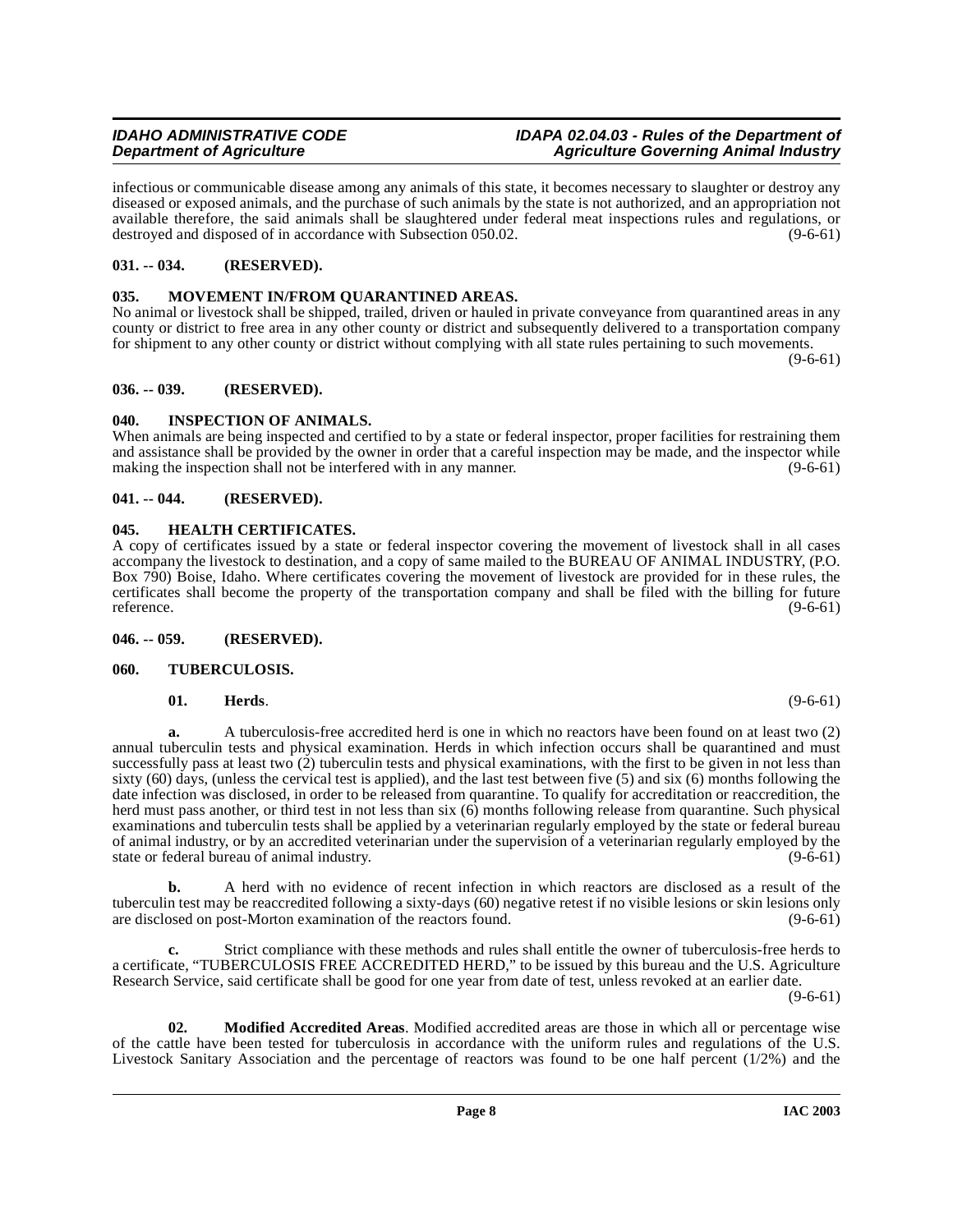infectious or communicable disease among any animals of this state, it becomes necessary to slaughter or destroy any diseased or exposed animals, and the purchase of such animals by the state is not authorized, and an appropriation not available therefore, the said animals shall be slaughtered under federal meat inspections rules and regulations, or destroyed and disposed of in accordance with Subsection 050.02. (9-6-61)

# <span id="page-7-0"></span>**031. -- 034. (RESERVED).**

# <span id="page-7-12"></span><span id="page-7-1"></span>**035. MOVEMENT IN/FROM QUARANTINED AREAS.**

No animal or livestock shall be shipped, trailed, driven or hauled in private conveyance from quarantined areas in any county or district to free area in any other county or district and subsequently delivered to a transportation company for shipment to any other county or district without complying with all state rules pertaining to such movements.

 $(9-6-61)$ 

#### <span id="page-7-2"></span>**036. -- 039. (RESERVED).**

# <span id="page-7-10"></span><span id="page-7-3"></span>**040. INSPECTION OF ANIMALS.**

When animals are being inspected and certified to by a state or federal inspector, proper facilities for restraining them and assistance shall be provided by the owner in order that a careful inspection may be made, and the inspector while making the inspection shall not be interfered with in any manner. (9-6-61)

### <span id="page-7-4"></span>**041. -- 044. (RESERVED).**

### <span id="page-7-8"></span><span id="page-7-5"></span>**045. HEALTH CERTIFICATES.**

A copy of certificates issued by a state or federal inspector covering the movement of livestock shall in all cases accompany the livestock to destination, and a copy of same mailed to the BUREAU OF ANIMAL INDUSTRY, (P.O. Box 790) Boise, Idaho. Where certificates covering the movement of livestock are provided for in these rules, the certificates shall become the property of the transportation company and shall be filed with the billing for future reference.  $(9-6-61)$ 

#### <span id="page-7-6"></span>**046. -- 059. (RESERVED).**

#### <span id="page-7-7"></span>**060. TUBERCULOSIS.**

#### <span id="page-7-13"></span><span id="page-7-9"></span>**01. Herds**. (9-6-61)

**a.** A tuberculosis-free accredited herd is one in which no reactors have been found on at least two (2) annual tuberculin tests and physical examination. Herds in which infection occurs shall be quarantined and must successfully pass at least two  $(2)$  tuberculin tests and physical examinations, with the first to be given in not less than sixty  $(60)$  days, (unless the cervical test is applied), and the last test between five  $(5)$  and six  $(6)$  months following the date infection was disclosed, in order to be released from quarantine. To qualify for accreditation or reaccredition, the herd must pass another, or third test in not less than six (6) months following release from quarantine. Such physical examinations and tuberculin tests shall be applied by a veterinarian regularly employed by the state or federal bureau of animal industry, or by an accredited veterinarian under the supervision of a veterinarian regularly employed by the state or federal bureau of animal industry. (9-6-61)

**b.** A herd with no evidence of recent infection in which reactors are disclosed as a result of the tuberculin test may be reaccredited following a sixty-days (60) negative retest if no visible lesions or skin lesions only are disclosed on post-Morton examination of the reactors found. (9-6-61)

**c.** Strict compliance with these methods and rules shall entitle the owner of tuberculosis-free herds to a certificate, "TUBERCULOSIS FREE ACCREDITED HERD," to be issued by this bureau and the U.S. Agriculture Research Service, said certificate shall be good for one year from date of test, unless revoked at an earlier date.

 $(9-6-61)$ 

<span id="page-7-11"></span>**02. Modified Accredited Areas**. Modified accredited areas are those in which all or percentage wise of the cattle have been tested for tuberculosis in accordance with the uniform rules and regulations of the U.S. Livestock Sanitary Association and the percentage of reactors was found to be one half percent (1/2%) and the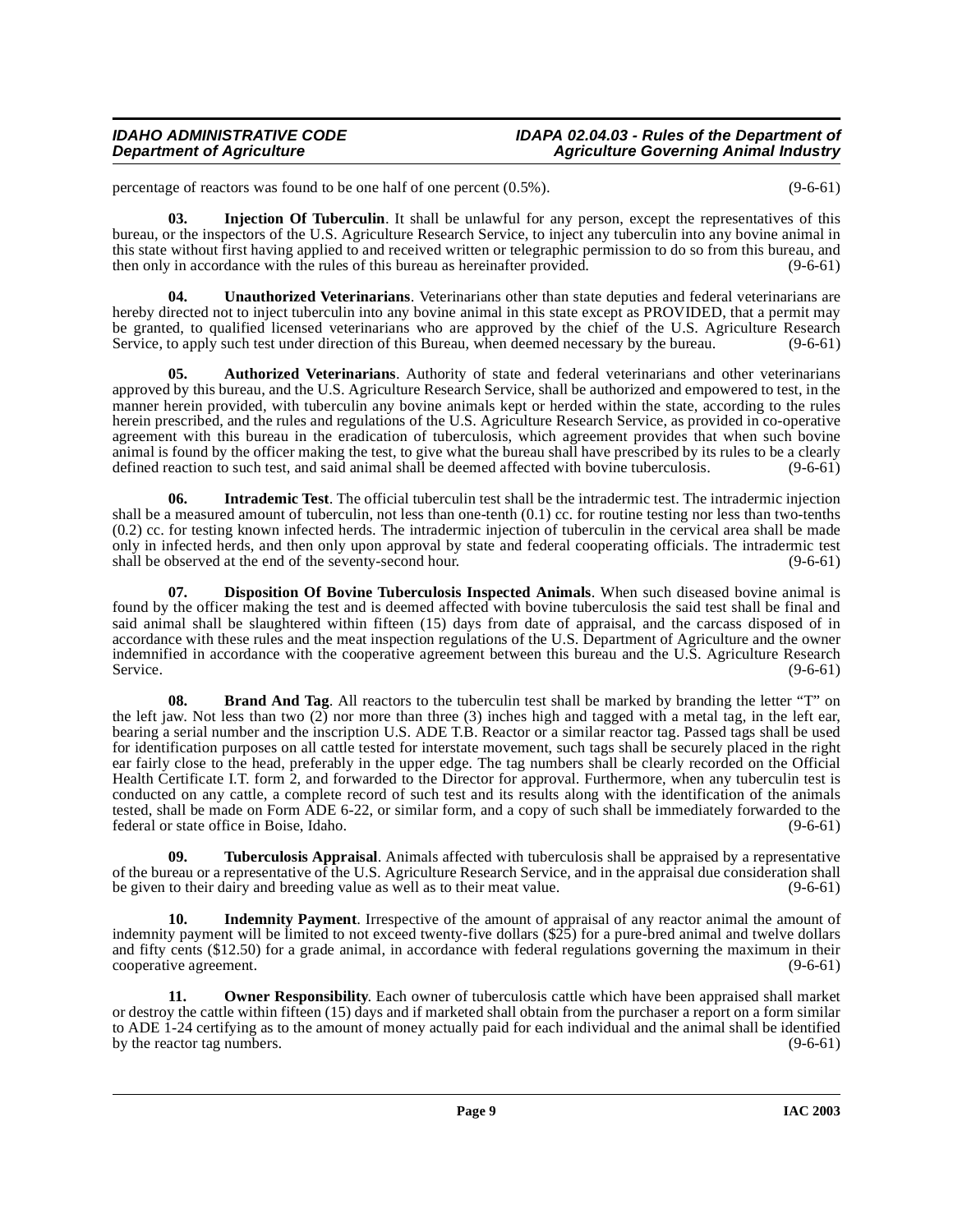percentage of reactors was found to be one half of one percent (0.5%). (9-6-61)

<span id="page-8-4"></span>**03. Injection Of Tuberculin**. It shall be unlawful for any person, except the representatives of this bureau, or the inspectors of the U.S. Agriculture Research Service, to inject any tuberculin into any bovine animal in this state without first having applied to and received written or telegraphic permission to do so from this bureau, and then only in accordance with the rules of this bureau as hereinafter provided. (9-6-61)

<span id="page-8-8"></span>**04. Unauthorized Veterinarians**. Veterinarians other than state deputies and federal veterinarians are hereby directed not to inject tuberculin into any bovine animal in this state except as PROVIDED, that a permit may be granted, to qualified licensed veterinarians who are approved by the chief of the U.S. Agriculture Research Service, to apply such test under direction of this Bureau, when deemed necessary by the bureau. (9-6-61)

<span id="page-8-0"></span>**05. Authorized Veterinarians**. Authority of state and federal veterinarians and other veterinarians approved by this bureau, and the U.S. Agriculture Research Service, shall be authorized and empowered to test, in the manner herein provided, with tuberculin any bovine animals kept or herded within the state, according to the rules herein prescribed, and the rules and regulations of the U.S. Agriculture Research Service, as provided in co-operative agreement with this bureau in the eradication of tuberculosis, which agreement provides that when such bovine animal is found by the officer making the test, to give what the bureau shall have prescribed by its rules to be a clearly defined reaction to such test, and said animal shall be deemed affected with bovine tuberculosis. (9-6-61)

<span id="page-8-5"></span>**06. Intrademic Test**. The official tuberculin test shall be the intradermic test. The intradermic injection shall be a measured amount of tuberculin, not less than one-tenth (0.1) cc. for routine testing nor less than two-tenths (0.2) cc. for testing known infected herds. The intradermic injection of tuberculin in the cervical area shall be made only in infected herds, and then only upon approval by state and federal cooperating officials. The intradermic test shall be observed at the end of the seventy-second hour. (9-6-61)

<span id="page-8-2"></span>**07. Disposition Of Bovine Tuberculosis Inspected Animals**. When such diseased bovine animal is found by the officer making the test and is deemed affected with bovine tuberculosis the said test shall be final and said animal shall be slaughtered within fifteen (15) days from date of appraisal, and the carcass disposed of in accordance with these rules and the meat inspection regulations of the U.S. Department of Agriculture and the owner indemnified in accordance with the cooperative agreement between this bureau and the U.S. Agriculture Research<br>(9-6-61) Service. (9-6-61)

<span id="page-8-1"></span>**08. Brand And Tag**. All reactors to the tuberculin test shall be marked by branding the letter "T" on the left jaw. Not less than two (2) nor more than three (3) inches high and tagged with a metal tag, in the left ear, bearing a serial number and the inscription U.S. ADE T.B. Reactor or a similar reactor tag. Passed tags shall be used for identification purposes on all cattle tested for interstate movement, such tags shall be securely placed in the right ear fairly close to the head, preferably in the upper edge. The tag numbers shall be clearly recorded on the Official Health Certificate I.T. form 2, and forwarded to the Director for approval. Furthermore, when any tuberculin test is conducted on any cattle, a complete record of such test and its results along with the identification of the animals tested, shall be made on Form ADE 6-22, or similar form, and a copy of such shall be immediately forwarded to the federal or state office in Boise, Idaho. (9-6-61)

<span id="page-8-7"></span>**09. Tuberculosis Appraisal**. Animals affected with tuberculosis shall be appraised by a representative of the bureau or a representative of the U.S. Agriculture Research Service, and in the appraisal due consideration shall<br>(9-6-61) (9-6-61) be given to their dairy and breeding value as well as to their meat value. be given to their dairy and breeding value as well as to their meat value.

<span id="page-8-3"></span>**10. Indemnity Payment**. Irrespective of the amount of appraisal of any reactor animal the amount of indemnity payment will be limited to not exceed twenty-five dollars  $(\hat{\Sigma} \hat{z})$  for a pure-bred animal and twelve dollars and fifty cents (\$12.50) for a grade animal, in accordance with federal regulations governing the maximum in their cooperative agreement. (9-6-61) cooperative agreement.

<span id="page-8-6"></span>**11. Owner Responsibility**. Each owner of tuberculosis cattle which have been appraised shall market or destroy the cattle within fifteen (15) days and if marketed shall obtain from the purchaser a report on a form similar to ADE 1-24 certifying as to the amount of money actually paid for each individual and the animal shall be identified<br>by the reactor tag numbers.  $(9-6-61)$ by the reactor tag numbers.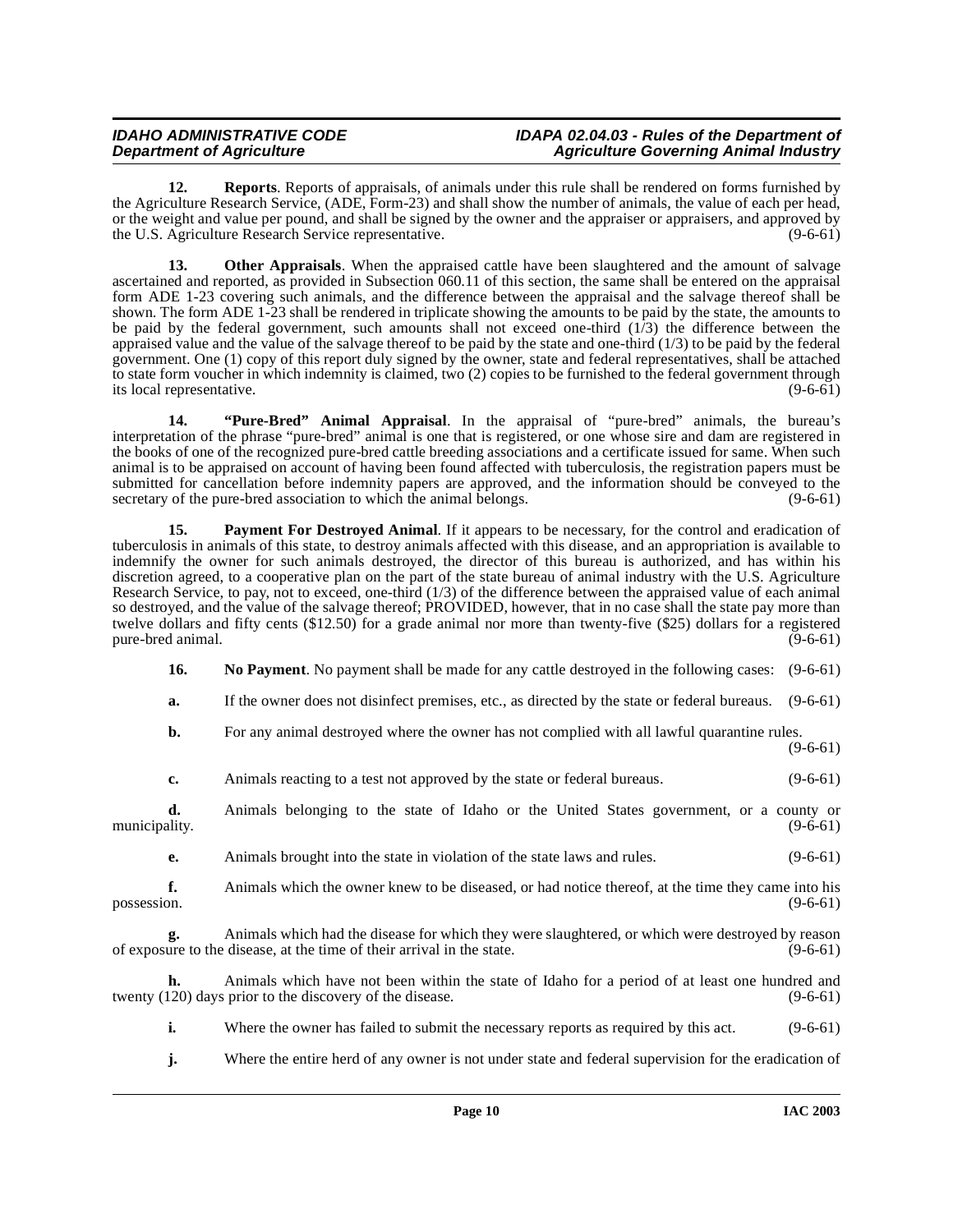<span id="page-9-3"></span>**12. Reports**. Reports of appraisals, of animals under this rule shall be rendered on forms furnished by the Agriculture Research Service, (ADE, Form-23) and shall show the number of animals, the value of each per head, or the weight and value per pound, and shall be signed by the owner and the appraiser or appraisers, and approved by the U.S. Agriculture Research Service representative. (9-6-61)

**13.** Other Appraisals. When the appraised cattle have been slaughtered and the amount of salvage ascertained and reported, as provided in Subsection 060.11 of this section, the same shall be entered on the appraisal form ADE 1-23 covering such animals, and the difference between the appraisal and the salvage thereof shall be shown. The form ADE 1-23 shall be rendered in triplicate showing the amounts to be paid by the state, the amounts to be paid by the federal government, such amounts shall not exceed one-third  $(1/3)$  the difference between the appraised value and the value of the salvage thereof to be paid by the state and one-third (1/3) to be paid by the federal government. One (1) copy of this report duly signed by the owner, state and federal representatives, shall be attached to state form voucher in which indemnity is claimed, two (2) copies to be furnished to the federal government through its local representative. (9-6-61)

<span id="page-9-2"></span>**14. "Pure-Bred" Animal Appraisal**. In the appraisal of "pure-bred" animals, the bureau's interpretation of the phrase "pure-bred" animal is one that is registered, or one whose sire and dam are registered in the books of one of the recognized pure-bred cattle breeding associations and a certificate issued for same. When such animal is to be appraised on account of having been found affected with tuberculosis, the registration papers must be submitted for cancellation before indemnity papers are approved, and the information should be conveyed to the secretary of the pure-bred association to which the animal belongs. (9-6-61)

<span id="page-9-1"></span>**15. Payment For Destroyed Animal**. If it appears to be necessary, for the control and eradication of tuberculosis in animals of this state, to destroy animals affected with this disease, and an appropriation is available to indemnify the owner for such animals destroyed, the director of this bureau is authorized, and has within his discretion agreed, to a cooperative plan on the part of the state bureau of animal industry with the U.S. Agriculture Research Service, to pay, not to exceed, one-third (1/3) of the difference between the appraised value of each animal so destroyed, and the value of the salvage thereof; PROVIDED, however, that in no case shall the state pay more than twelve dollars and fifty cents (\$12.50) for a grade animal nor more than twenty-five (\$25) dollars for a registered pure-bred animal. (9-6-61)

<span id="page-9-0"></span>**16.** No Payment. No payment shall be made for any cattle destroyed in the following cases:  $(9-6-61)$ 

**a.** If the owner does not disinfect premises, etc., as directed by the state or federal bureaus. (9-6-61)

**b.** For any animal destroyed where the owner has not complied with all lawful quarantine rules.

(9-6-61)

**c.** Animals reacting to a test not approved by the state or federal bureaus. (9-6-61)

**d.** Animals belonging to the state of Idaho or the United States government, or a county or ality. (9-6-61) municipality. (9-6-61)

**e.** Animals brought into the state in violation of the state laws and rules. (9-6-61)

**f.** Animals which the owner knew to be diseased, or had notice thereof, at the time they came into his (9-6-61) possession. (9-6-61)

**g.** Animals which had the disease for which they were slaughtered, or which were destroyed by reason ure to the disease, at the time of their arrival in the state. (9-6-61) of exposure to the disease, at the time of their arrival in the state.

**h.** Animals which have not been within the state of Idaho for a period of at least one hundred and twenty (120) days prior to the discovery of the disease. (9-6-61)

**i.** Where the owner has failed to submit the necessary reports as required by this act. (9-6-61)

**j.** Where the entire herd of any owner is not under state and federal supervision for the eradication of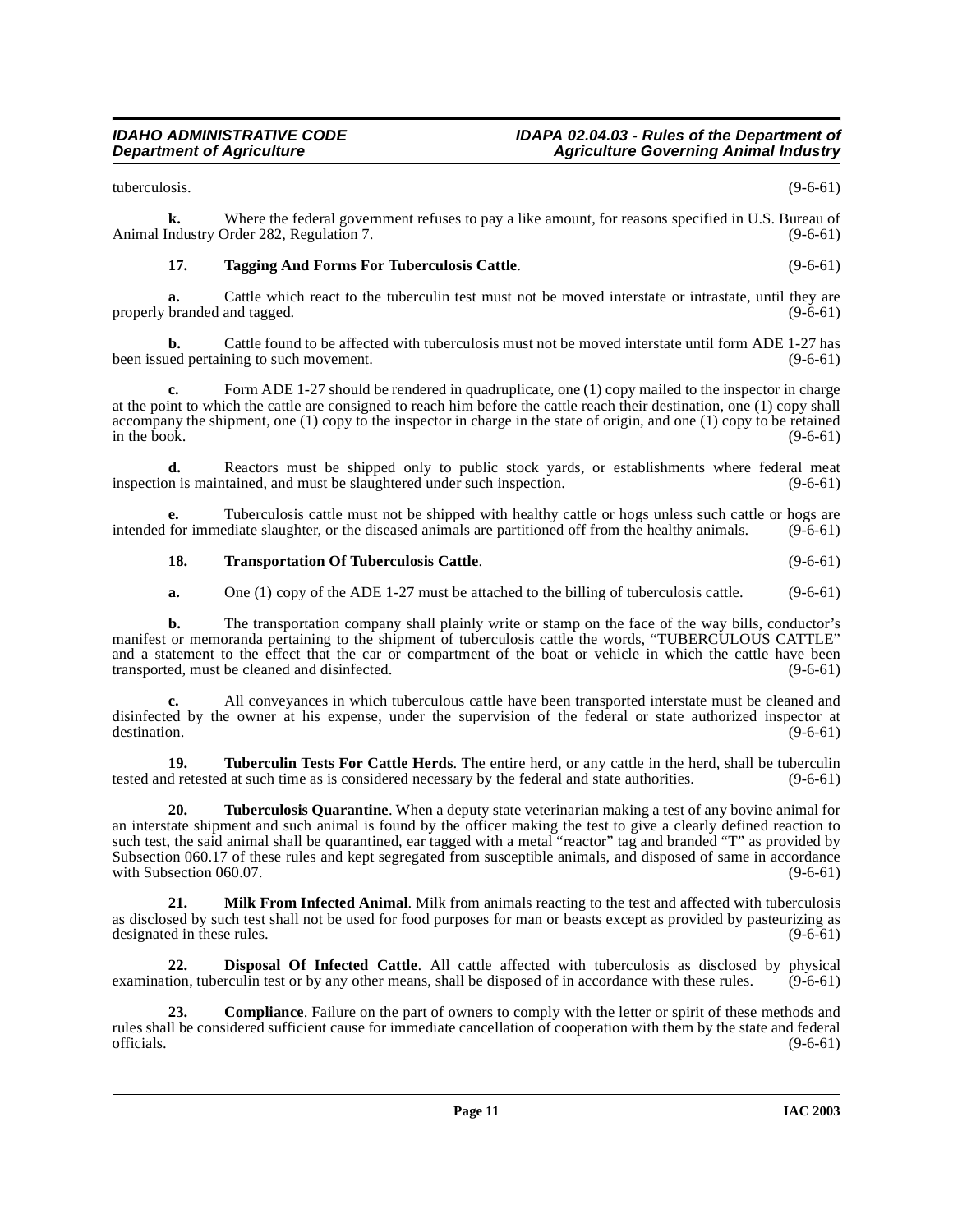tuberculosis. (9-6-61)

**k.** Where the federal government refuses to pay a like amount, for reasons specified in U.S. Bureau of Animal Industry Order 282, Regulation 7. (9-6-61)

# <span id="page-10-3"></span>**17. Tagging And Forms For Tuberculosis Cattle**. (9-6-61)

**a.** Cattle which react to the tuberculin test must not be moved interstate or intrastate, until they are branded and tagged. (9-6-61) properly branded and tagged.

**b.** Cattle found to be affected with tuberculosis must not be moved interstate until form ADE 1-27 has ed pertaining to such movement. (9-6-61) been issued pertaining to such movement.

Form ADE 1-27 should be rendered in quadruplicate, one (1) copy mailed to the inspector in charge at the point to which the cattle are consigned to reach him before the cattle reach their destination, one (1) copy shall accompany the shipment, one (1) copy to the inspector in charge in the state of origin, and one (1) copy to be retained<br>in the book.  $(9-6-61)$ in the book.  $(9-6-61)$ 

**d.** Reactors must be shipped only to public stock yards, or establishments where federal meat inspection is maintained, and must be slaughtered under such inspection. (9-6-61)

**e.** Tuberculosis cattle must not be shipped with healthy cattle or hogs unless such cattle or hogs are for immediate slaughter, or the diseased animals are partitioned off from the healthy animals. (9-6-61) intended for immediate slaughter, or the diseased animals are partitioned off from the healthy animals.

# <span id="page-10-4"></span>**18.** Transportation Of Tuberculosis Cattle. (9-6-61)

**a.** One (1) copy of the ADE 1-27 must be attached to the billing of tuberculosis cattle. (9-6-61)

**b.** The transportation company shall plainly write or stamp on the face of the way bills, conductor's manifest or memoranda pertaining to the shipment of tuberculosis cattle the words, "TUBERCULOUS CATTLE" and a statement to the effect that the car or compartment of the boat or vehicle in which the cattle have been transported, must be cleaned and disinfected. (9-6-61)

**c.** All conveyances in which tuberculous cattle have been transported interstate must be cleaned and disinfected by the owner at his expense, under the supervision of the federal or state authorized inspector at destination. (9-6-61) destination. (9-6-61)

<span id="page-10-5"></span>**19. Tuberculin Tests For Cattle Herds**. The entire herd, or any cattle in the herd, shall be tuberculin tested and retested at such time as is considered necessary by the federal and state authorities. (9-6-61)

<span id="page-10-6"></span>**20. Tuberculosis Quarantine**. When a deputy state veterinarian making a test of any bovine animal for an interstate shipment and such animal is found by the officer making the test to give a clearly defined reaction to such test, the said animal shall be quarantined, ear tagged with a metal "reactor" tag and branded "T" as provided by Subsection 060.17 of these rules and kept segregated from susceptible animals, and disposed of same in accordance with Subsection 060.07. (9-6-61) with Subsection 060.07.

<span id="page-10-2"></span>**21. Milk From Infected Animal**. Milk from animals reacting to the test and affected with tuberculosis as disclosed by such test shall not be used for food purposes for man or beasts except as provided by pasteurizing as designated in these rules. (9-6-61)

<span id="page-10-1"></span>**22. Disposal Of Infected Cattle**. All cattle affected with tuberculosis as disclosed by physical examination, tuberculin test or by any other means, shall be disposed of in accordance with these rules. (9-6-61)

<span id="page-10-0"></span>**23. Compliance**. Failure on the part of owners to comply with the letter or spirit of these methods and rules shall be considered sufficient cause for immediate cancellation of cooperation with them by the state and federal officials. (9-6-61) officials.  $(9-6-61)$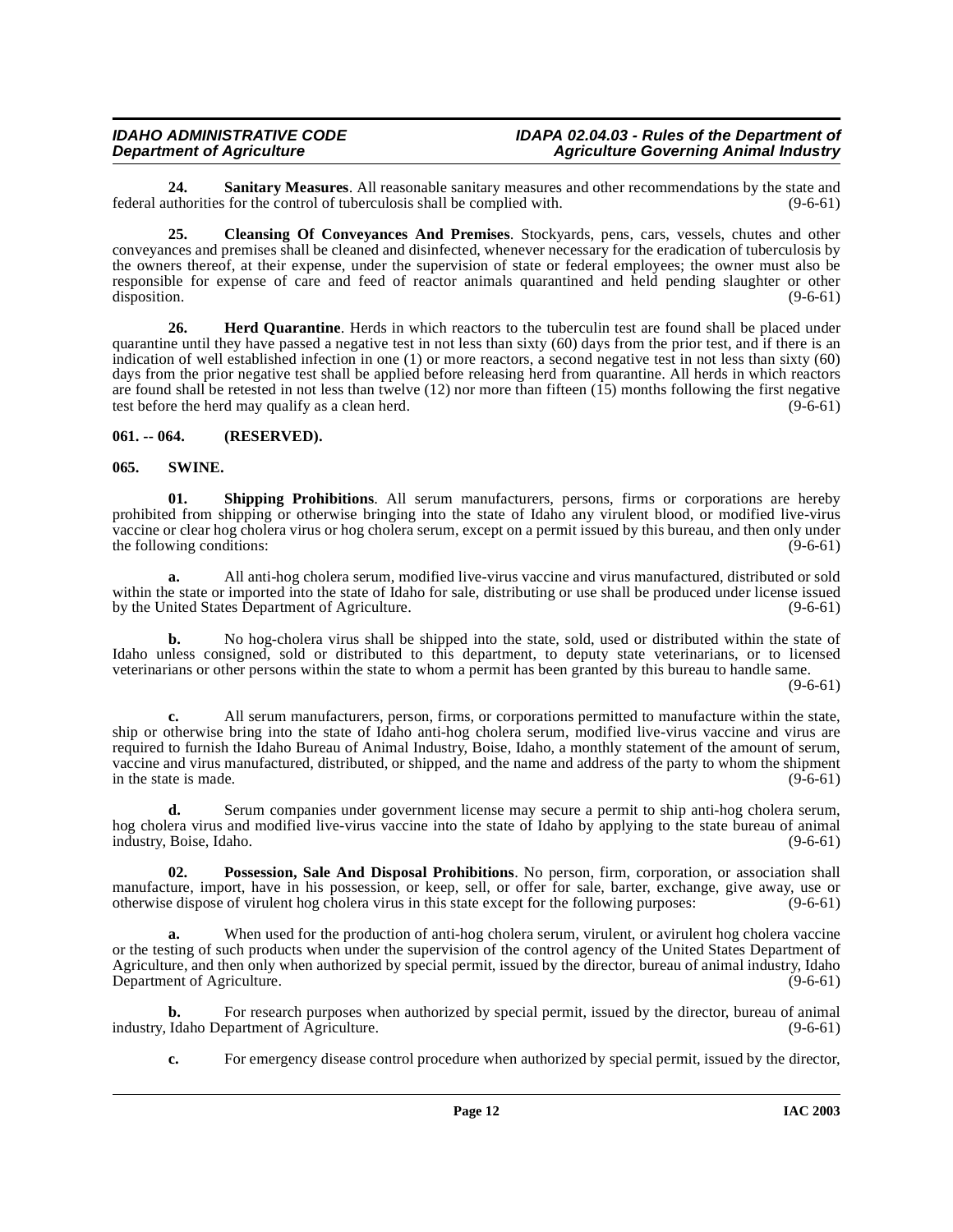<span id="page-11-5"></span>**24. Sanitary Measures**. All reasonable sanitary measures and other recommendations by the state and federal authorities for the control of tuberculosis shall be complied with. (9-6-61)

<span id="page-11-2"></span>**25. Cleansing Of Conveyances And Premises**. Stockyards, pens, cars, vessels, chutes and other conveyances and premises shall be cleaned and disinfected, whenever necessary for the eradication of tuberculosis by the owners thereof, at their expense, under the supervision of state or federal employees; the owner must also be responsible for expense of care and feed of reactor animals quarantined and held pending slaughter or other disposition. (9-6-61) disposition. (9-6-61)

<span id="page-11-3"></span>**26. Herd Quarantine**. Herds in which reactors to the tuberculin test are found shall be placed under quarantine until they have passed a negative test in not less than sixty (60) days from the prior test, and if there is an indication of well established infection in one (1) or more reactors, a second negative test in not less than sixty (60) days from the prior negative test shall be applied before releasing herd from quarantine. All herds in which reactors are found shall be retested in not less than twelve (12) nor more than fifteen (15) months following the first negative test before the herd may qualify as a clean herd. (9-6-61)

# <span id="page-11-0"></span>**061. -- 064. (RESERVED).**

### <span id="page-11-7"></span><span id="page-11-1"></span>**065. SWINE.**

<span id="page-11-6"></span>**01. Shipping Prohibitions**. All serum manufacturers, persons, firms or corporations are hereby prohibited from shipping or otherwise bringing into the state of Idaho any virulent blood, or modified live-virus vaccine or clear hog cholera virus or hog cholera serum, except on a permit issued by this bureau, and then only under the following conditions: (9-6-61) (9-6-61)

**a.** All anti-hog cholera serum, modified live-virus vaccine and virus manufactured, distributed or sold within the state or imported into the state of Idaho for sale, distributing or use shall be produced under license issued by the United States Department of Agriculture. (9-6-61)

**b.** No hog-cholera virus shall be shipped into the state, sold, used or distributed within the state of Idaho unless consigned, sold or distributed to this department, to deputy state veterinarians, or to licensed veterinarians or other persons within the state to whom a permit has been granted by this bureau to handle same.

(9-6-61)

**c.** All serum manufacturers, person, firms, or corporations permitted to manufacture within the state, ship or otherwise bring into the state of Idaho anti-hog cholera serum, modified live-virus vaccine and virus are required to furnish the Idaho Bureau of Animal Industry, Boise, Idaho, a monthly statement of the amount of serum, vaccine and virus manufactured, distributed, or shipped, and the name and address of the party to whom the shipment in the state is made. (9-6-61)

**d.** Serum companies under government license may secure a permit to ship anti-hog cholera serum, hog cholera virus and modified live-virus vaccine into the state of Idaho by applying to the state bureau of animal industry, Boise, Idaho. (9-6-61)

<span id="page-11-4"></span>**02. Possession, Sale And Disposal Prohibitions**. No person, firm, corporation, or association shall manufacture, import, have in his possession, or keep, sell, or offer for sale, barter, exchange, give away, use or otherwise dispose of virulent hog cholera virus in this state except for the following purposes: (9-6-61)

When used for the production of anti-hog cholera serum, virulent, or avirulent hog cholera vaccine or the testing of such products when under the supervision of the control agency of the United States Department of Agriculture, and then only when authorized by special permit, issued by the director, bureau of animal industry, Idaho Department of Agriculture. (9-6-61)

**b.** For research purposes when authorized by special permit, issued by the director, bureau of animal Idaho Department of Agriculture. (9-6-61) industry, Idaho Department of Agriculture.

**c.** For emergency disease control procedure when authorized by special permit, issued by the director,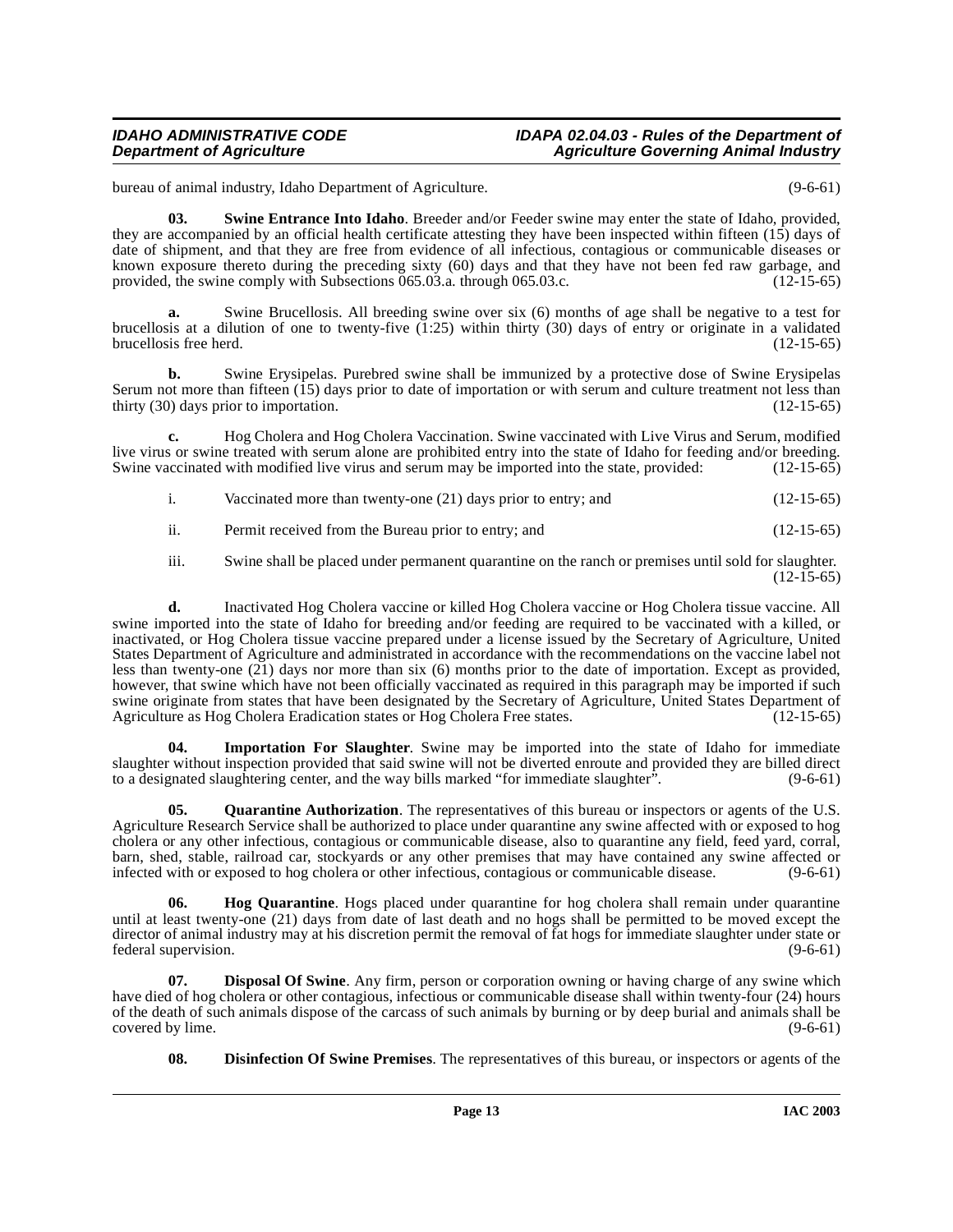bureau of animal industry, Idaho Department of Agriculture. (9-6-61)

<span id="page-12-5"></span>**03. Swine Entrance Into Idaho**. Breeder and/or Feeder swine may enter the state of Idaho, provided, they are accompanied by an official health certificate attesting they have been inspected within fifteen  $(15)$  days of date of shipment, and that they are free from evidence of all infectious, contagious or communicable diseases or known exposure thereto during the preceding sixty (60) days and that they have not been fed raw garbage, and provided, the swine comply with Subsections 065.03.a. through 065.03.c. (12-15-65) provided, the swine comply with Subsections  $065.03.a$ . through 065.03.c.

Swine Brucellosis. All breeding swine over six (6) months of age shall be negative to a test for brucellosis at a dilution of one to twenty-five (1:25) within thirty (30) days of entry or originate in a validated brucellosis free herd. (12-15-65)

**b.** Swine Erysipelas. Purebred swine shall be immunized by a protective dose of Swine Erysipelas Serum not more than fifteen (15) days prior to date of importation or with serum and culture treatment not less than thirty (30) days prior to importation. (12-15-65)

**c.** Hog Cholera and Hog Cholera Vaccination. Swine vaccinated with Live Virus and Serum, modified live virus or swine treated with serum alone are prohibited entry into the state of Idaho for feeding and/or breeding. Swine vaccinated with modified live virus and serum may be imported into the state, provided: (12-15-65)

- i. Vaccinated more than twenty-one (21) days prior to entry; and (12-15-65)
- ii. Permit received from the Bureau prior to entry; and (12-15-65)

iii. Swine shall be placed under permanent quarantine on the ranch or premises until sold for slaughter. (12-15-65)

**d.** Inactivated Hog Cholera vaccine or killed Hog Cholera vaccine or Hog Cholera tissue vaccine. All swine imported into the state of Idaho for breeding and/or feeding are required to be vaccinated with a killed, or inactivated, or Hog Cholera tissue vaccine prepared under a license issued by the Secretary of Agriculture, United States Department of Agriculture and administrated in accordance with the recommendations on the vaccine label not less than twenty-one (21) days nor more than six (6) months prior to the date of importation. Except as provided, however, that swine which have not been officially vaccinated as required in this paragraph may be imported if such swine originate from states that have been designated by the Secretary of Agriculture, United States Department of Agriculture as Hog Cholera Eradication states or Hog Cholera Free states. (12-15-65)

<span id="page-12-3"></span>**Importation For Slaughter**. Swine may be imported into the state of Idaho for immediate slaughter without inspection provided that said swine will not be diverted enroute and provided they are billed direct to a designated slaughtering center, and the way bills marked "for immediate slaughter". (9-6-61)

<span id="page-12-4"></span>**05.** Quarantine Authorization. The representatives of this bureau or inspectors or agents of the U.S. Agriculture Research Service shall be authorized to place under quarantine any swine affected with or exposed to hog cholera or any other infectious, contagious or communicable disease, also to quarantine any field, feed yard, corral, barn, shed, stable, railroad car, stockyards or any other premises that may have contained any swine affected or infected with or exposed to hog cholera or other infectious, contagious or communicable disease. (9-6-61) infected with or exposed to hog cholera or other infectious, contagious or communicable disease.

<span id="page-12-2"></span>**06. Hog Quarantine**. Hogs placed under quarantine for hog cholera shall remain under quarantine until at least twenty-one (21) days from date of last death and no hogs shall be permitted to be moved except the director of animal industry may at his discretion permit the removal of fat hogs for immediate slaughter under state or federal supervision. (9-6-61) federal supervision.

**Disposal Of Swine**. Any firm, person or corporation owning or having charge of any swine which have died of hog cholera or other contagious, infectious or communicable disease shall within twenty-four (24) hours of the death of such animals dispose of the carcass of such animals by burning or by deep burial and animals shall be covered by lime. (9-6-61) covered by lime.

<span id="page-12-1"></span><span id="page-12-0"></span>**08. Disinfection Of Swine Premises**. The representatives of this bureau, or inspectors or agents of the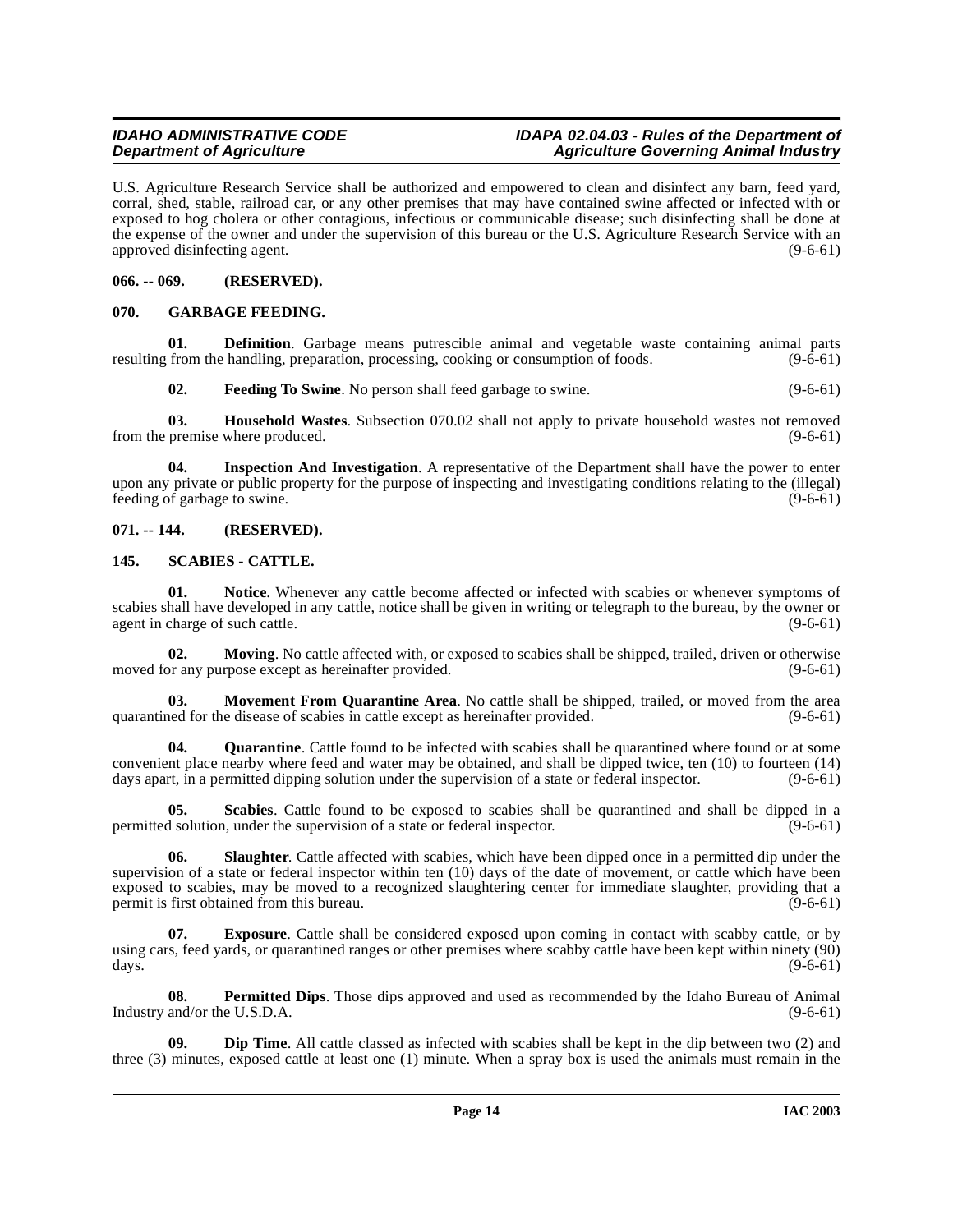U.S. Agriculture Research Service shall be authorized and empowered to clean and disinfect any barn, feed yard, corral, shed, stable, railroad car, or any other premises that may have contained swine affected or infected with or exposed to hog cholera or other contagious, infectious or communicable disease; such disinfecting shall be done at the expense of the owner and under the supervision of this bureau or the U.S. Agriculture Research Service with an approved disinfecting agent. (9-6-61)

<span id="page-13-0"></span>**066. -- 069. (RESERVED).**

# <span id="page-13-7"></span><span id="page-13-1"></span>**070. GARBAGE FEEDING.**

**01. Definition**. Garbage means putrescible animal and vegetable waste containing animal parts from the handling, preparation, processing, cooking or consumption of foods. (9-6-61) resulting from the handling, preparation, processing, cooking or consumption of foods.

<span id="page-13-9"></span><span id="page-13-8"></span><span id="page-13-6"></span>**02. Feeding To Swine**. No person shall feed garbage to swine. (9-6-61)

**03. Household Wastes**. Subsection 070.02 shall not apply to private household wastes not removed premise where produced. (9-6-61) from the premise where produced.

**04. Inspection And Investigation**. A representative of the Department shall have the power to enter upon any private or public property for the purpose of inspecting and investigating conditions relating to the (illegal) feeding of garbage to swine. (9-6-61)

# <span id="page-13-2"></span>**071. -- 144. (RESERVED).**

### <span id="page-13-14"></span><span id="page-13-3"></span>**145. SCABIES - CATTLE.**

<span id="page-13-12"></span>**01. Notice**. Whenever any cattle become affected or infected with scabies or whenever symptoms of scabies shall have developed in any cattle, notice shall be given in writing or telegraph to the bureau, by the owner or agent in charge of such cattle. (9-6-61) agent in charge of such cattle.

<span id="page-13-11"></span>**02. Moving**. No cattle affected with, or exposed to scabies shall be shipped, trailed, driven or otherwise moved for any purpose except as hereinafter provided. (9-6-61)

<span id="page-13-10"></span>**03. Movement From Quarantine Area**. No cattle shall be shipped, trailed, or moved from the area quarantined for the disease of scabies in cattle except as hereinafter provided. (9-6-61) (9-6-61)

**Quarantine**. Cattle found to be infected with scabies shall be quarantined where found or at some convenient place nearby where feed and water may be obtained, and shall be dipped twice, ten (10) to fourteen (14) days apart, in a permitted dipping solution under the supervision of a state or federal inspector. (9-6-61)

<span id="page-13-15"></span>**05. Scabies**. Cattle found to be exposed to scabies shall be quarantined and shall be dipped in a permitted solution, under the supervision of a state or federal inspector. (9-6-61)

<span id="page-13-16"></span>**06. Slaughter**. Cattle affected with scabies, which have been dipped once in a permitted dip under the supervision of a state or federal inspector within ten (10) days of the date of movement, or cattle which have been exposed to scabies, may be moved to a recognized slaughtering center for immediate slaughter, providing that a permit is first obtained from this bureau. (9-6-61)

<span id="page-13-5"></span>**07. Exposure**. Cattle shall be considered exposed upon coming in contact with scabby cattle, or by using cars, feed yards, or quarantined ranges or other premises where scabby cattle have been kept within ninety (90) days. (9-6-61) days. (9-6-61)

<span id="page-13-13"></span>**08. Permitted Dips**. Those dips approved and used as recommended by the Idaho Bureau of Animal Industry and/or the U.S.D.A. (9-6-61)

<span id="page-13-4"></span>**09. Dip Time**. All cattle classed as infected with scabies shall be kept in the dip between two (2) and three (3) minutes, exposed cattle at least one (1) minute. When a spray box is used the animals must remain in the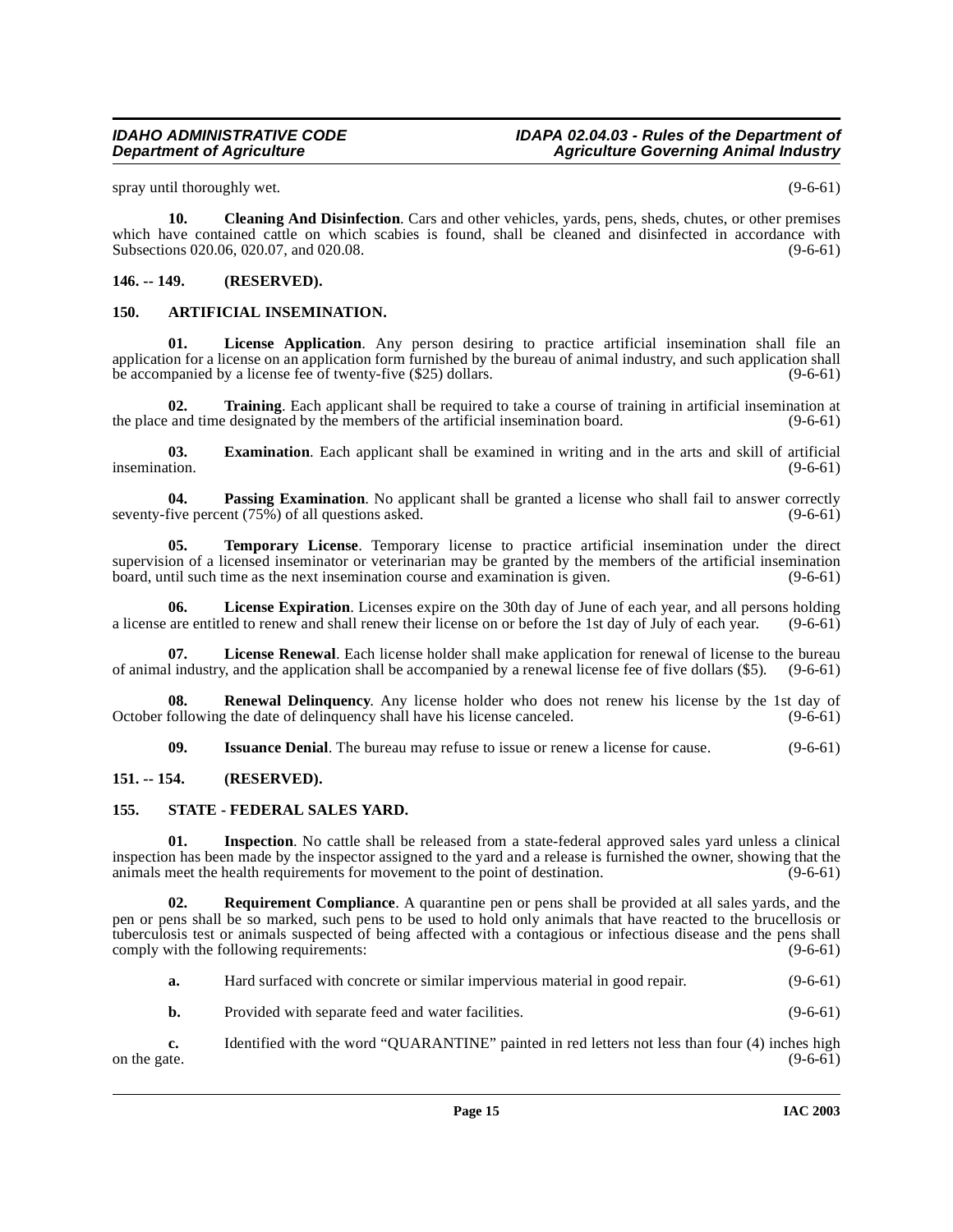spray until thoroughly wet. (9-6-61)

<span id="page-14-5"></span>**10. Cleaning And Disinfection**. Cars and other vehicles, yards, pens, sheds, chutes, or other premises which have contained cattle on which scabies is found, shall be cleaned and disinfected in accordance with Subsections 020.06, 020.07, and 020.08. (9-6-61) (9-6-61)

### <span id="page-14-0"></span>**146. -- 149. (RESERVED).**

### <span id="page-14-7"></span><span id="page-14-4"></span><span id="page-14-1"></span>**150. ARTIFICIAL INSEMINATION.**

**01. License Application**. Any person desiring to practice artificial insemination shall file an application for a license on an application form furnished by the bureau of animal industry, and such application shall<br>be accompanied by a license fee of twenty-five (\$25) dollars. (9-6-61) be accompanied by a license fee of twenty-five (\$25) dollars.

<span id="page-14-15"></span>**02. Training**. Each applicant shall be required to take a course of training in artificial insemination at and time designated by the members of the artificial insemination board.  $(9-6-61)$ the place and time designated by the members of the artificial insemination board.

**03. Examination**. Each applicant shall be examined in writing and in the arts and skill of artificial insemination.  $(9-6-61)$ 

<span id="page-14-10"></span>**04. Passing Examination**. No applicant shall be granted a license who shall fail to answer correctly five percent (75%) of all questions asked. seventy-five percent  $(75\%)$  of all questions asked.

<span id="page-14-14"></span>**05. Temporary License**. Temporary license to practice artificial insemination under the direct supervision of a licensed inseminator or veterinarian may be granted by the members of the artificial insemination board, until such time as the next insemination course and examination is given. (9-6-61)

<span id="page-14-8"></span>**06.** License Expiration. Licenses expire on the 30th day of June of each year, and all persons holding are entitled to renew and shall renew their license on or before the 1st day of July of each year. (9-6-61) a license are entitled to renew and shall renew their license on or before the 1st day of July of each year.

<span id="page-14-9"></span>**07. License Renewal**. Each license holder shall make application for renewal of license to the bureau of animal industry, and the application shall be accompanied by a renewal license fee of five dollars (\$5). (9-6-61)

**08. Renewal Delinquency**. Any license holder who does not renew his license by the 1st day of following the date of delinquency shall have his license canceled. (9-6-61) October following the date of delinquency shall have his license canceled.

<span id="page-14-13"></span><span id="page-14-11"></span><span id="page-14-6"></span>**09.** Issuance Denial. The bureau may refuse to issue or renew a license for cause. (9-6-61)

# <span id="page-14-2"></span>**151. -- 154. (RESERVED).**

#### <span id="page-14-3"></span>**155. STATE - FEDERAL SALES YARD.**

**01. Inspection**. No cattle shall be released from a state-federal approved sales yard unless a clinical inspection has been made by the inspector assigned to the yard and a release is furnished the owner, showing that the animals meet the health requirements for movement to the point of destination. (9-6-61) animals meet the health requirements for movement to the point of destination.

**02. Requirement Compliance**. A quarantine pen or pens shall be provided at all sales yards, and the pen or pens shall be so marked, such pens to be used to hold only animals that have reacted to the brucellosis or tuberculosis test or animals suspected of being affected with a contagious or infectious disease and the pens shall comply with the following requirements: (9-6-61) comply with the following requirements:

<span id="page-14-12"></span>

| а. | Hard surfaced with concrete or similar impervious material in good repair. | $(9-6-61)$ |
|----|----------------------------------------------------------------------------|------------|
|----|----------------------------------------------------------------------------|------------|

**b.** Provided with separate feed and water facilities. (9-6-61)

**c.** Identified with the word "QUARANTINE" painted in red letters not less than four (4) inches high on the gate. (9-6-61) on the gate.  $(9-6-61)$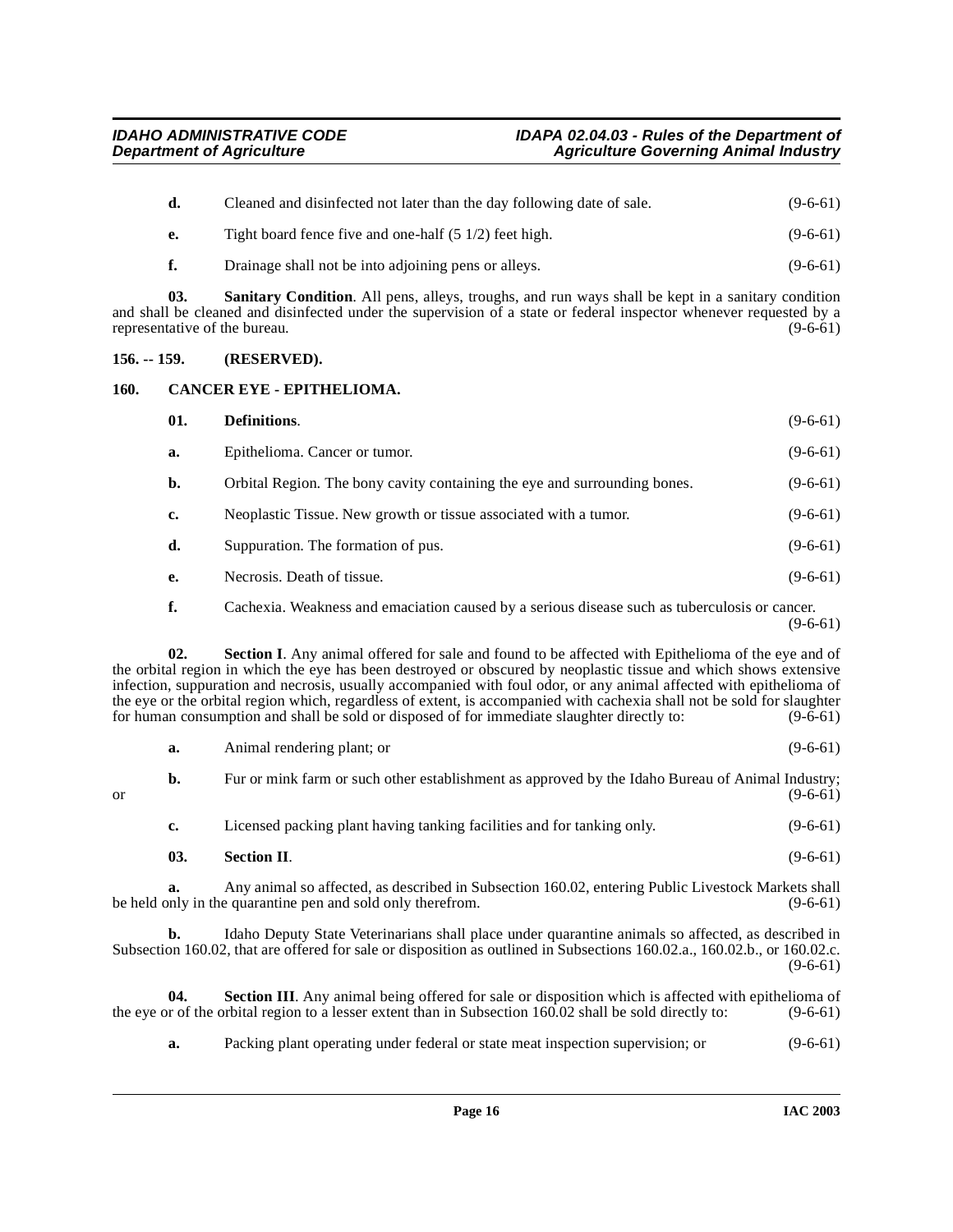<span id="page-15-3"></span><span id="page-15-2"></span><span id="page-15-1"></span><span id="page-15-0"></span>

|                                                                                                                                                                                                                                                                                                                                                                                                                                                                                                                                                                                               | d.                                                                                                                                                                                    | Cleaned and disinfected not later than the day following date of sale.                                                                                                                                                                                          | $(9-6-61)$ |  |  |  |
|-----------------------------------------------------------------------------------------------------------------------------------------------------------------------------------------------------------------------------------------------------------------------------------------------------------------------------------------------------------------------------------------------------------------------------------------------------------------------------------------------------------------------------------------------------------------------------------------------|---------------------------------------------------------------------------------------------------------------------------------------------------------------------------------------|-----------------------------------------------------------------------------------------------------------------------------------------------------------------------------------------------------------------------------------------------------------------|------------|--|--|--|
|                                                                                                                                                                                                                                                                                                                                                                                                                                                                                                                                                                                               | e.                                                                                                                                                                                    | Tight board fence five and one-half (5 1/2) feet high.                                                                                                                                                                                                          | $(9-6-61)$ |  |  |  |
|                                                                                                                                                                                                                                                                                                                                                                                                                                                                                                                                                                                               | f.                                                                                                                                                                                    | Drainage shall not be into adjoining pens or alleys.                                                                                                                                                                                                            | $(9-6-61)$ |  |  |  |
|                                                                                                                                                                                                                                                                                                                                                                                                                                                                                                                                                                                               | 03.                                                                                                                                                                                   | <b>Sanitary Condition.</b> All pens, alleys, troughs, and run ways shall be kept in a sanitary condition<br>and shall be cleaned and disinfected under the supervision of a state or federal inspector whenever requested by a<br>representative of the bureau. | $(9-6-61)$ |  |  |  |
| $156. - 159.$                                                                                                                                                                                                                                                                                                                                                                                                                                                                                                                                                                                 |                                                                                                                                                                                       | (RESERVED).                                                                                                                                                                                                                                                     |            |  |  |  |
| 160.                                                                                                                                                                                                                                                                                                                                                                                                                                                                                                                                                                                          |                                                                                                                                                                                       | CANCER EYE - EPITHELIOMA.                                                                                                                                                                                                                                       |            |  |  |  |
|                                                                                                                                                                                                                                                                                                                                                                                                                                                                                                                                                                                               | 01.                                                                                                                                                                                   | Definitions.                                                                                                                                                                                                                                                    | $(9-6-61)$ |  |  |  |
|                                                                                                                                                                                                                                                                                                                                                                                                                                                                                                                                                                                               | a.                                                                                                                                                                                    | Epithelioma. Cancer or tumor.                                                                                                                                                                                                                                   | $(9-6-61)$ |  |  |  |
|                                                                                                                                                                                                                                                                                                                                                                                                                                                                                                                                                                                               | b.                                                                                                                                                                                    | Orbital Region. The bony cavity containing the eye and surrounding bones.                                                                                                                                                                                       | $(9-6-61)$ |  |  |  |
|                                                                                                                                                                                                                                                                                                                                                                                                                                                                                                                                                                                               | c.                                                                                                                                                                                    | Neoplastic Tissue. New growth or tissue associated with a tumor.                                                                                                                                                                                                | $(9-6-61)$ |  |  |  |
|                                                                                                                                                                                                                                                                                                                                                                                                                                                                                                                                                                                               | d.                                                                                                                                                                                    | Suppuration. The formation of pus.                                                                                                                                                                                                                              | $(9-6-61)$ |  |  |  |
|                                                                                                                                                                                                                                                                                                                                                                                                                                                                                                                                                                                               | e.                                                                                                                                                                                    | Necrosis. Death of tissue.                                                                                                                                                                                                                                      | $(9-6-61)$ |  |  |  |
| f.<br>Cachexia. Weakness and emaciation caused by a serious disease such as tuberculosis or cancer.<br>$(9-6-61)$                                                                                                                                                                                                                                                                                                                                                                                                                                                                             |                                                                                                                                                                                       |                                                                                                                                                                                                                                                                 |            |  |  |  |
| 02.<br>Section I. Any animal offered for sale and found to be affected with Epithelioma of the eye and of<br>the orbital region in which the eye has been destroyed or obscured by neoplastic tissue and which shows extensive<br>infection, suppuration and necrosis, usually accompanied with foul odor, or any animal affected with epithelioma of<br>the eye or the orbital region which, regardless of extent, is accompanied with cachexia shall not be sold for slaughter<br>for human consumption and shall be sold or disposed of for immediate slaughter directly to:<br>$(9-6-61)$ |                                                                                                                                                                                       |                                                                                                                                                                                                                                                                 |            |  |  |  |
|                                                                                                                                                                                                                                                                                                                                                                                                                                                                                                                                                                                               | a.                                                                                                                                                                                    | Animal rendering plant; or                                                                                                                                                                                                                                      | $(9-6-61)$ |  |  |  |
| <b>or</b>                                                                                                                                                                                                                                                                                                                                                                                                                                                                                                                                                                                     | b.                                                                                                                                                                                    | Fur or mink farm or such other establishment as approved by the Idaho Bureau of Animal Industry;                                                                                                                                                                | $(9-6-61)$ |  |  |  |
|                                                                                                                                                                                                                                                                                                                                                                                                                                                                                                                                                                                               | c.                                                                                                                                                                                    | Licensed packing plant having tanking facilities and for tanking only.                                                                                                                                                                                          | $(9-6-61)$ |  |  |  |
|                                                                                                                                                                                                                                                                                                                                                                                                                                                                                                                                                                                               | 03.                                                                                                                                                                                   | <b>Section II.</b>                                                                                                                                                                                                                                              | $(9-6-61)$ |  |  |  |
|                                                                                                                                                                                                                                                                                                                                                                                                                                                                                                                                                                                               | Any animal so affected, as described in Subsection 160.02, entering Public Livestock Markets shall<br>а.<br>be held only in the quarantine pen and sold only therefrom.<br>$(9-6-61)$ |                                                                                                                                                                                                                                                                 |            |  |  |  |

<span id="page-15-5"></span><span id="page-15-4"></span>**b.** Idaho Deputy State Veterinarians shall place under quarantine animals so affected, as described in Subsection 160.02, that are offered for sale or disposition as outlined in Subsections 160.02.a., 160.02.b., or 160.02.c. (9-6-61)

**04. Section III**. Any animal being offered for sale or disposition which is affected with epithelioma of the eye or of the orbital region to a lesser extent than in Subsection 160.02 shall be sold directly to: (9-6-61)

<span id="page-15-6"></span>**a.** Packing plant operating under federal or state meat inspection supervision; or (9-6-61)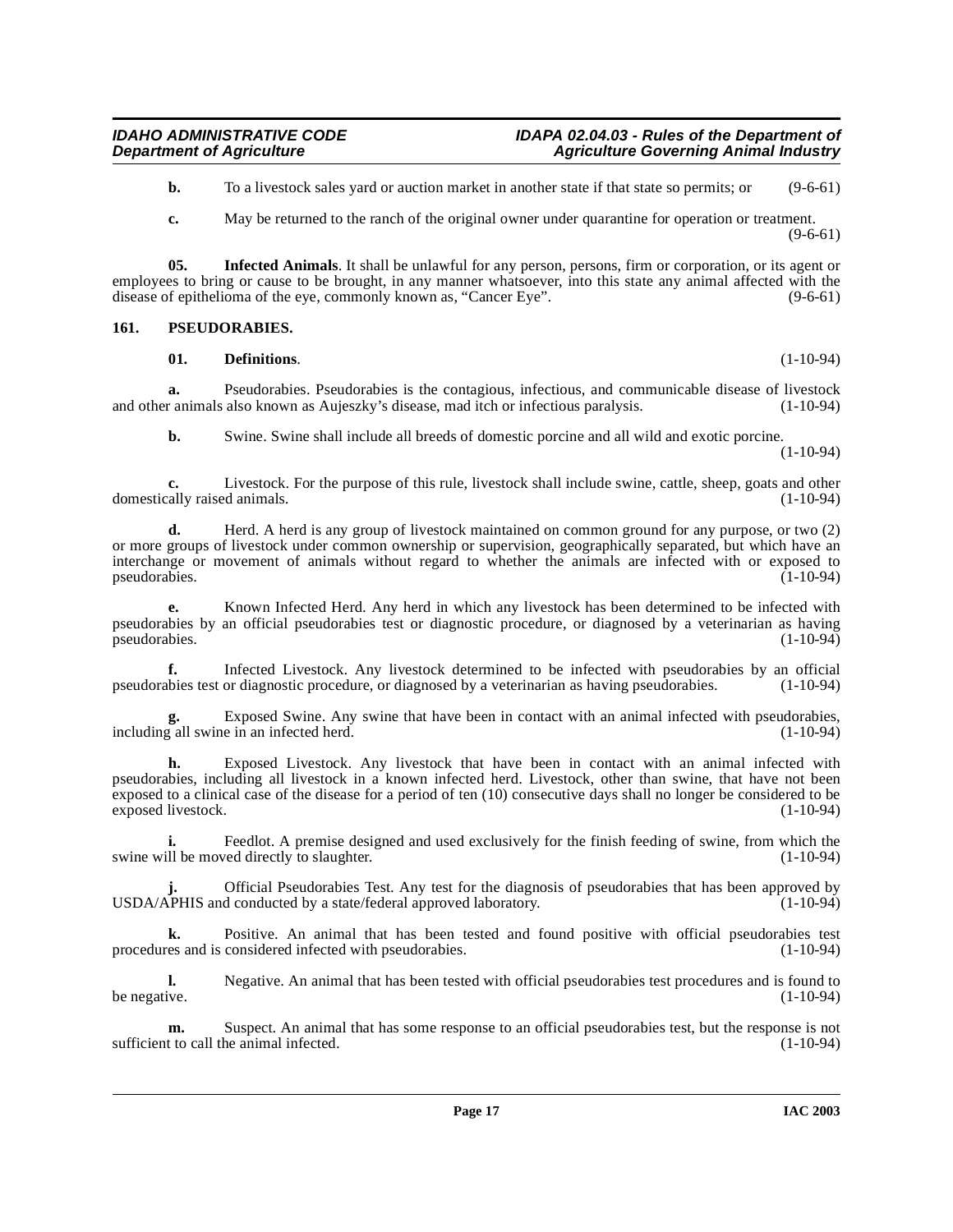**b.** To a livestock sales yard or auction market in another state if that state so permits; or (9-6-61)

<span id="page-16-1"></span>**c.** May be returned to the ranch of the original owner under quarantine for operation or treatment. (9-6-61)

**05. Infected Animals**. It shall be unlawful for any person, persons, firm or corporation, or its agent or employees to bring or cause to be brought, in any manner whatsoever, into this state any animal affected with the disease of epithelioma of the eye, commonly known as, "Cancer Eye". (9-6-61) disease of epithelioma of the eye, commonly known as, "Cancer Eye".

### <span id="page-16-0"></span>**161. PSEUDORABIES.**

### <span id="page-16-2"></span>**01. Definitions**. (1-10-94)

**a.** Pseudorabies. Pseudorabies is the contagious, infectious, and communicable disease of livestock and other animals also known as Aujeszky's disease, mad itch or infectious paralysis. (1-10-94)

**b.** Swine. Swine shall include all breeds of domestic porcine and all wild and exotic porcine. (1-10-94)

**c.** Livestock. For the purpose of this rule, livestock shall include swine, cattle, sheep, goats and other cally raised animals. (1-10-94) domestically raised animals.

**d.** Herd. A herd is any group of livestock maintained on common ground for any purpose, or two (2) or more groups of livestock under common ownership or supervision, geographically separated, but which have an interchange or movement of animals without regard to whether the animals are infected with or exposed to pseudorabies.

**e.** Known Infected Herd. Any herd in which any livestock has been determined to be infected with pseudorabies by an official pseudorabies test or diagnostic procedure, or diagnosed by a veterinarian as having pseudorabies.

**f.** Infected Livestock. Any livestock determined to be infected with pseudorabies by an official objects tor diagnostic procedure, or diagnosed by a veterinarian as having pseudorabies. (1-10-94) pseudorabies test or diagnostic procedure, or diagnosed by a veterinarian as having pseudorabies.

**g.** Exposed Swine. Any swine that have been in contact with an animal infected with pseudorabies, including all swine in an infected herd. (1-10-94)

**h.** Exposed Livestock. Any livestock that have been in contact with an animal infected with pseudorabies, including all livestock in a known infected herd. Livestock, other than swine, that have not been exposed to a clinical case of the disease for a period of ten (10) consecutive days shall no longer be considered to be exposed livestock.

**i.** Feedlot. A premise designed and used exclusively for the finish feeding of swine, from which the swine will be moved directly to slaughter. (1-10-94)

Official Pseudorabies Test. Any test for the diagnosis of pseudorabies that has been approved by d conducted by a state/federal approved laboratory. (1-10-94) USDA/APHIS and conducted by a state/federal approved laboratory.

**k.** Positive. An animal that has been tested and found positive with official pseudorabies test es and is considered infected with pseudorabies. (1-10-94) procedures and is considered infected with pseudorabies.

**l.** Negative. An animal that has been tested with official pseudorabies test procedures and is found to be negative. (1-10-94) be negative.  $(1-10-94)$ 

**m.** Suspect. An animal that has some response to an official pseudorabies test, but the response is not t to call the animal infected. (1-10-94) sufficient to call the animal infected.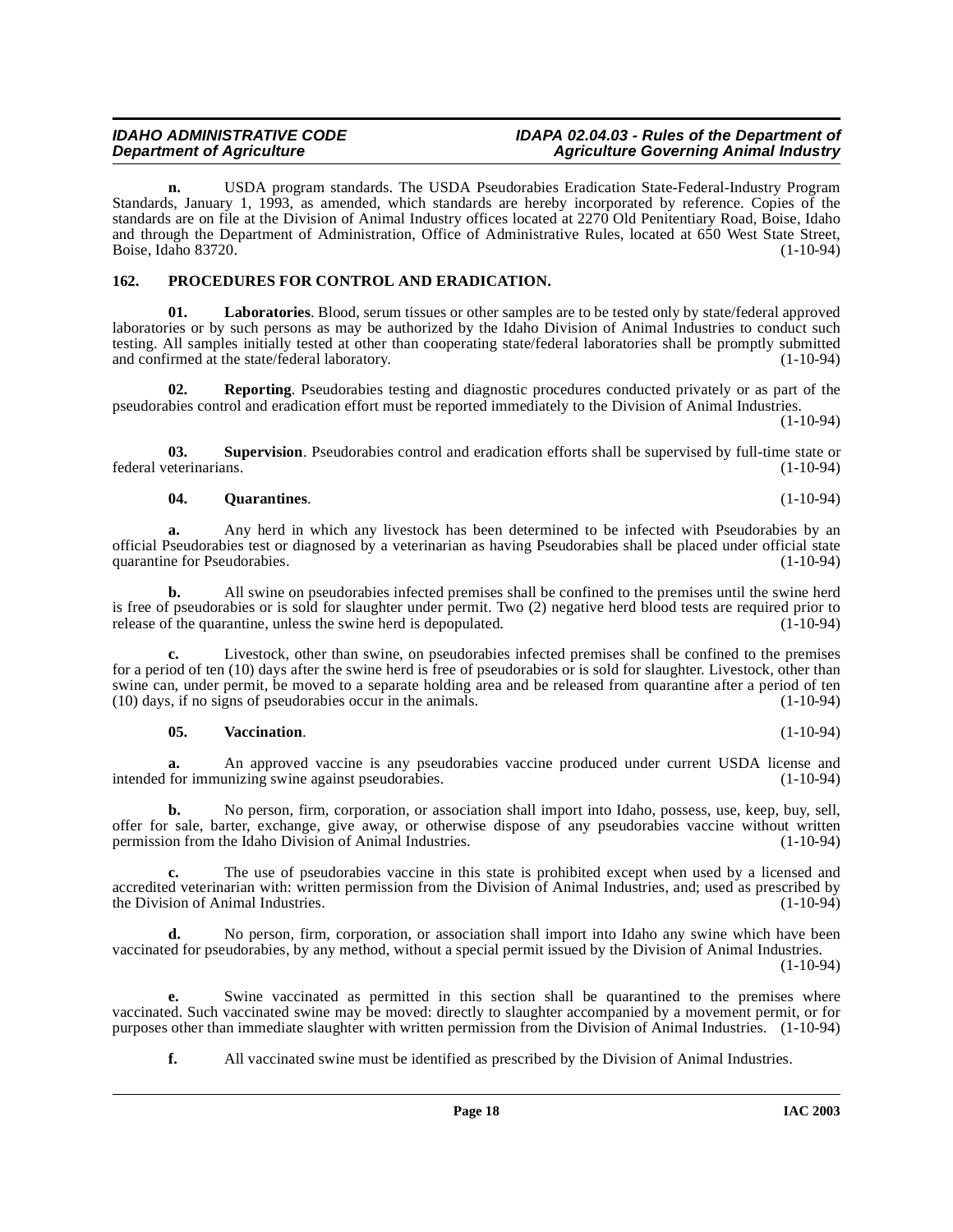# **IDAHO ADMINISTRATIVE CODE IDAPA 02.04.03 - Rules of the Department of**

**n.** USDA program standards. The USDA Pseudorabies Eradication State-Federal-Industry Program Standards, January 1, 1993, as amended, which standards are hereby incorporated by reference. Copies of the standards are on file at the Division of Animal Industry offices located at 2270 Old Penitentiary Road, Boise, Idaho and through the Department of Administration, Office of Administrative Rules, located at 650 West State Street, Boise, Idaho 83720. (1-10-94)

### <span id="page-17-1"></span><span id="page-17-0"></span>**162. PROCEDURES FOR CONTROL AND ERADICATION.**

**01. Laboratories**. Blood, serum tissues or other samples are to be tested only by state/federal approved laboratories or by such persons as may be authorized by the Idaho Division of Animal Industries to conduct such testing. All samples initially tested at other than cooperating state/federal laboratories shall be promptly submitted and confirmed at the state/federal laboratory.

**Reporting**. Pseudorabies testing and diagnostic procedures conducted privately or as part of the pseudorabies control and eradication effort must be reported immediately to the Division of Animal Industries. (1-10-94)

**03. Supervision**. Pseudorabies control and eradication efforts shall be supervised by full-time state or federal veterinarians. (1-10-94)

#### <span id="page-17-3"></span><span id="page-17-2"></span>**04. Quarantines**. (1-10-94)

**a.** Any herd in which any livestock has been determined to be infected with Pseudorabies by an official Pseudorabies test or diagnosed by a veterinarian as having Pseudorabies shall be placed under official state quarantine for Pseudorabies. (1-10-94)

**b.** All swine on pseudorabies infected premises shall be confined to the premises until the swine herd is free of pseudorabies or is sold for slaughter under permit. Two (2) negative herd blood tests are required prior to release of the quarantine, unless the swine herd is depopulated. (1-10-94) release of the quarantine, unless the swine herd is depopulated.

**c.** Livestock, other than swine, on pseudorabies infected premises shall be confined to the premises for a period of ten (10) days after the swine herd is free of pseudorabies or is sold for slaughter. Livestock, other than swine can, under permit, be moved to a separate holding area and be released from quarantine after a period of ten (10) days, if no signs of pseudorabies occur in the animals. (1-10-94)  $(10)$  days, if no signs of pseudorabies occur in the animals.

### <span id="page-17-4"></span>**05. Vaccination**. (1-10-94)

**a.** An approved vaccine is any pseudorabies vaccine produced under current USDA license and intended for immunizing swine against pseudorabies. (1-10-94)

**b.** No person, firm, corporation, or association shall import into Idaho, possess, use, keep, buy, sell, offer for sale, barter, exchange, give away, or otherwise dispose of any pseudorabies vaccine without written permission from the Idaho Division of Animal Industries. (1-10-94)

**c.** The use of pseudorabies vaccine in this state is prohibited except when used by a licensed and accredited veterinarian with: written permission from the Division of Animal Industries, and; used as prescribed by the Division of Animal Industries. (1-10-94)

**d.** No person, firm, corporation, or association shall import into Idaho any swine which have been vaccinated for pseudorabies, by any method, without a special permit issued by the Division of Animal Industries.  $(1-10-94)$ 

**e.** Swine vaccinated as permitted in this section shall be quarantined to the premises where vaccinated. Such vaccinated swine may be moved: directly to slaughter accompanied by a movement permit, or for purposes other than immediate slaughter with written permission from the Division of Animal Industries. (1-10-94)

**f.** All vaccinated swine must be identified as prescribed by the Division of Animal Industries.

**Agriculture Governing Animal Industry**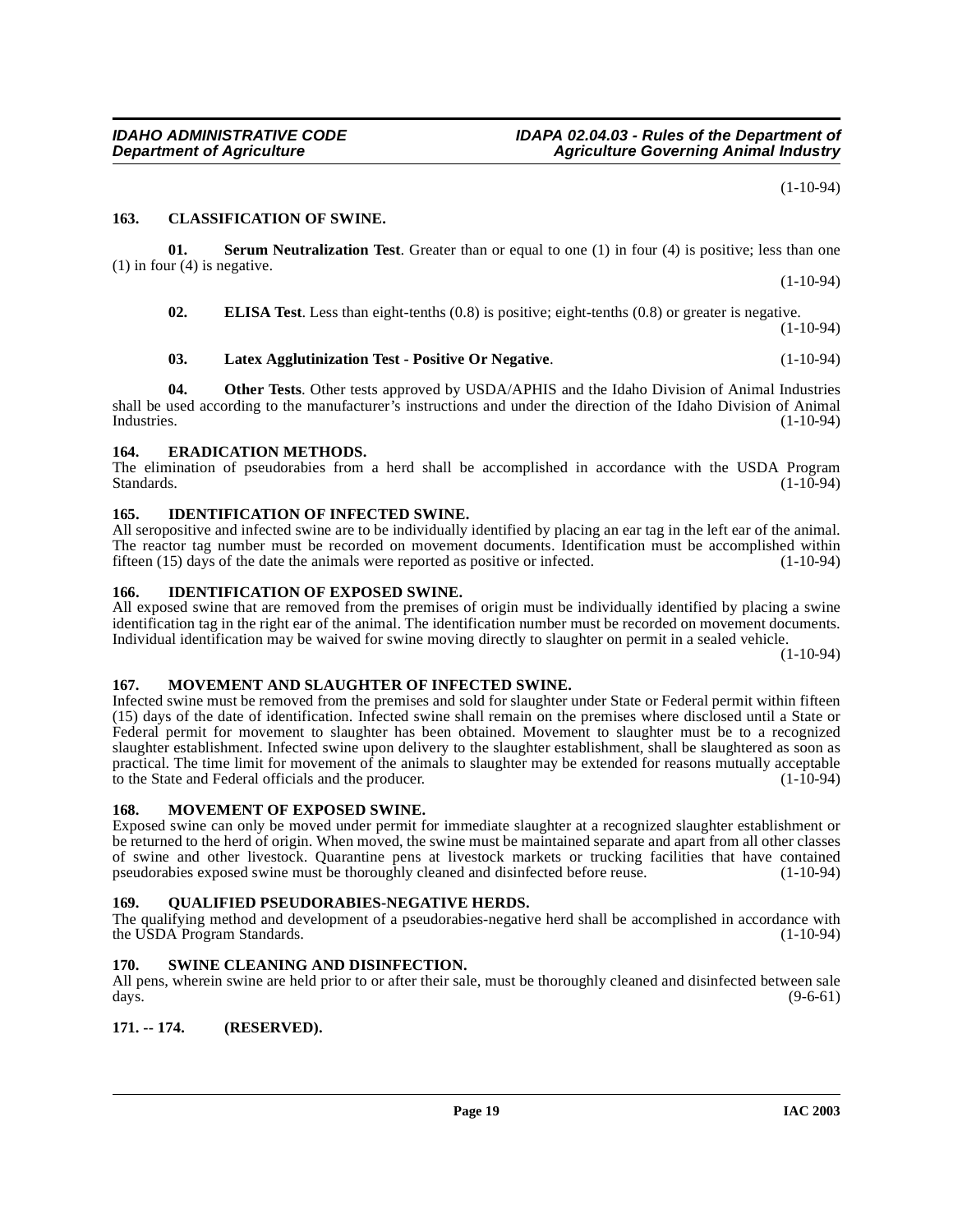#### <span id="page-18-9"></span><span id="page-18-0"></span>**163. CLASSIFICATION OF SWINE.**

**01. Serum Neutralization Test**. Greater than or equal to one (1) in four (4) is positive; less than one (1) in four (4) is negative. (1-10-94)

<span id="page-18-18"></span><span id="page-18-10"></span>**02. ELISA Test**. Less than eight-tenths (0.8) is positive; eight-tenths (0.8) or greater is negative. (1-10-94)

# <span id="page-18-14"></span>**03. Latex Agglutinization Test - Positive Or Negative**. (1-10-94)

**04. Other Tests**. Other tests approved by USDA/APHIS and the Idaho Division of Animal Industries shall be used according to the manufacturer's instructions and under the direction of the Idaho Division of Animal Industries. (1-10-94)

#### <span id="page-18-11"></span><span id="page-18-1"></span>**164. ERADICATION METHODS.**

The elimination of pseudorabies from a herd shall be accomplished in accordance with the USDA Program Standards. (1-10-94)

### <span id="page-18-13"></span><span id="page-18-2"></span>**165. IDENTIFICATION OF INFECTED SWINE.**

All seropositive and infected swine are to be individually identified by placing an ear tag in the left ear of the animal. The reactor tag number must be recorded on movement documents. Identification must be accomplished within fifteen (15) days of the date the animals were reported as positive or infected. (1-10-94)

#### <span id="page-18-12"></span><span id="page-18-3"></span>**166. IDENTIFICATION OF EXPOSED SWINE.**

All exposed swine that are removed from the premises of origin must be individually identified by placing a swine identification tag in the right ear of the animal. The identification number must be recorded on movement documents. Individual identification may be waived for swine moving directly to slaughter on permit in a sealed vehicle.

 $(1-10-94)$ 

#### <span id="page-18-15"></span><span id="page-18-4"></span>**167. MOVEMENT AND SLAUGHTER OF INFECTED SWINE.**

Infected swine must be removed from the premises and sold for slaughter under State or Federal permit within fifteen (15) days of the date of identification. Infected swine shall remain on the premises where disclosed until a State or Federal permit for movement to slaughter has been obtained. Movement to slaughter must be to a recognized slaughter establishment. Infected swine upon delivery to the slaughter establishment, shall be slaughtered as soon as practical. The time limit for movement of the animals to slaughter may be extended for reasons mutually acceptable<br>to the State and Federal officials and the producer. (1-10-94) to the State and Federal officials and the producer.

#### <span id="page-18-16"></span><span id="page-18-5"></span>**168. MOVEMENT OF EXPOSED SWINE.**

Exposed swine can only be moved under permit for immediate slaughter at a recognized slaughter establishment or be returned to the herd of origin. When moved, the swine must be maintained separate and apart from all other classes of swine and other livestock. Quarantine pens at livestock markets or trucking facilities that have contained pseudorabies exposed swine must be thoroughly cleaned and disinfected before reuse. (1-10-94) pseudorabies exposed swine must be thoroughly cleaned and disinfected before reuse.

#### <span id="page-18-17"></span><span id="page-18-6"></span>**169. QUALIFIED PSEUDORABIES-NEGATIVE HERDS.**

The qualifying method and development of a pseudorabies-negative herd shall be accomplished in accordance with the USDA Program Standards. (1-10-94)

## <span id="page-18-19"></span><span id="page-18-7"></span>**170. SWINE CLEANING AND DISINFECTION.**

All pens, wherein swine are held prior to or after their sale, must be thoroughly cleaned and disinfected between sale days. (9-6-61)

# <span id="page-18-8"></span>**171. -- 174. (RESERVED).**

(1-10-94)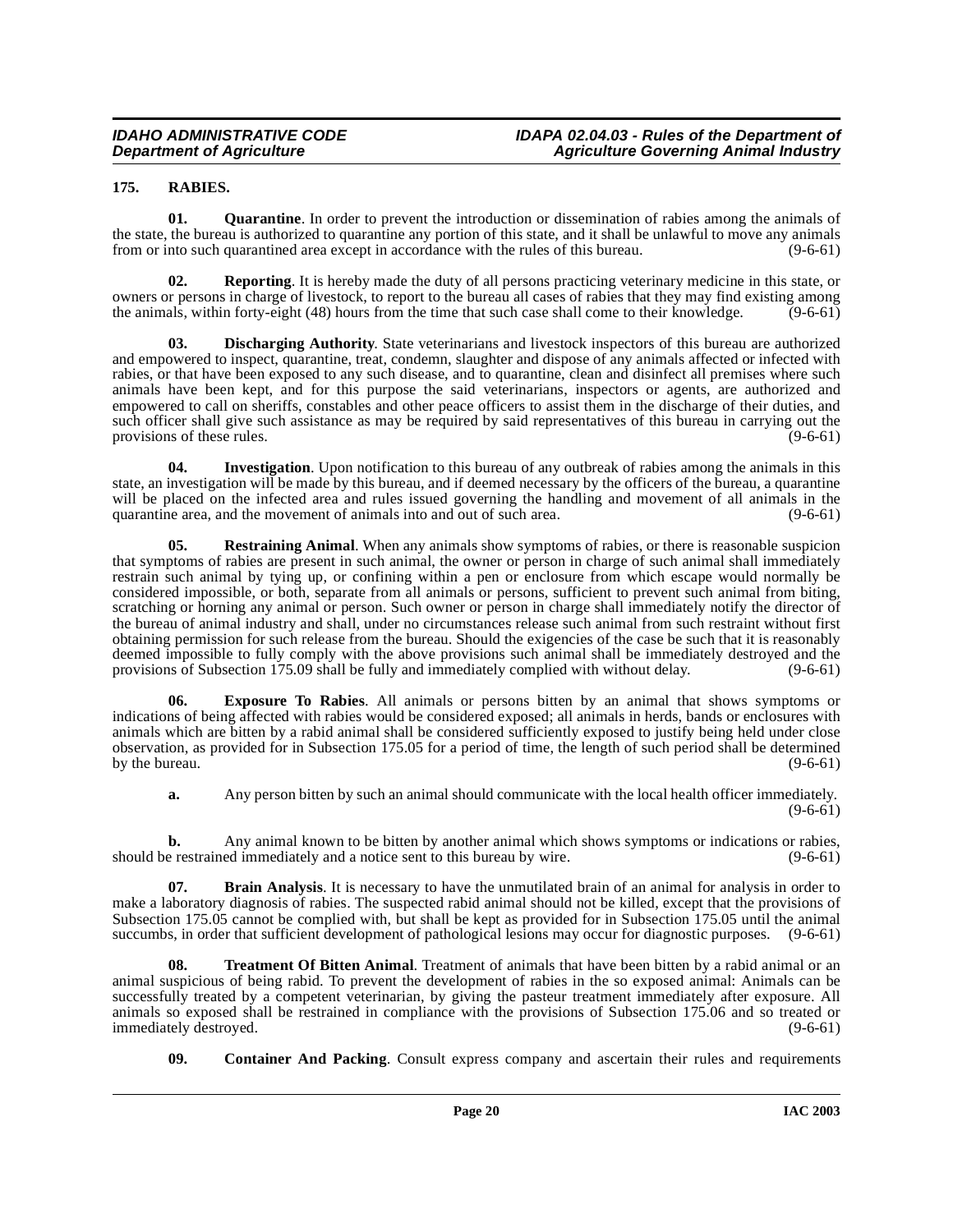# <span id="page-19-6"></span><span id="page-19-0"></span>**175. RABIES.**

**01. Quarantine**. In order to prevent the introduction or dissemination of rabies among the animals of the state, the bureau is authorized to quarantine any portion of this state, and it shall be unlawful to move any animals from or into such quarantined area except in accordance with the rules of this bureau. (9-6-61)

**02. Reporting**. It is hereby made the duty of all persons practicing veterinary medicine in this state, or owners or persons in charge of livestock, to report to the bureau all cases of rabies that they may find existing among the animals, within forty-eight (48) hours from the time that such case shall come to their knowledge. (9-6-61)

<span id="page-19-3"></span>**03. Discharging Authority**. State veterinarians and livestock inspectors of this bureau are authorized and empowered to inspect, quarantine, treat, condemn, slaughter and dispose of any animals affected or infected with rabies, or that have been exposed to any such disease, and to quarantine, clean and disinfect all premises where such animals have been kept, and for this purpose the said veterinarians, inspectors or agents, are authorized and empowered to call on sheriffs, constables and other peace officers to assist them in the discharge of their duties, and such officer shall give such assistance as may be required by said representatives of this bureau in carrying out the provisions of these rules. (9-6-61) provisions of these rules.

<span id="page-19-5"></span>**04. Investigation**. Upon notification to this bureau of any outbreak of rabies among the animals in this state, an investigation will be made by this bureau, and if deemed necessary by the officers of the bureau, a quarantine will be placed on the infected area and rules issued governing the handling and movement of all animals in the quarantine area, and the movement of animals into and out of such area. (9-6-61) quarantine area, and the movement of animals into and out of such area.

<span id="page-19-7"></span>**05.** Restraining Animal. When any animals show symptoms of rabies, or there is reasonable suspicion that symptoms of rabies are present in such animal, the owner or person in charge of such animal shall immediately restrain such animal by tying up, or confining within a pen or enclosure from which escape would normally be considered impossible, or both, separate from all animals or persons, sufficient to prevent such animal from biting, scratching or horning any animal or person. Such owner or person in charge shall immediately notify the director of the bureau of animal industry and shall, under no circumstances release such animal from such restraint without first obtaining permission for such release from the bureau. Should the exigencies of the case be such that it is reasonably deemed impossible to fully comply with the above provisions such animal shall be immediately destroyed and the provisions of Subsection 175.09 shall be fully and immediately complied with without delay. (9-6-61)

<span id="page-19-4"></span>**06. Exposure To Rabies**. All animals or persons bitten by an animal that shows symptoms or indications of being affected with rabies would be considered exposed; all animals in herds, bands or enclosures with animals which are bitten by a rabid animal shall be considered sufficiently exposed to justify being held under close observation, as provided for in Subsection 175.05 for a period of time, the length of such period shall be determined by the bureau.

<span id="page-19-1"></span>**a.** Any person bitten by such an animal should communicate with the local health officer immediately. (9-6-61)

**b.** Any animal known to be bitten by another animal which shows symptoms or indications or rabies, should be restrained immediately and a notice sent to this bureau by wire. (9-6-61)

**07. Brain Analysis**. It is necessary to have the unmutilated brain of an animal for analysis in order to make a laboratory diagnosis of rabies. The suspected rabid animal should not be killed, except that the provisions of Subsection 175.05 cannot be complied with, but shall be kept as provided for in Subsection 175.05 until the animal succumbs, in order that sufficient development of pathological lesions may occur for diagnostic purposes. (9-6-61)

<span id="page-19-8"></span>**08. Treatment Of Bitten Animal**. Treatment of animals that have been bitten by a rabid animal or an animal suspicious of being rabid. To prevent the development of rabies in the so exposed animal: Animals can be successfully treated by a competent veterinarian, by giving the pasteur treatment immediately after exposure. All animals so exposed shall be restrained in compliance with the provisions of Subsection 175.06 and so treated or immediately destroyed.

<span id="page-19-2"></span>**09.** Container And Packing. Consult express company and ascertain their rules and requirements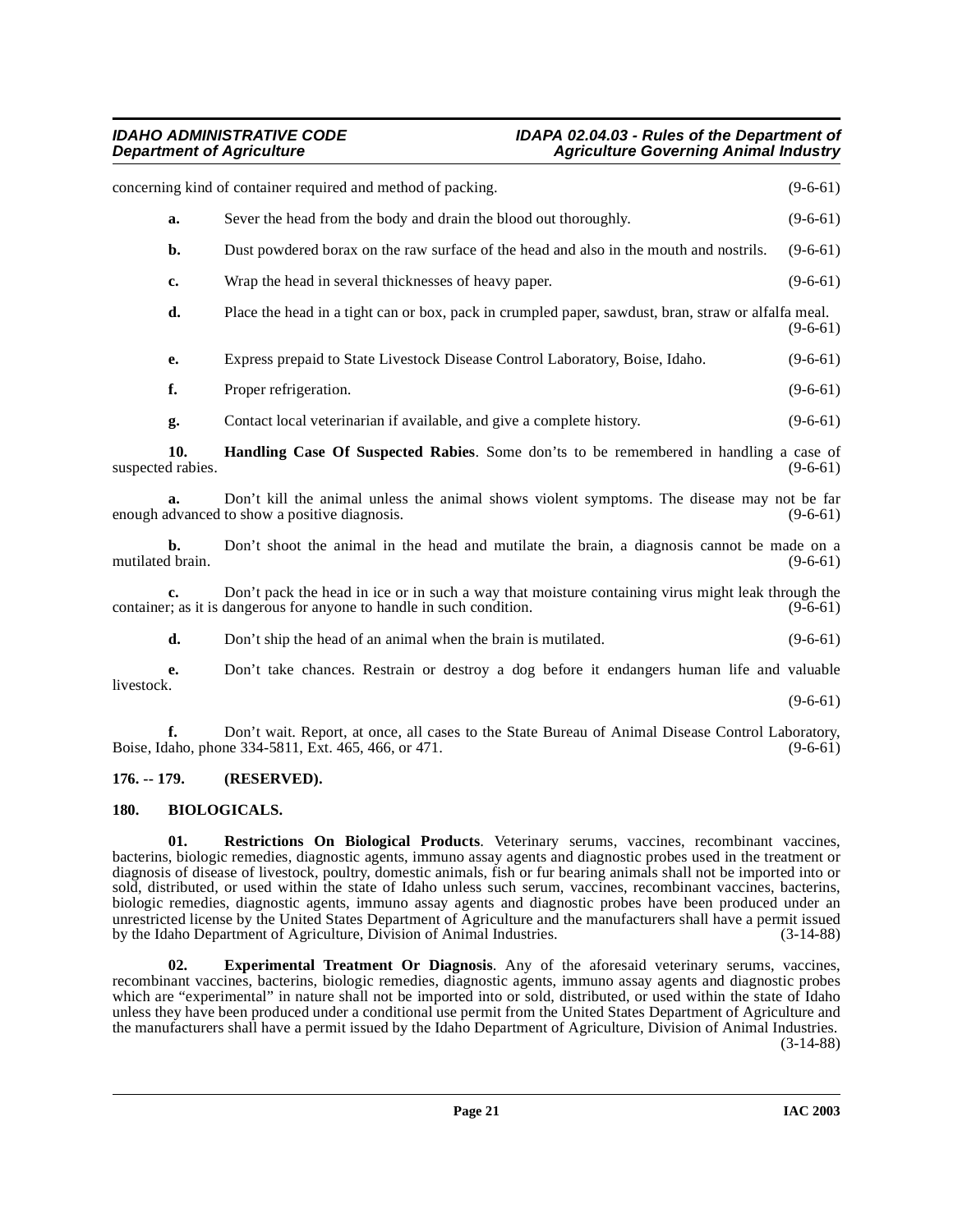<span id="page-20-4"></span>

|                          | concerning kind of container required and method of packing.                                                                                                               | $(9-6-61)$ |
|--------------------------|----------------------------------------------------------------------------------------------------------------------------------------------------------------------------|------------|
| a.                       | Sever the head from the body and drain the blood out thoroughly.                                                                                                           | $(9-6-61)$ |
| b.                       | Dust powdered borax on the raw surface of the head and also in the mouth and nostrils.                                                                                     | $(9-6-61)$ |
| c.                       | Wrap the head in several thicknesses of heavy paper.                                                                                                                       | $(9-6-61)$ |
| d.                       | Place the head in a tight can or box, pack in crumpled paper, sawdust, bran, straw or alfalfa meal.                                                                        | $(9-6-61)$ |
| e.                       | Express prepaid to State Livestock Disease Control Laboratory, Boise, Idaho.                                                                                               | $(9-6-61)$ |
| f.                       | Proper refrigeration.                                                                                                                                                      | $(9-6-61)$ |
| g.                       | Contact local veterinarian if available, and give a complete history.                                                                                                      | $(9-6-61)$ |
| 10.<br>suspected rabies. | <b>Handling Case Of Suspected Rabies.</b> Some don'ts to be remembered in handling a case of                                                                               | $(9-6-61)$ |
| $a_{\cdot}$              | Don't kill the animal unless the animal shows violent symptoms. The disease may not be far<br>enough advanced to show a positive diagnosis.                                | $(9-6-61)$ |
| b.<br>mutilated brain.   | Don't shoot the animal in the head and mutilate the brain, a diagnosis cannot be made on a                                                                                 | $(9-6-61)$ |
| c.                       | Don't pack the head in ice or in such a way that moisture containing virus might leak through the<br>container; as it is dangerous for anyone to handle in such condition. | $(9-6-61)$ |
| d.                       | Don't ship the head of an animal when the brain is mutilated.                                                                                                              | $(9-6-61)$ |
| e.                       | Don't take chances. Restrain or destroy a dog before it endangers human life and valuable                                                                                  |            |
| livestock.               |                                                                                                                                                                            | $(9-6-61)$ |
| f.                       | Don't wait. Report, at once, all cases to the State Bureau of Animal Disease Control Laboratory,<br>Boise, Idaho, phone 334-5811, Ext. 465, 466, or 471.                   | $(9-6-61)$ |

# <span id="page-20-0"></span>**176. -- 179. (RESERVED).**

# <span id="page-20-2"></span><span id="page-20-1"></span>**180. BIOLOGICALS.**

<span id="page-20-5"></span>**01. Restrictions On Biological Products**. Veterinary serums, vaccines, recombinant vaccines, bacterins, biologic remedies, diagnostic agents, immuno assay agents and diagnostic probes used in the treatment or diagnosis of disease of livestock, poultry, domestic animals, fish or fur bearing animals shall not be imported into or sold, distributed, or used within the state of Idaho unless such serum, vaccines, recombinant vaccines, bacterins, biologic remedies, diagnostic agents, immuno assay agents and diagnostic probes have been produced under an unrestricted license by the United States Department of Agriculture and the manufacturers shall have a permit issued by the Idaho Department of Agriculture, Division of Animal Industries. (3-14-88)

<span id="page-20-3"></span>**02. Experimental Treatment Or Diagnosis**. Any of the aforesaid veterinary serums, vaccines, recombinant vaccines, bacterins, biologic remedies, diagnostic agents, immuno assay agents and diagnostic probes which are "experimental" in nature shall not be imported into or sold, distributed, or used within the state of Idaho unless they have been produced under a conditional use permit from the United States Department of Agriculture and the manufacturers shall have a permit issued by the Idaho Department of Agriculture, Division of Animal Industries. (3-14-88)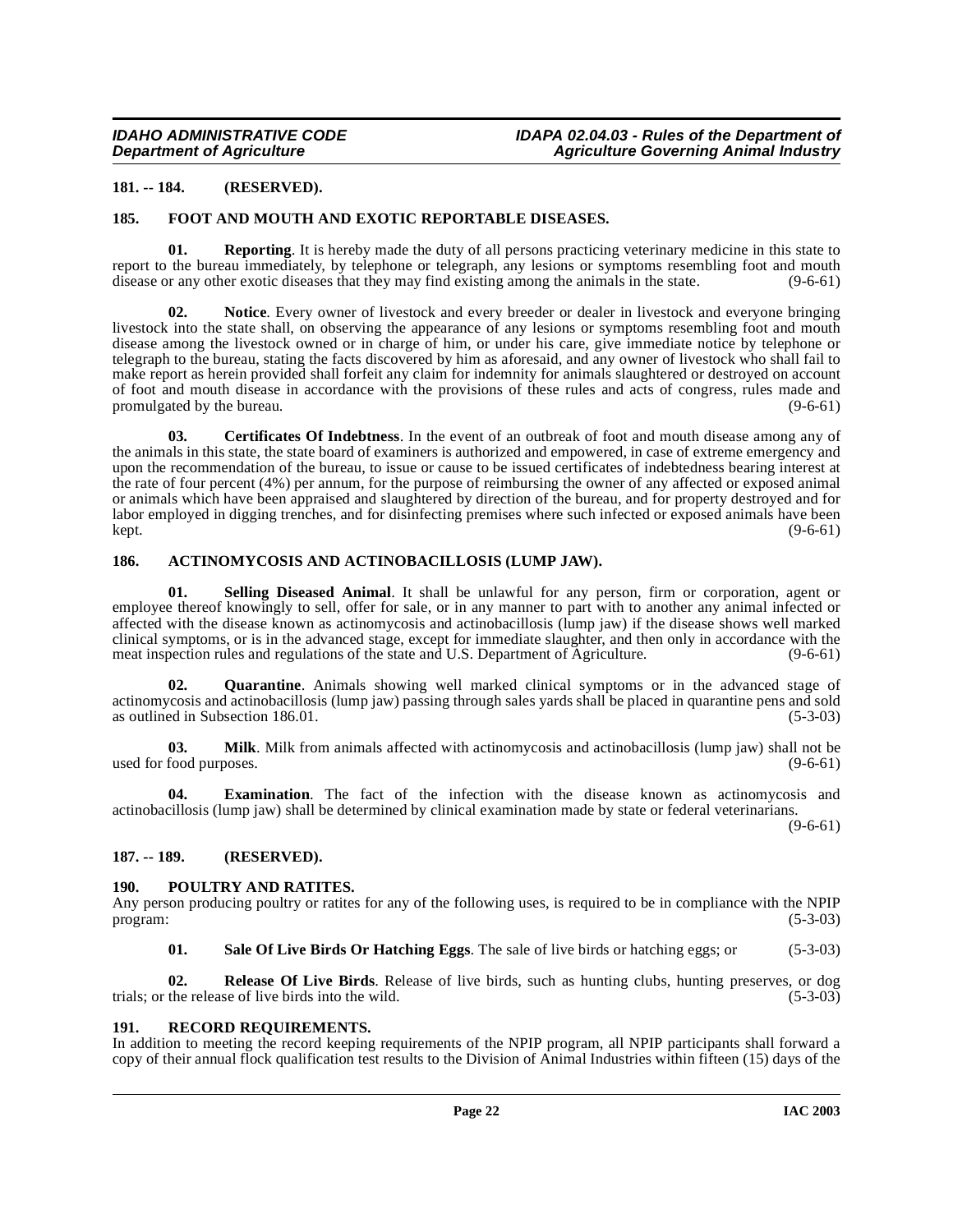### <span id="page-21-0"></span>**181. -- 184. (RESERVED).**

### <span id="page-21-8"></span><span id="page-21-1"></span>**185. FOOT AND MOUTH AND EXOTIC REPORTABLE DISEASES.**

**01. Reporting**. It is hereby made the duty of all persons practicing veterinary medicine in this state to report to the bureau immediately, by telephone or telegraph, any lesions or symptoms resembling foot and mouth disease or any other exotic diseases that they may find existing among the animals in the state. (9-6-61) disease or any other exotic diseases that they may find existing among the animals in the state.

<span id="page-21-10"></span>**02. Notice**. Every owner of livestock and every breeder or dealer in livestock and everyone bringing livestock into the state shall, on observing the appearance of any lesions or symptoms resembling foot and mouth disease among the livestock owned or in charge of him, or under his care, give immediate notice by telephone or telegraph to the bureau, stating the facts discovered by him as aforesaid, and any owner of livestock who shall fail to make report as herein provided shall forfeit any claim for indemnity for animals slaughtered or destroyed on account of foot and mouth disease in accordance with the provisions of these rules and acts of congress, rules made and promulgated by the bureau. (9-6-61)  $(9-6-61)$ 

<span id="page-21-7"></span>**03. Certificates Of Indebtness**. In the event of an outbreak of foot and mouth disease among any of the animals in this state, the state board of examiners is authorized and empowered, in case of extreme emergency and upon the recommendation of the bureau, to issue or cause to be issued certificates of indebtedness bearing interest at the rate of four percent (4%) per annum, for the purpose of reimbursing the owner of any affected or exposed animal or animals which have been appraised and slaughtered by direction of the bureau, and for property destroyed and for labor employed in digging trenches, and for disinfecting premises where such infected or exposed animals have been<br>(9-6-61) kept. (9-6-61)

### <span id="page-21-6"></span><span id="page-21-2"></span>**186. ACTINOMYCOSIS AND ACTINOBACILLOSIS (LUMP JAW).**

<span id="page-21-15"></span>**01. Selling Diseased Animal**. It shall be unlawful for any person, firm or corporation, agent or employee thereof knowingly to sell, offer for sale, or in any manner to part with to another any animal infected or affected with the disease known as actinomycosis and actinobacillosis (lump jaw) if the disease shows well marked clinical symptoms, or is in the advanced stage, except for immediate slaughter, and then only in accordance with the meat inspection rules and regulations of the state and U.S. Department of Agriculture. (9-6-61)

**Quarantine**. Animals showing well marked clinical symptoms or in the advanced stage of actinomycosis and actinobacillosis (lump jaw) passing through sales yards shall be placed in quarantine pens and sold as outlined in Subsection 186.01. (5-3-03)

<span id="page-21-9"></span>**03. Milk**. Milk from animals affected with actinomycosis and actinobacillosis (lump jaw) shall not be food purposes. (9-6-61) used for food purposes.

**04. Examination**. The fact of the infection with the disease known as actinomycosis and actinobacillosis (lump jaw) shall be determined by clinical examination made by state or federal veterinarians.

 $(9-6-61)$ 

#### <span id="page-21-3"></span>**187. -- 189. (RESERVED).**

#### <span id="page-21-11"></span><span id="page-21-4"></span>**190. POULTRY AND RATITES.**

Any person producing poultry or ratites for any of the following uses, is required to be in compliance with the NPIP program: (5-3-03)

<span id="page-21-14"></span><span id="page-21-13"></span>**01. Sale Of Live Birds Or Hatching Eggs**. The sale of live birds or hatching eggs; or (5-3-03)

**02. Release Of Live Birds**. Release of live birds, such as hunting clubs, hunting preserves, or dog trials; or the release of live birds into the wild. (5-3-03)

#### <span id="page-21-12"></span><span id="page-21-5"></span>**191. RECORD REQUIREMENTS.**

In addition to meeting the record keeping requirements of the NPIP program, all NPIP participants shall forward a copy of their annual flock qualification test results to the Division of Animal Industries within fifteen (15) days of the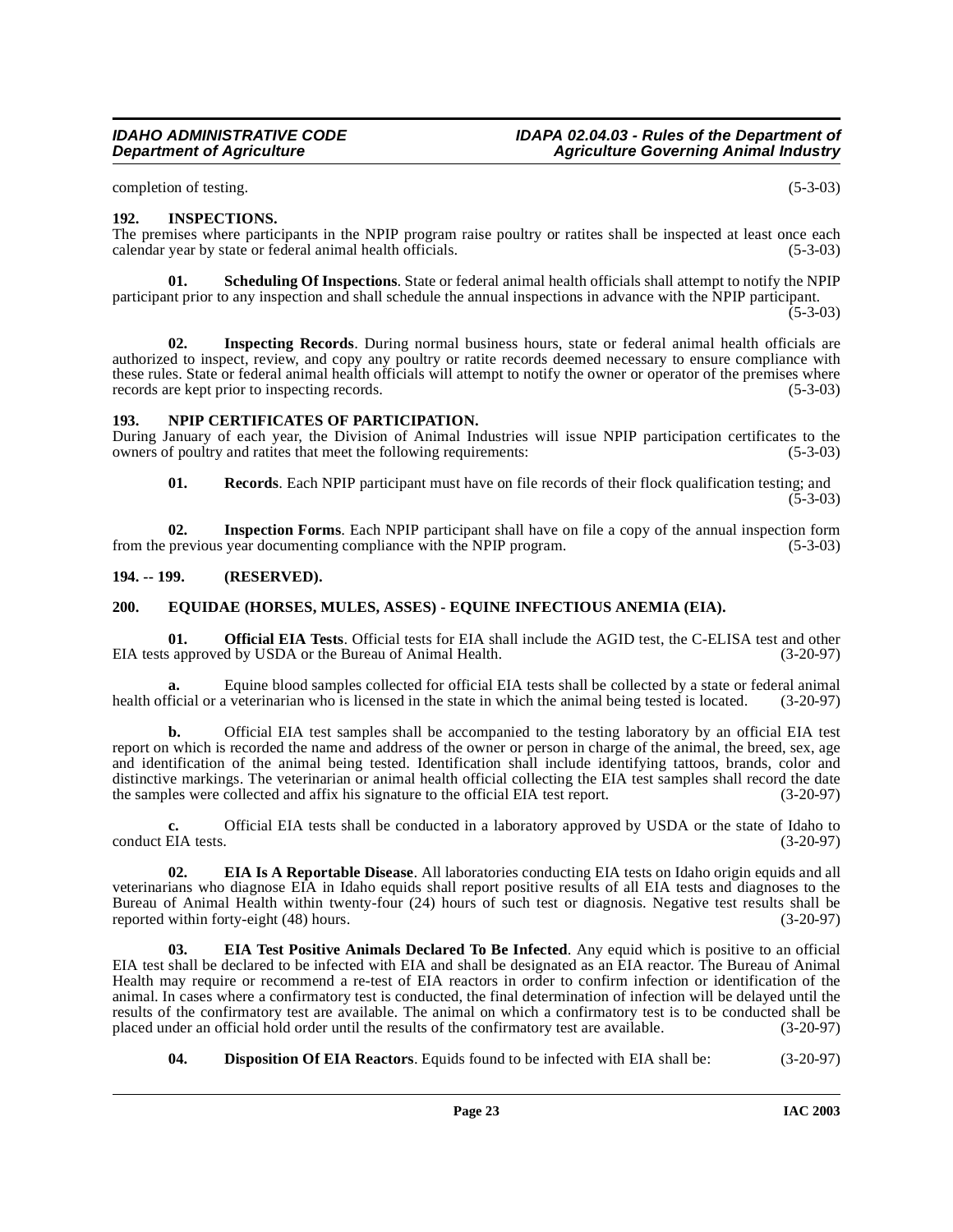completion of testing. (5-3-03)

### <span id="page-22-8"></span><span id="page-22-0"></span>**192. INSPECTIONS.**

The premises where participants in the NPIP program raise poultry or ratites shall be inspected at least once each calendar year by state or federal animal health officials.

**01. Scheduling Of Inspections**. State or federal animal health officials shall attempt to notify the NPIP participant prior to any inspection and shall schedule the annual inspections in advance with the NPIP participant.

 $(5-3-03)$ 

**02. Inspecting Records**. During normal business hours, state or federal animal health officials are authorized to inspect, review, and copy any poultry or ratite records deemed necessary to ensure compliance with these rules. State or federal animal health officials will attempt to notify the owner or operator of the premises where records are kept prior to inspecting records. (5-3-03)

### <span id="page-22-9"></span><span id="page-22-1"></span>**193. NPIP CERTIFICATES OF PARTICIPATION.**

During January of each year, the Division of Animal Industries will issue NPIP participation certificates to the owners of poultry and ratites that meet the following requirements: (5-3-03) owners of poultry and ratites that meet the following requirements:

**01. Records**. Each NPIP participant must have on file records of their flock qualification testing; and  $(5-3-03)$ 

**02.** Inspection Forms. Each NPIP participant shall have on file a copy of the annual inspection form previous vear documenting compliance with the NPIP program. (5-3-03) from the previous year documenting compliance with the NPIP program.

### <span id="page-22-2"></span>**194. -- 199. (RESERVED).**

### <span id="page-22-7"></span><span id="page-22-3"></span>**200. EQUIDAE (HORSES, MULES, ASSES) - EQUINE INFECTIOUS ANEMIA (EIA).**

<span id="page-22-10"></span>**01. Official EIA Tests**. Official tests for EIA shall include the AGID test, the C-ELISA test and other a approved by USDA or the Bureau of Animal Health. EIA tests approved by USDA or the Bureau of Animal Health.

**a.** Equine blood samples collected for official EIA tests shall be collected by a state or federal animal health official or a veterinarian who is licensed in the state in which the animal being tested is located. (3-20-97)

**b.** Official EIA test samples shall be accompanied to the testing laboratory by an official EIA test report on which is recorded the name and address of the owner or person in charge of the animal, the breed, sex, age and identification of the animal being tested. Identification shall include identifying tattoos, brands, color and distinctive markings. The veterinarian or animal health official collecting the EIA test samples shall record the date the samples were collected and affix his signature to the official EIA test report. (3-20-97) the samples were collected and affix his signature to the official EIA test report.

**c.** Official EIA tests shall be conducted in a laboratory approved by USDA or the state of Idaho to conduct EIA tests. (3-20-97)

<span id="page-22-5"></span>**02. EIA Is A Reportable Disease**. All laboratories conducting EIA tests on Idaho origin equids and all veterinarians who diagnose EIA in Idaho equids shall report positive results of all EIA tests and diagnoses to the Bureau of Animal Health within twenty-four (24) hours of such test or diagnosis. Negative test results shall be reported within forty-eight (48) hours. (3-20-97)

<span id="page-22-6"></span>**03. EIA Test Positive Animals Declared To Be Infected**. Any equid which is positive to an official EIA test shall be declared to be infected with EIA and shall be designated as an EIA reactor. The Bureau of Animal Health may require or recommend a re-test of EIA reactors in order to confirm infection or identification of the animal. In cases where a confirmatory test is conducted, the final determination of infection will be delayed until the results of the confirmatory test are available. The animal on which a confirmatory test is to be conducted shall be placed under an official hold order until the results of the confirmatory test are available. (3-20-97) placed under an official hold order until the results of the confirmatory test are available.

<span id="page-22-4"></span>**04. Disposition Of EIA Reactors**. Equids found to be infected with EIA shall be: (3-20-97)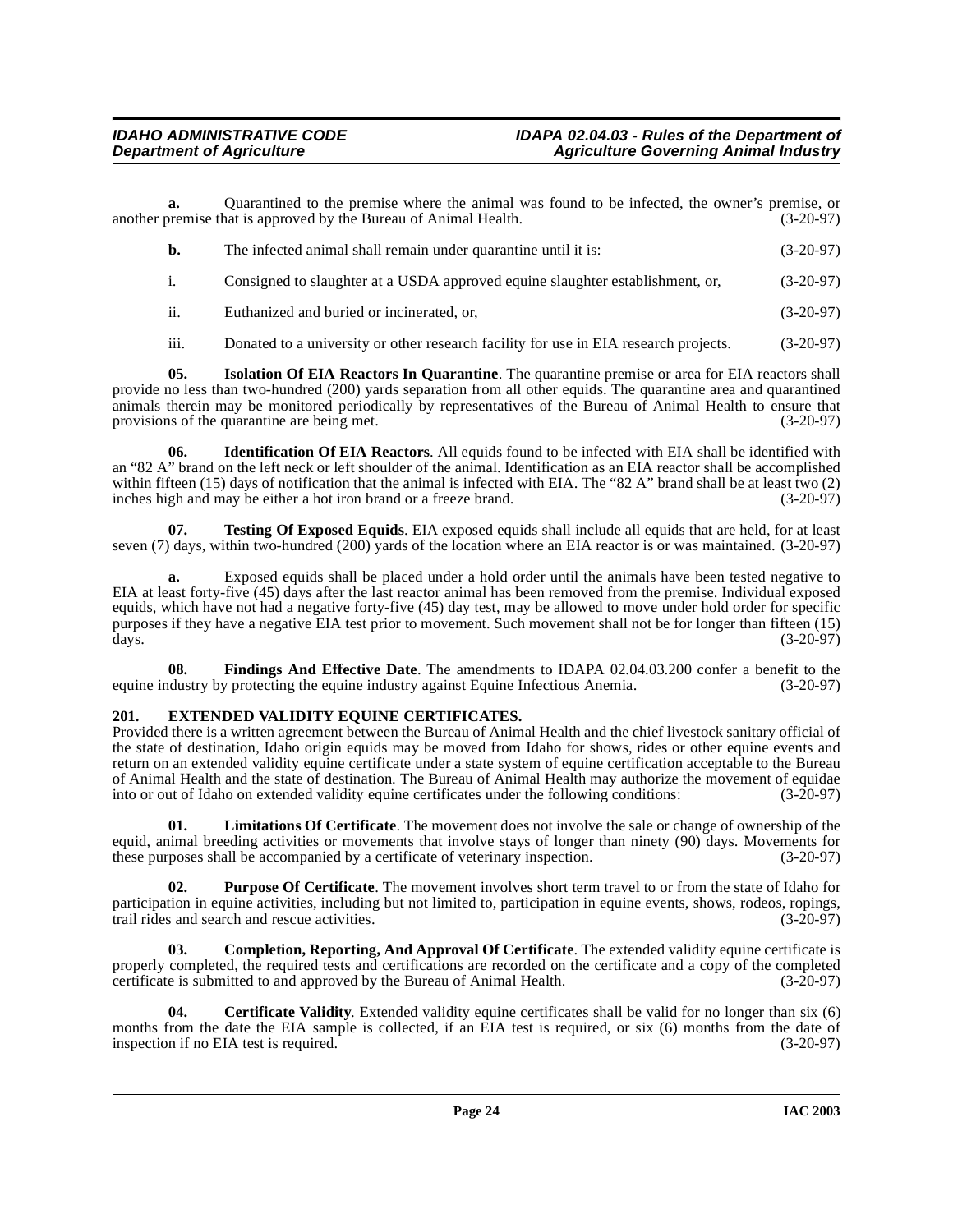**a.** Quarantined to the premise where the animal was found to be infected, the owner's premise, or premise that is approved by the Bureau of Animal Health. (3-20-97) another premise that is approved by the Bureau of Animal Health.

| - b. | The infected animal shall remain under quarantine until it is:                | $(3-20-97)$ |
|------|-------------------------------------------------------------------------------|-------------|
|      | Consigned to slaughter at a USDA approved equine slaughter establishment, or, | $(3-20-97)$ |

- ii. Euthanized and buried or incinerated, or, (3-20-97)
- <span id="page-23-5"></span><span id="page-23-4"></span>iii. Donated to a university or other research facility for use in EIA research projects. (3-20-97)

**05. Isolation Of EIA Reactors In Quarantine**. The quarantine premise or area for EIA reactors shall provide no less than two-hundred (200) yards separation from all other equids. The quarantine area and quarantined animals therein may be monitored periodically by representatives of the Bureau of Animal Health to ensure that provisions of the quarantine are being met.

**06. Identification Of EIA Reactors**. All equids found to be infected with EIA shall be identified with an "82 A" brand on the left neck or left shoulder of the animal. Identification as an EIA reactor shall be accomplished within fifteen (15) days of notification that the animal is infected with EIA. The "82 A" brand shall be at least two (2) inches high and may be either a hot iron brand or a freeze brand. (3-20-97)

<span id="page-23-8"></span>**07. Testing Of Exposed Equids**. EIA exposed equids shall include all equids that are held, for at least seven (7) days, within two-hundred (200) yards of the location where an EIA reactor is or was maintained. (3-20-97)

**a.** Exposed equids shall be placed under a hold order until the animals have been tested negative to EIA at least forty-five (45) days after the last reactor animal has been removed from the premise. Individual exposed equids, which have not had a negative forty-five (45) day test, may be allowed to move under hold order for specific purposes if they have a negative EIA test prior to movement. Such movement shall not be for longer than fifteen (15) days. (3-20-97) days. (3-20-97)

**08.** Findings And Effective Date. The amendments to IDAPA 02.04.03.200 confer a benefit to the dustry by protecting the equine industry against Equine Infectious Anemia. (3-20-97) equine industry by protecting the equine industry against Equine Infectious Anemia.

# <span id="page-23-3"></span><span id="page-23-0"></span>**201. EXTENDED VALIDITY EQUINE CERTIFICATES.**

Provided there is a written agreement between the Bureau of Animal Health and the chief livestock sanitary official of the state of destination, Idaho origin equids may be moved from Idaho for shows, rides or other equine events and return on an extended validity equine certificate under a state system of equine certification acceptable to the Bureau of Animal Health and the state of destination. The Bureau of Animal Health may authorize the movement of equidae<br>into or out of Idaho on extended validity equine certificates under the following conditions: (3-20-97) into or out of Idaho on extended validity equine certificates under the following conditions:

<span id="page-23-6"></span>**01. Limitations Of Certificate**. The movement does not involve the sale or change of ownership of the equid, animal breeding activities or movements that involve stays of longer than ninety (90) days. Movements for these purposes shall be accompanied by a certificate of veterinary inspection. (3-20-97)

<span id="page-23-7"></span>**02. Purpose Of Certificate**. The movement involves short term travel to or from the state of Idaho for participation in equine activities, including but not limited to, participation in equine events, shows, rodeos, ropings, trail rides and search and rescue activities. (3-20-97)

<span id="page-23-2"></span>**03. Completion, Reporting, And Approval Of Certificate**. The extended validity equine certificate is properly completed, the required tests and certifications are recorded on the certificate and a copy of the completed certificate is submitted to and approved by the Bureau of Animal Health. (3-20-97)

<span id="page-23-1"></span>**04. Certificate Validity**. Extended validity equine certificates shall be valid for no longer than six (6) months from the date the EIA sample is collected, if an EIA test is required, or six (6) months from the date of inspection if no EIA test is required. (3-20-97) inspection if no EIA test is required.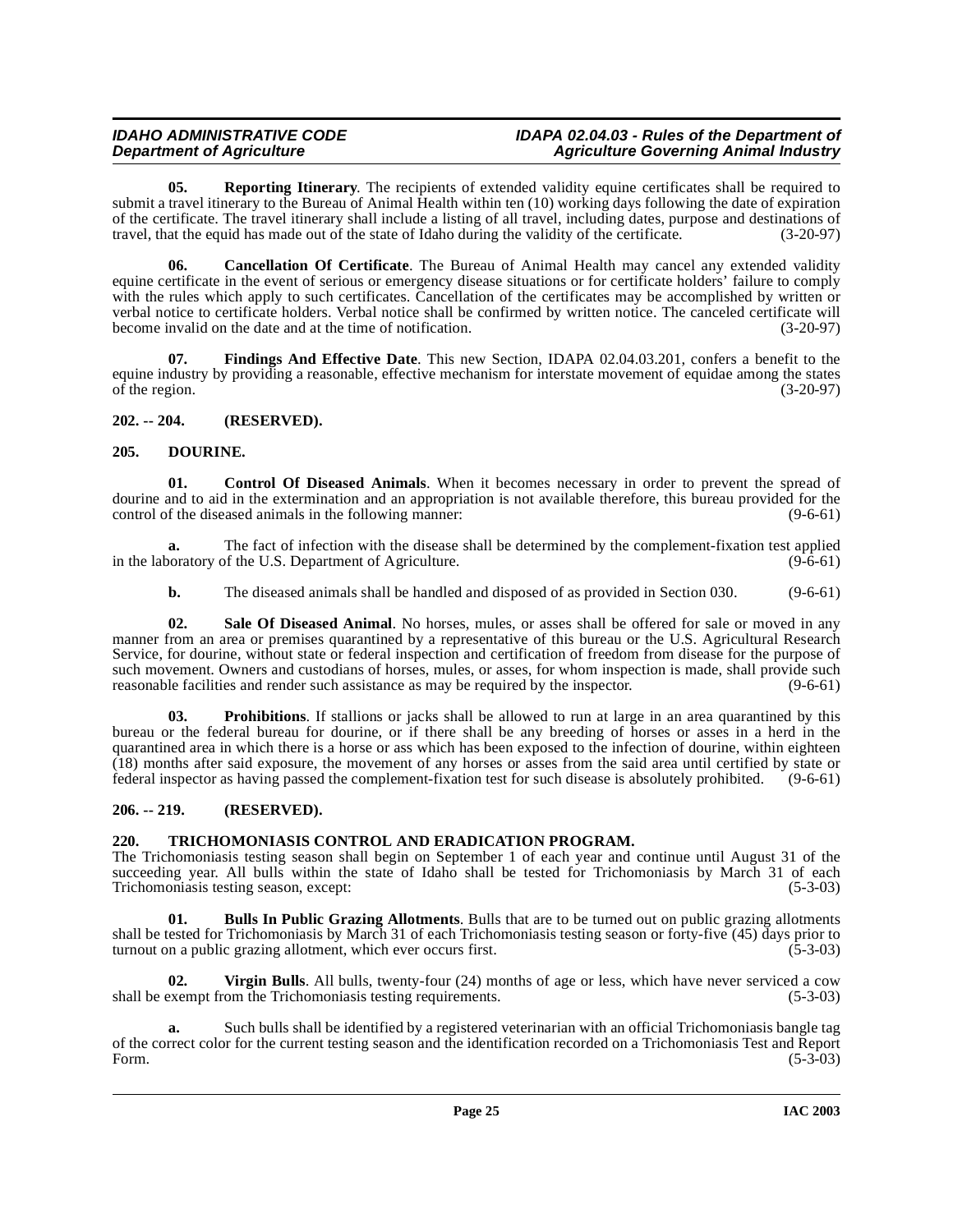<span id="page-24-9"></span>**05. Reporting Itinerary**. The recipients of extended validity equine certificates shall be required to submit a travel itinerary to the Bureau of Animal Health within ten (10) working days following the date of expiration of the certificate. The travel itinerary shall include a listing of all travel, including dates, purpose and destinations of travel, that the equid has made out of the state of Idaho during the validity of the certificate. (3-20-97)

<span id="page-24-5"></span>**06. Cancellation Of Certificate**. The Bureau of Animal Health may cancel any extended validity equine certificate in the event of serious or emergency disease situations or for certificate holders' failure to comply with the rules which apply to such certificates. Cancellation of the certificates may be accomplished by written or verbal notice to certificate holders. Verbal notice shall be confirmed by written notice. The canceled certificate will become invalid on the date and at the time of notification. (3-20-97)

**07. Findings And Effective Date**. This new Section, IDAPA 02.04.03.201, confers a benefit to the equine industry by providing a reasonable, effective mechanism for interstate movement of equidae among the states of the region.  $(3-20-97)$ 

# <span id="page-24-0"></span>**202. -- 204. (RESERVED).**

# <span id="page-24-7"></span><span id="page-24-1"></span>**205. DOURINE.**

<span id="page-24-6"></span>**Control Of Diseased Animals**. When it becomes necessary in order to prevent the spread of dourine and to aid in the extermination and an appropriation is not available therefore, this bureau provided for the control of the diseased animals in the following manner: (9-6-61)

**a.** The fact of infection with the disease shall be determined by the complement-fixation test applied in the laboratory of the U.S. Department of Agriculture. (9-6-61)

<span id="page-24-10"></span>**b.** The diseased animals shall be handled and disposed of as provided in Section 030. (9-6-61)

**02. Sale Of Diseased Animal**. No horses, mules, or asses shall be offered for sale or moved in any manner from an area or premises quarantined by a representative of this bureau or the U.S. Agricultural Research Service, for dourine, without state or federal inspection and certification of freedom from disease for the purpose of such movement. Owners and custodians of horses, mules, or asses, for whom inspection is made, shall provide such reasonable facilities and render such assistance as may be required by the inspector. (9-6-61)

<span id="page-24-8"></span>**03. Prohibitions**. If stallions or jacks shall be allowed to run at large in an area quarantined by this bureau or the federal bureau for dourine, or if there shall be any breeding of horses or asses in a herd in the quarantined area in which there is a horse or ass which has been exposed to the infection of dourine, within eighteen (18) months after said exposure, the movement of any horses or asses from the said area until certified by state or federal inspector as having passed the complement-fixation test for such disease is absolutely prohibited. (9-6-61)

# <span id="page-24-2"></span>**206. -- 219. (RESERVED).**

# <span id="page-24-11"></span><span id="page-24-3"></span>**220. TRICHOMONIASIS CONTROL AND ERADICATION PROGRAM.**

The Trichomoniasis testing season shall begin on September 1 of each year and continue until August 31 of the succeeding year. All bulls within the state of Idaho shall be tested for Trichomoniasis by March 31 of each Trichomoniasis testing season, except: (5-3-03) Trichomoniasis testing season, except:

<span id="page-24-4"></span>**01. Bulls In Public Grazing Allotments**. Bulls that are to be turned out on public grazing allotments shall be tested for Trichomoniasis by March 31 of each Trichomoniasis testing season or forty-five (45) days prior to turnout on a public grazing allotment, which ever occurs first. (5-3-03) turnout on a public grazing allotment, which ever occurs first.

<span id="page-24-12"></span>**02. Virgin Bulls**. All bulls, twenty-four (24) months of age or less, which have never serviced a cow shall be exempt from the Trichomoniasis testing requirements. (5-3-03)

**a.** Such bulls shall be identified by a registered veterinarian with an official Trichomoniasis bangle tag of the correct color for the current testing season and the identification recorded on a Trichomoniasis Test and Report Form. (5-3-03) Form. (5-3-03)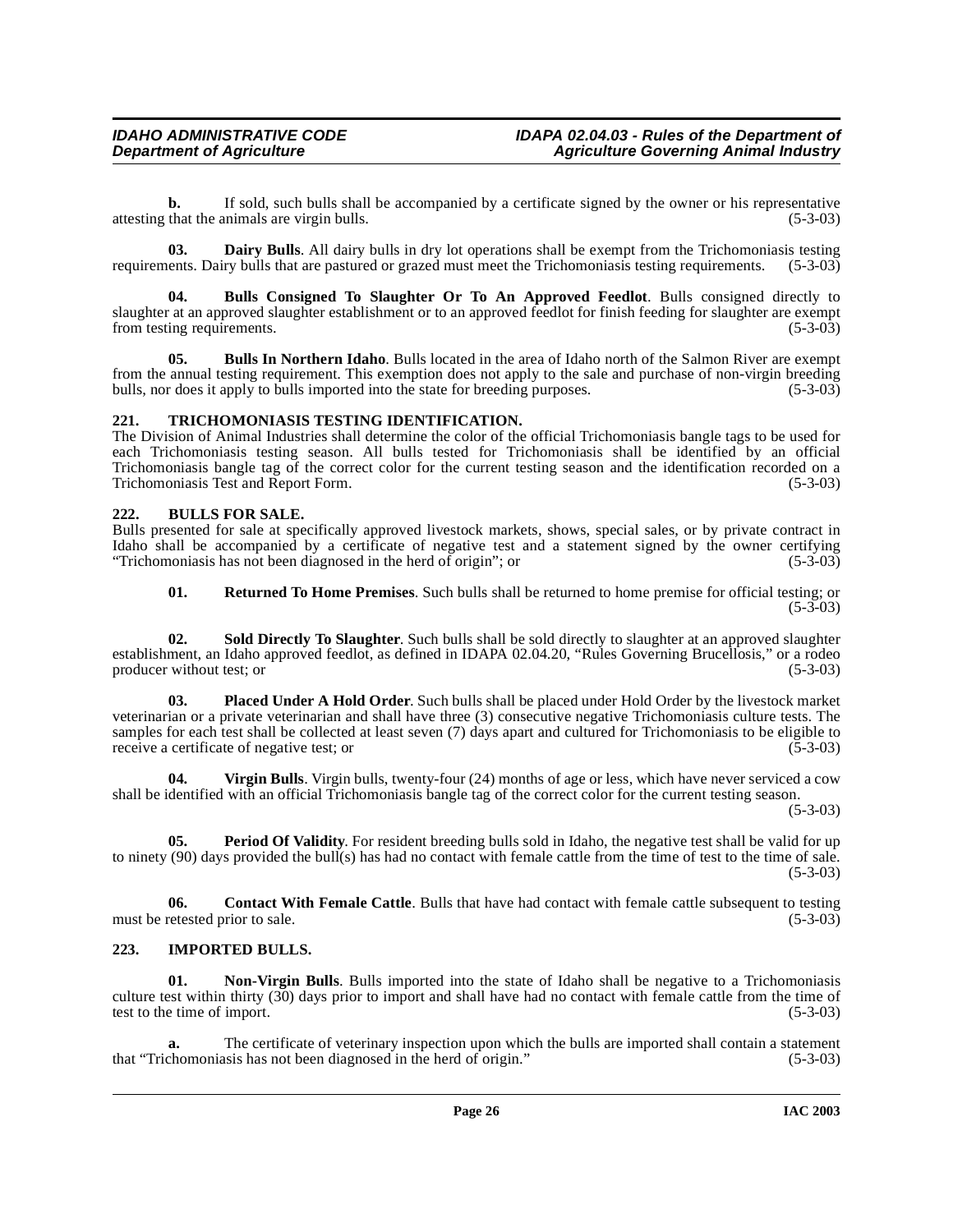**b.** If sold, such bulls shall be accompanied by a certificate signed by the owner or his representative that the animals are virgin bulls. (5-3-03) attesting that the animals are virgin bulls.

<span id="page-25-7"></span>**03. Dairy Bulls**. All dairy bulls in dry lot operations shall be exempt from the Trichomoniasis testing requirements. Dairy bulls that are pastured or grazed must meet the Trichomoniasis testing requirements. (5-3-03)

<span id="page-25-3"></span>**04. Bulls Consigned To Slaughter Or To An Approved Feedlot**. Bulls consigned directly to slaughter at an approved slaughter establishment or to an approved feedlot for finish feeding for slaughter are exempt from testing requirements. (5-3-03)

<span id="page-25-5"></span>**05. Bulls In Northern Idaho**. Bulls located in the area of Idaho north of the Salmon River are exempt from the annual testing requirement. This exemption does not apply to the sale and purchase of non-virgin breeding bulls, nor does it apply to bulls imported into the state for breeding purposes. (5-3-03)

# <span id="page-25-14"></span><span id="page-25-0"></span>**221. TRICHOMONIASIS TESTING IDENTIFICATION.**

The Division of Animal Industries shall determine the color of the official Trichomoniasis bangle tags to be used for each Trichomoniasis testing season. All bulls tested for Trichomoniasis shall be identified by an official Trichomoniasis bangle tag of the correct color for the current testing season and the identification recorded on a Trichomoniasis Test and Report Form. (5-3-03)

# <span id="page-25-4"></span><span id="page-25-1"></span>**222. BULLS FOR SALE.**

Bulls presented for sale at specifically approved livestock markets, shows, special sales, or by private contract in Idaho shall be accompanied by a certificate of negative test and a statement signed by the owner certifying "Trichomoniasis has not been diagnosed in the herd of origin"; or  $(5-3-03)$ 

<span id="page-25-13"></span><span id="page-25-12"></span><span id="page-25-11"></span>**01. Returned To Home Premises**. Such bulls shall be returned to home premise for official testing; or  $(5-3-03)$ 

**02. Sold Directly To Slaughter**. Such bulls shall be sold directly to slaughter at an approved slaughter establishment, an Idaho approved feedlot, as defined in IDAPA 02.04.20, "Rules Governing Brucellosis," or a rodeo producer without test; or (5-3-03)

**03. Placed Under A Hold Order**. Such bulls shall be placed under Hold Order by the livestock market veterinarian or a private veterinarian and shall have three (3) consecutive negative Trichomoniasis culture tests. The samples for each test shall be collected at least seven (7) days apart and cultured for Trichomoniasis to be eligible to receive a certificate of negative test; or (5-3-03)

<span id="page-25-15"></span>**04. Virgin Bulls**. Virgin bulls, twenty-four (24) months of age or less, which have never serviced a cow shall be identified with an official Trichomoniasis bangle tag of the correct color for the current testing season.

 $(5-3-03)$ 

<span id="page-25-10"></span>**05. Period Of Validity**. For resident breeding bulls sold in Idaho, the negative test shall be valid for up to ninety (90) days provided the bull(s) has had no contact with female cattle from the time of test to the time of sale.  $(5-3-03)$ 

<span id="page-25-6"></span>**06.** Contact With Female Cattle. Bulls that have had contact with female cattle subsequent to testing must be retested prior to sale. (5-3-03)

# <span id="page-25-8"></span><span id="page-25-2"></span>**223. IMPORTED BULLS.**

<span id="page-25-9"></span>**Non-Virgin Bulls**. Bulls imported into the state of Idaho shall be negative to a Trichomoniasis culture test within thirty (30) days prior to import and shall have had no contact with female cattle from the time of test to the time of import. (5-3-03)

**a.** The certificate of veterinary inspection upon which the bulls are imported shall contain a statement chomoniasis has not been diagnosed in the herd of origin." (5-3-03) that "Trichomoniasis has not been diagnosed in the herd of origin."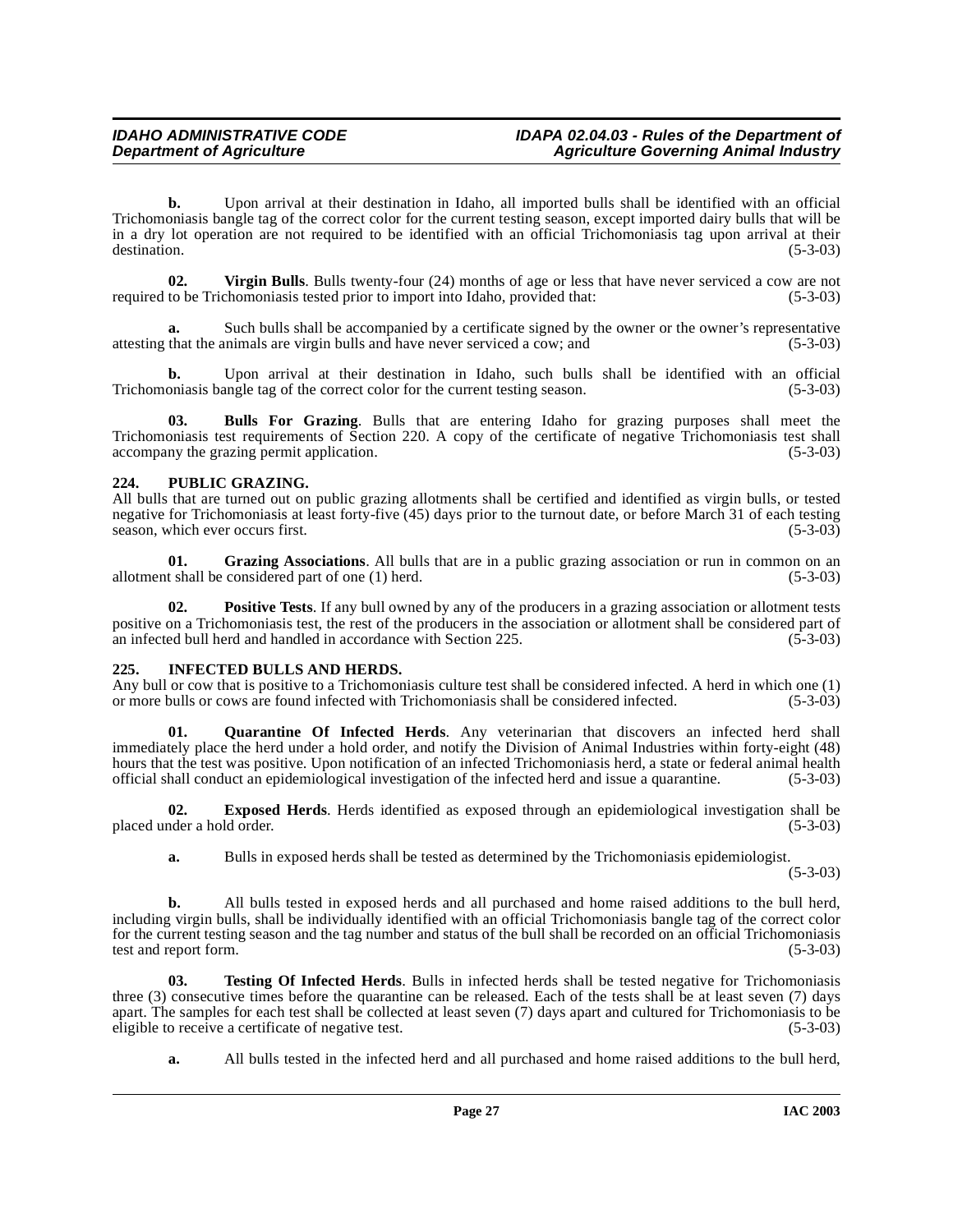**b.** Upon arrival at their destination in Idaho, all imported bulls shall be identified with an official Trichomoniasis bangle tag of the correct color for the current testing season, except imported dairy bulls that will be in a dry lot operation are not required to be identified with an official Trichomoniasis tag upon arrival at their destination. (5-3-03) destination. (5-3-03)

<span id="page-26-8"></span>**02.** Virgin Bulls. Bulls twenty-four (24) months of age or less that have never serviced a cow are not to be Trichomoniasis tested prior to import into Idaho, provided that: (5-3-03) required to be Trichomoniasis tested prior to import into Idaho, provided that:

Such bulls shall be accompanied by a certificate signed by the owner or the owner's representative attesting that the animals are virgin bulls and have never serviced a cow; and (5-3-03)

**b.** Upon arrival at their destination in Idaho, such bulls shall be identified with an official Trichomoniasis bangle tag of the correct color for the current testing season.  $(5-3-03)$ 

<span id="page-26-2"></span>**03. Bulls For Grazing**. Bulls that are entering Idaho for grazing purposes shall meet the Trichomoniasis test requirements of Section 220. A copy of the certificate of negative Trichomoniasis test shall accompany the grazing permit application. (5-3-03) accompany the grazing permit application.

# <span id="page-26-5"></span><span id="page-26-0"></span>**224. PUBLIC GRAZING.**

All bulls that are turned out on public grazing allotments shall be certified and identified as virgin bulls, or tested negative for Trichomoniasis at least forty-five (45) days prior to the turnout date, or before March 31 of each testing season, which ever occurs first. (5-3-03) season, which ever occurs first.

**01. Grazing Associations**. All bulls that are in a public grazing association or run in common on an allotment shall be considered part of one (1) herd. (5-3-03)

**02. Positive Tests**. If any bull owned by any of the producers in a grazing association or allotment tests positive on a Trichomoniasis test, the rest of the producers in the association or allotment shall be considered part of an infected bull herd and handled in accordance with Section 225. (5-3-03)

# <span id="page-26-4"></span><span id="page-26-1"></span>**225. INFECTED BULLS AND HERDS.**

Any bull or cow that is positive to a Trichomoniasis culture test shall be considered infected. A herd in which one (1) or more bulls or cows are found infected with Trichomoniasis shall be considered infected. (5-3-03)

<span id="page-26-6"></span>**01. Quarantine Of Infected Herds**. Any veterinarian that discovers an infected herd shall immediately place the herd under a hold order, and notify the Division of Animal Industries within forty-eight (48) hours that the test was positive. Upon notification of an infected Trichomoniasis herd, a state or federal animal health official shall conduct an epidemiological investigation of the infected herd and issue a quarantine. (5-3-03)

**02. Exposed Herds**. Herds identified as exposed through an epidemiological investigation shall be placed under a hold order. (5-3-03)

<span id="page-26-3"></span>**a.** Bulls in exposed herds shall be tested as determined by the Trichomoniasis epidemiologist.

(5-3-03)

**b.** All bulls tested in exposed herds and all purchased and home raised additions to the bull herd, including virgin bulls, shall be individually identified with an official Trichomoniasis bangle tag of the correct color for the current testing season and the tag number and status of the bull shall be recorded on an official Trichomoniasis test and report form.

**03. Testing Of Infected Herds**. Bulls in infected herds shall be tested negative for Trichomoniasis three (3) consecutive times before the quarantine can be released. Each of the tests shall be at least seven (7) days apart. The samples for each test shall be collected at least seven (7) days apart and cultured for Trichomoniasis to be eligible to receive a certificate of negative test. (5-3-03) eligible to receive a certificate of negative test.

<span id="page-26-7"></span>**a.** All bulls tested in the infected herd and all purchased and home raised additions to the bull herd,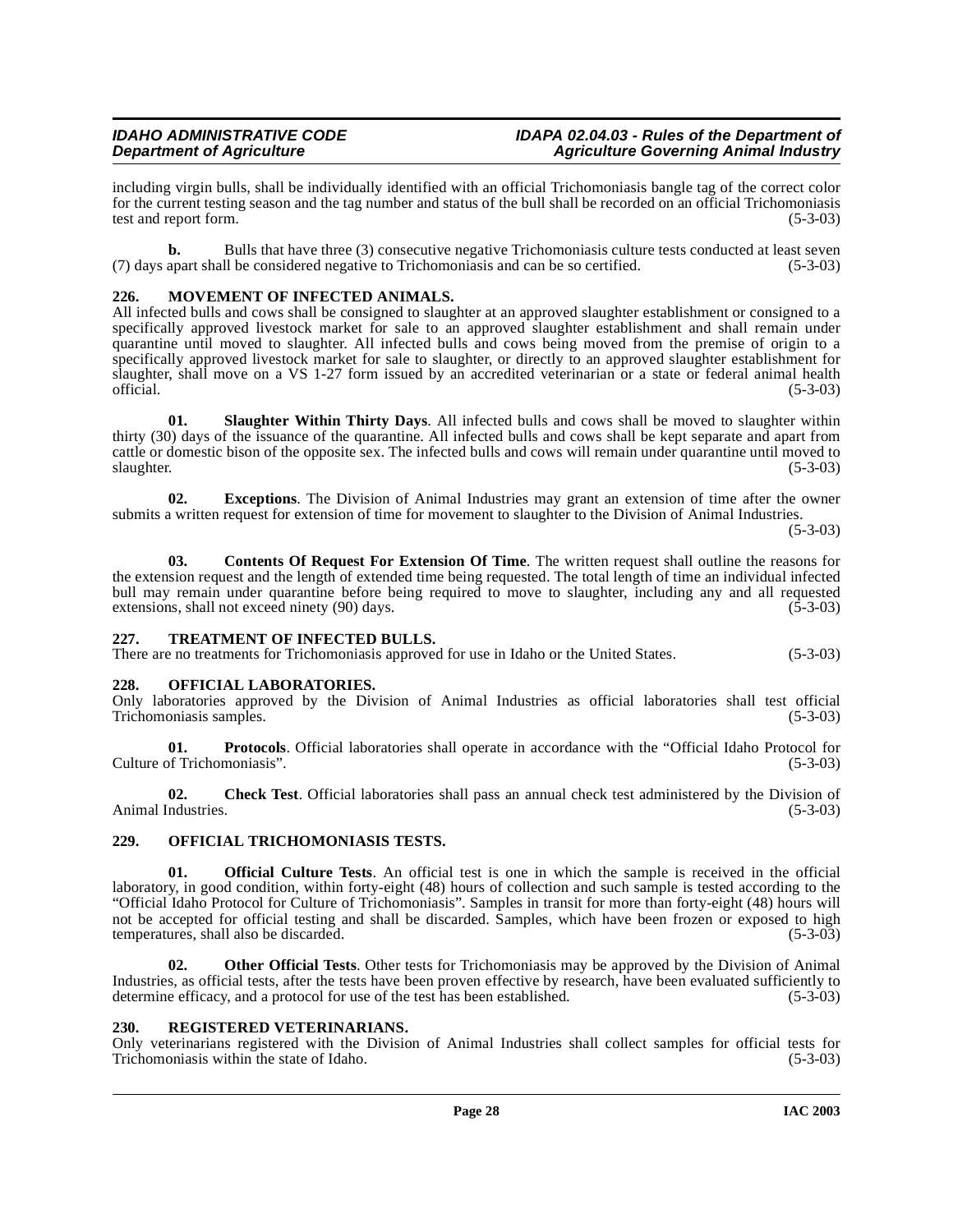including virgin bulls, shall be individually identified with an official Trichomoniasis bangle tag of the correct color for the current testing season and the tag number and status of the bull shall be recorded on an official Trichomoniasis test and report form. (5-3-03)

**b.** Bulls that have three (3) consecutive negative Trichomoniasis culture tests conducted at least seven (7) days apart shall be considered negative to Trichomoniasis and can be so certified. (5-3-03)

# <span id="page-27-6"></span><span id="page-27-0"></span>**226. MOVEMENT OF INFECTED ANIMALS.**

All infected bulls and cows shall be consigned to slaughter at an approved slaughter establishment or consigned to a specifically approved livestock market for sale to an approved slaughter establishment and shall remain under quarantine until moved to slaughter. All infected bulls and cows being moved from the premise of origin to a specifically approved livestock market for sale to slaughter, or directly to an approved slaughter establishment for slaughter, shall move on a VS 1-27 form issued by an accredited veterinarian or a state or federal animal health official. (5-3-03)  $\sigma$  official.  $(5-3-03)$ 

<span id="page-27-10"></span>**01. Slaughter Within Thirty Days**. All infected bulls and cows shall be moved to slaughter within thirty (30) days of the issuance of the quarantine. All infected bulls and cows shall be kept separate and apart from cattle or domestic bison of the opposite sex. The infected bulls and cows will remain under quarantine until moved to  $s$ laughter. (5-3-03)

**02. Exceptions**. The Division of Animal Industries may grant an extension of time after the owner submits a written request for extension of time for movement to slaughter to the Division of Animal Industries.

(5-3-03)

<span id="page-27-5"></span>**03. Contents Of Request For Extension Of Time**. The written request shall outline the reasons for the extension request and the length of extended time being requested. The total length of time an individual infected bull may remain under quarantine before being required to move to slaughter, including any and all requested extensions, shall not exceed ninety (90) days. (5-3-03) extensions, shall not exceed ninety (90) days.

# <span id="page-27-11"></span><span id="page-27-1"></span>**227. TREATMENT OF INFECTED BULLS.**

There are no treatments for Trichomoniasis approved for use in Idaho or the United States. (5-3-03)

# <span id="page-27-7"></span><span id="page-27-2"></span>**228. OFFICIAL LABORATORIES.**

Only laboratories approved by the Division of Animal Industries as official laboratories shall test official Trichomoniasis samples.

**01. Protocols**. Official laboratories shall operate in accordance with the "Official Idaho Protocol for of Trichomoniasis".  $(5-3-03)$ Culture of Trichomoniasis".

**02.** Check Test. Official laboratories shall pass an annual check test administered by the Division of ndustries. (5-3-03) Animal Industries.

# <span id="page-27-8"></span><span id="page-27-3"></span>**229. OFFICIAL TRICHOMONIASIS TESTS.**

**01. Official Culture Tests**. An official test is one in which the sample is received in the official laboratory, in good condition, within forty-eight (48) hours of collection and such sample is tested according to the "Official Idaho Protocol for Culture of Trichomoniasis". Samples in transit for more than forty-eight (48) hours will not be accepted for official testing and shall be discarded. Samples, which have been frozen or exposed to high temperatures, shall also be discarded. (5-3-03)

**02. Other Official Tests**. Other tests for Trichomoniasis may be approved by the Division of Animal Industries, as official tests, after the tests have been proven effective by research, have been evaluated sufficiently to determine efficacy, and a protocol for use of the test has been established. (5-3-03)

# <span id="page-27-9"></span><span id="page-27-4"></span>**230. REGISTERED VETERINARIANS.**

Only veterinarians registered with the Division of Animal Industries shall collect samples for official tests for Trichomoniasis within the state of Idaho. (5-3-03) Trichomoniasis within the state of Idaho.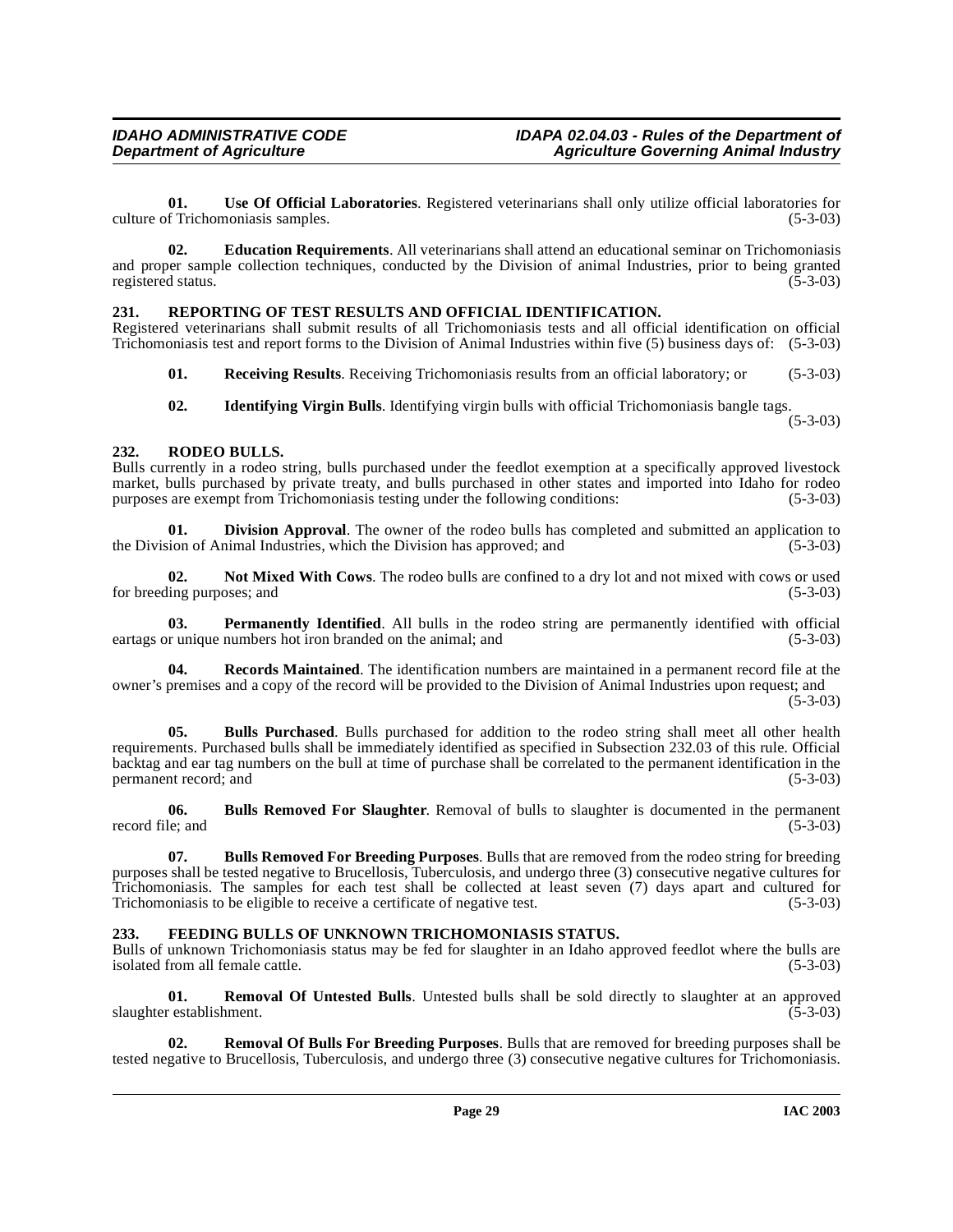**01. Use Of Official Laboratories**. Registered veterinarians shall only utilize official laboratories for culture of Trichomoniasis samples.

**02. Education Requirements**. All veterinarians shall attend an educational seminar on Trichomoniasis and proper sample collection techniques, conducted by the Division of animal Industries, prior to being granted registered status. (5-3-03)

# <span id="page-28-13"></span><span id="page-28-0"></span>**231. REPORTING OF TEST RESULTS AND OFFICIAL IDENTIFICATION.**

Registered veterinarians shall submit results of all Trichomoniasis tests and all official identification on official Trichomoniasis test and report forms to the Division of Animal Industries within five (5) business days of: (5-3-03)

**01. Receiving Results**. Receiving Trichomoniasis results from an official laboratory; or (5-3-03)

<span id="page-28-14"></span>**02. Identifying Virgin Bulls**. Identifying virgin bulls with official Trichomoniasis bangle tags.

(5-3-03)

# <span id="page-28-1"></span>**232. RODEO BULLS.**

Bulls currently in a rodeo string, bulls purchased under the feedlot exemption at a specifically approved livestock market, bulls purchased by private treaty, and bulls purchased in other states and imported into Idaho for rodeo purposes are exempt from Trichomoniasis testing under the following conditions: (5-3-03)

<span id="page-28-6"></span>**01. Division Approval**. The owner of the rodeo bulls has completed and submitted an application to the Division of Animal Industries, which the Division has approved; and (5-3-03)

<span id="page-28-8"></span>**02.** Not Mixed With Cows. The rodeo bulls are confined to a dry lot and not mixed with cows or used ling purposes; and (5-3-03) for breeding purposes; and

<span id="page-28-9"></span>**Permanently Identified**. All bulls in the rodeo string are permanently identified with official eartags or unique numbers hot iron branded on the animal; and (5-3-03)

<span id="page-28-10"></span>**04. Records Maintained**. The identification numbers are maintained in a permanent record file at the owner's premises and a copy of the record will be provided to the Division of Animal Industries upon request; and  $(5-3-03)$ 

<span id="page-28-3"></span>**05. Bulls Purchased**. Bulls purchased for addition to the rodeo string shall meet all other health requirements. Purchased bulls shall be immediately identified as specified in Subsection 232.03 of this rule. Official backtag and ear tag numbers on the bull at time of purchase shall be correlated to the permanent identification in the permanent record; and (5-3-03)

<span id="page-28-5"></span>**06. Bulls Removed For Slaughter**. Removal of bulls to slaughter is documented in the permanent record file; and (5-3-03) (5-3)

<span id="page-28-4"></span>**07. Bulls Removed For Breeding Purposes**. Bulls that are removed from the rodeo string for breeding purposes shall be tested negative to Brucellosis, Tuberculosis, and undergo three (3) consecutive negative cultures for Trichomoniasis. The samples for each test shall be collected at least seven (7) days apart and cultured for Trichomoniasis to be eligible to receive a certificate of negative test. (5-3-03)

# <span id="page-28-7"></span><span id="page-28-2"></span>**233. FEEDING BULLS OF UNKNOWN TRICHOMONIASIS STATUS.**

Bulls of unknown Trichomoniasis status may be fed for slaughter in an Idaho approved feedlot where the bulls are isolated from all female cattle. (5-3-03) isolated from all female cattle.

<span id="page-28-12"></span>**01. Removal Of Untested Bulls**. Untested bulls shall be sold directly to slaughter at an approved restablishment. (5-3-03) slaughter establishment.

<span id="page-28-11"></span>**02. Removal Of Bulls For Breeding Purposes**. Bulls that are removed for breeding purposes shall be tested negative to Brucellosis, Tuberculosis, and undergo three (3) consecutive negative cultures for Trichomoniasis.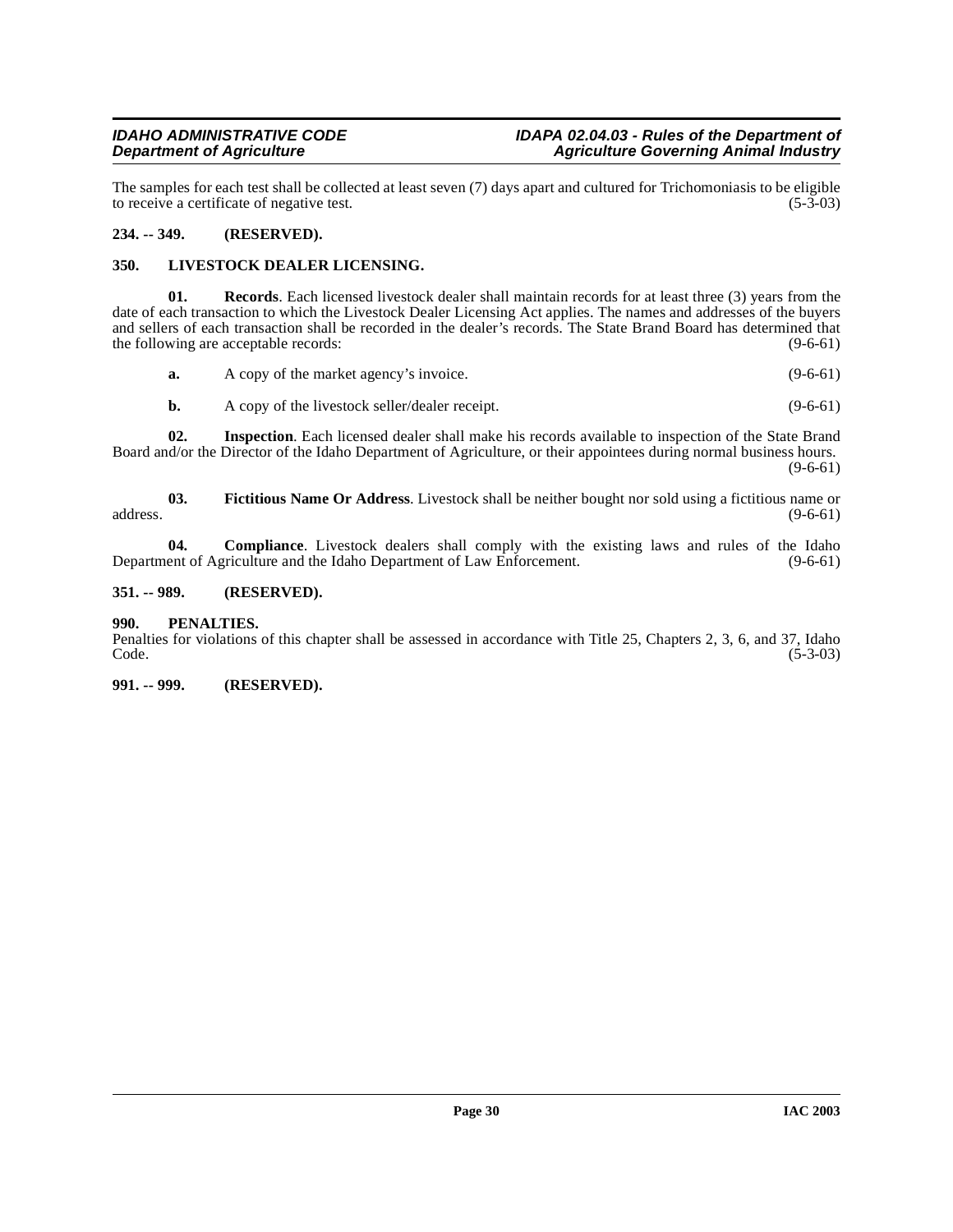The samples for each test shall be collected at least seven (7) days apart and cultured for Trichomoniasis to be eligible to receive a certificate of negative test. (5-3-03) to receive a certificate of negative test.

# <span id="page-29-0"></span>**234. -- 349. (RESERVED).**

### <span id="page-29-7"></span><span id="page-29-1"></span>**350. LIVESTOCK DEALER LICENSING.**

**01.** Records. Each licensed livestock dealer shall maintain records for at least three (3) years from the date of each transaction to which the Livestock Dealer Licensing Act applies. The names and addresses of the buyers and sellers of each transaction shall be recorded in the dealer's records. The State Brand Board has determined that the following are acceptable records: (9-6-61)

<span id="page-29-8"></span>

| а. | A copy of the market agency's invoice. | $(9-6-61)$ |
|----|----------------------------------------|------------|
|    |                                        |            |

<span id="page-29-6"></span><span id="page-29-5"></span>**b.** A copy of the livestock seller/dealer receipt. (9-6-61)

**02. Inspection**. Each licensed dealer shall make his records available to inspection of the State Brand Board and/or the Director of the Idaho Department of Agriculture, or their appointees during normal business hours.  $(9-6-61)$ 

**03. Fictitious Name Or Address**. Livestock shall be neither bought nor sold using a fictitious name or  $address.$  (9-6-61)

<span id="page-29-4"></span>**04. Compliance**. Livestock dealers shall comply with the existing laws and rules of the Idaho Department of Agriculture and the Idaho Department of Law Enforcement. (9-6-61)

#### <span id="page-29-2"></span>**351. -- 989. (RESERVED).**

#### <span id="page-29-3"></span>**990. PENALTIES.**

Penalties for violations of this chapter shall be assessed in accordance with Title 25, Chapters 2, 3, 6, and 37, Idaho  $\text{Code.}$  (5-3-03)

#### **991. -- 999. (RESERVED).**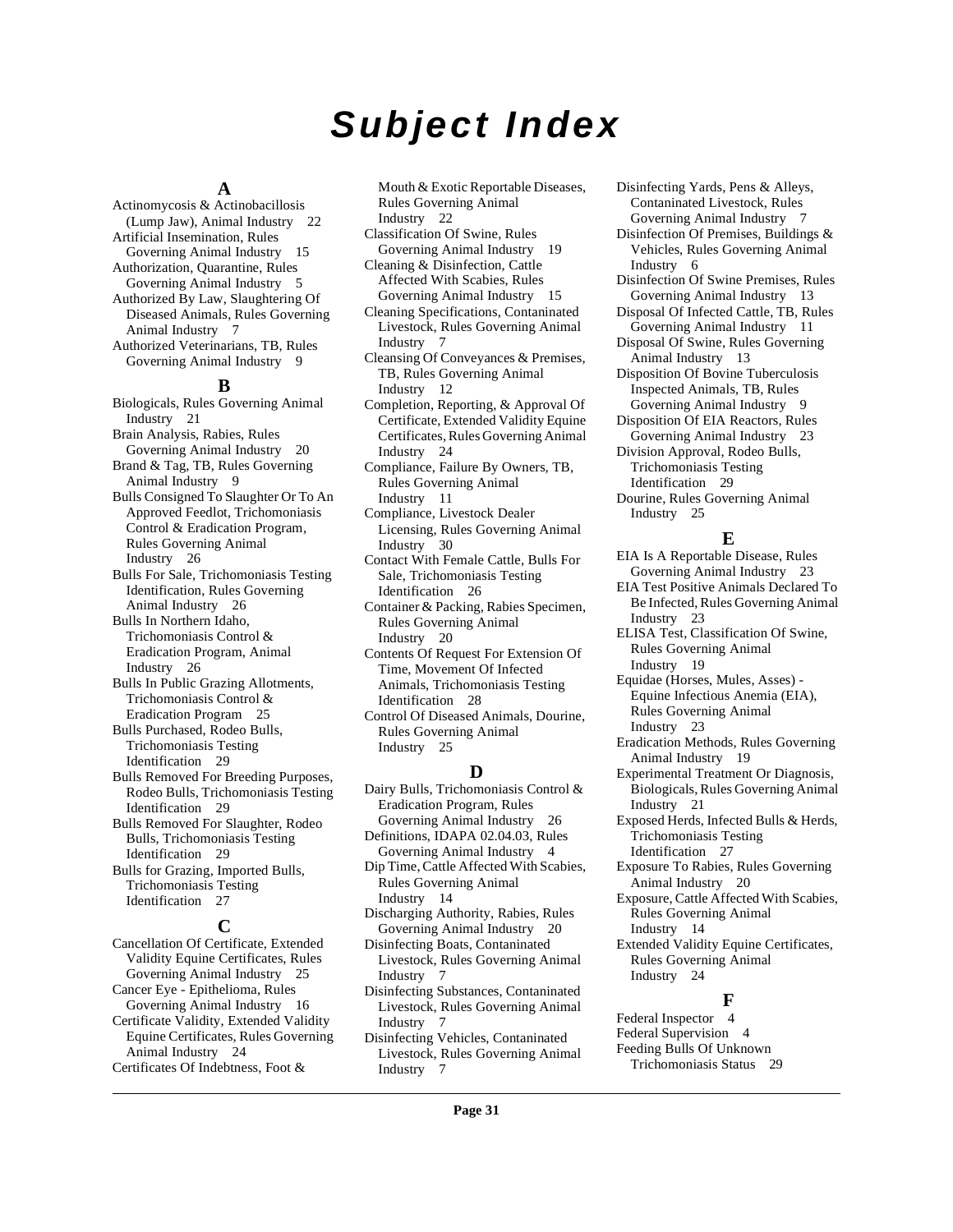# **Subject Index**

# **A**

Actinomycosis & Actinobacillosis (Lump Jaw), Animal Industry [22](#page-21-6) Artificial Insemination, Rules Governing Animal Industry [15](#page-14-4) Authorization, Quarantine, Rules Governing Animal Industry [5](#page-4-3) Authorized By Law, Slaughtering Of Diseased Animals, Rules Governing Animal Industry [7](#page-6-4) Authorized Veterinarians, TB, Rules Governing Animal Industry [9](#page-8-0)

#### **B**

Biologicals, Rules Governing Animal Industry [21](#page-20-2) Brain Analysis, Rabies, Rules Governing Animal Industry [20](#page-19-1) Brand & Tag, TB, Rules Governing Animal Industry [9](#page-8-1) Bulls Consigned To Slaughter Or To An Approved Feedlot, Trichomoniasis Control & Eradication Program, Rules Governing Animal Industry [26](#page-25-3) Bulls For Sale, Trichomoniasis Testing Identification, Rules Governing Animal Industry [26](#page-25-4) Bulls In Northern Idaho, Trichomoniasis Control & Eradication Program, Animal Industry [26](#page-25-5) Bulls In Public Grazing Allotments, Trichomoniasis Control & Eradication Program [25](#page-24-4) Bulls Purchased, Rodeo Bulls, Trichomoniasis Testing Identification [29](#page-28-3) Bulls Removed For Breeding Purposes, Rodeo Bulls, Trichomoniasis Testing Identification [29](#page-28-4) Bulls Removed For Slaughter, Rodeo Bulls, Trichomoniasis Testing Identification [29](#page-28-5) Bulls for Grazing, Imported Bulls, Trichomoniasis Testing Identification [27](#page-26-2) **C**

Cancellation Of Certificate, Extended Validity Equine Certificates, Rules Governing Animal Industry [25](#page-24-5) Cancer Eye - Epithelioma, Rules Governing Animal Industry [16](#page-15-2) Certificate Validity, Extended Validity Equine Certificates, Rules Governing Animal Industry [24](#page-23-1) Certificates Of Indebtness, Foot &

Mouth & Exotic Reportable Diseases, Rules Governing Animal Industry [22](#page-21-7)

- Classification Of Swine, Rules Governing Animal Industry [19](#page-18-9)
- Cleaning & Disinfection, Cattle Affected With Scabies, Rules Governing Animal Industry [15](#page-14-5)
- Cleaning Specifications, Contaninated Livestock, Rules Governing Animal Industry [7](#page-6-5)
- Cleansing Of Conveyances & Premises, TB, Rules Governing Animal Industry [12](#page-11-2)
- Completion, Reporting, & Approval Of Certificate, Extended Validity Equine Certificates, Rules Governing Animal Industry [24](#page-23-2)
- Compliance, Failure By Owners, TB, Rules Governing Animal Industry [11](#page-10-0)
- Compliance, Livestock Dealer Licensing, Rules Governing Animal Industry [30](#page-29-4)
- Contact With Female Cattle, Bulls For Sale, Trichomoniasis Testing Identification [26](#page-25-6)
- Container & Packing, Rabies Specimen, Rules Governing Animal Industry [20](#page-19-2)
- Contents Of Request For Extension Of Time, Movement Of Infected Animals, Trichomoniasis Testing Identification [28](#page-27-5)
- Control Of Diseased Animals, Dourine, Rules Governing Animal Industry [25](#page-24-6)

#### **D**

- Dairy Bulls, Trichomoniasis Control & Eradication Program, Rules Governing Animal Industry [26](#page-25-7) Definitions, IDAPA 02.04.03, Rules
- Governing Animal Industry [4](#page-3-1) Dip Time, Cattle Affected With Scabies, Rules Governing Animal Industry [14](#page-13-4)
- Discharging Authority, Rabies, Rules Governing Animal Industry [20](#page-19-3)
- Disinfecting Boats, Contaninated Livestock, Rules Governing Animal Industry [7](#page-6-6)
- Disinfecting Substances, Contaninated Livestock, Rules Governing Animal Industry [7](#page-6-7)
- Disinfecting Vehicles, Contaninated Livestock, Rules Governing Animal Industry [7](#page-6-8)

Disinfecting Yards, Pens & Alleys, Contaninated Livestock, Rules Governing Animal Industry [7](#page-6-9)

- Disinfection Of Premises, Buildings & Vehicles, Rules Governing Animal Industry [6](#page-5-2)
- Disinfection Of Swine Premises, Rules Governing Animal Industry [13](#page-12-0)
- Disposal Of Infected Cattle, TB, Rules Governing Animal Industry [11](#page-10-1)
- Disposal Of Swine, Rules Governing Animal Industry [13](#page-12-1)
- Disposition Of Bovine Tuberculosis Inspected Animals, TB, Rules Governing Animal Industry [9](#page-8-2)
- Disposition Of EIA Reactors, Rules
- Governing Animal Industry [23](#page-22-4) Division Approval, Rodeo Bulls,
- Trichomoniasis Testing
- Identification [29](#page-28-6) Dourine, Rules Governing Animal Industry [25](#page-24-7)

#### **E**

- EIA Is A Reportable Disease, Rules Governing Animal Industry [23](#page-22-5) EIA Test Positive Animals Declared To Be Infected, Rules Governing Animal Industry [23](#page-22-6) ELISA Test, Classification Of Swine,
- Rules Governing Animal Industry [19](#page-18-10)
- Equidae (Horses, Mules, Asses) Equine Infectious Anemia (EIA), Rules Governing Animal Industry [23](#page-22-7)
- Eradication Methods, Rules Governing Animal Industry [19](#page-18-11)
- Experimental Treatment Or Diagnosis, Biologicals, Rules Governing Animal Industry [21](#page-20-3)
- Exposed Herds, Infected Bulls & Herds, Trichomoniasis Testing Identification [27](#page-26-3)
- Exposure To Rabies, Rules Governing
- Animal Industry [20](#page-19-4)
- Exposure, Cattle Affected With Scabies, Rules Governing Animal Industry [14](#page-13-5)
- Extended Validity Equine Certificates, Rules Governing Animal Industry [24](#page-23-3)

# **F**

Federal Inspector [4](#page-3-2) Federal Supervision [4](#page-3-3) Feeding Bulls Of Unknown Trichomoniasis Status [29](#page-28-7)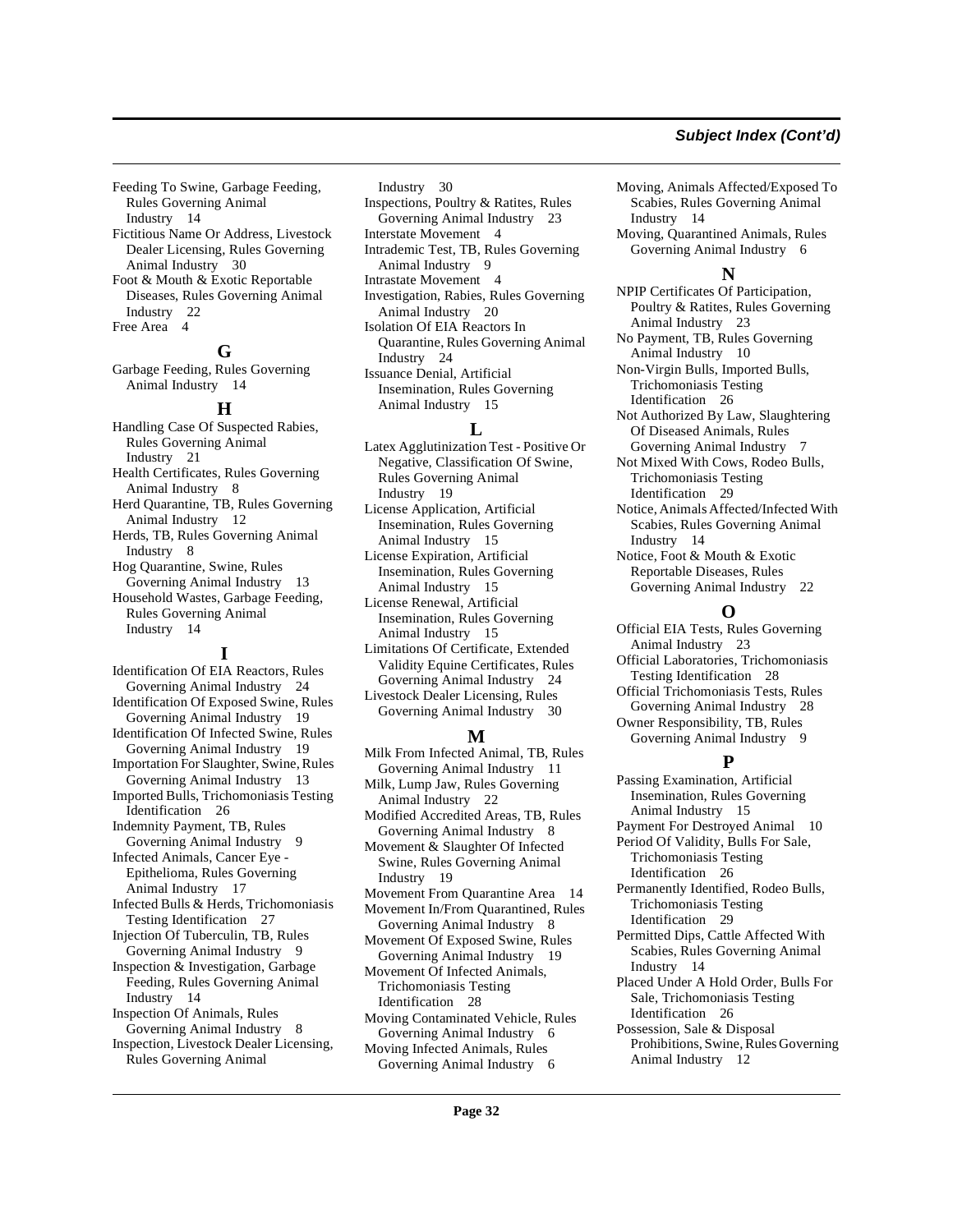# **Subject Index (Cont'd)**

Feeding To Swine, Garbage Feeding, Rules Governing Animal Industry [14](#page-13-6)

Fictitious Name Or Address, Livestock Dealer Licensing, Rules Governing Animal Industry [30](#page-29-5) Foot & Mouth & Exotic Reportable

Diseases, Rules Governing Animal Industry [22](#page-21-8) Free Area [4](#page-3-4)

# **G**

Garbage Feeding, Rules Governing Animal Industry [14](#page-13-7)

#### **H**

Handling Case Of Suspected Rabies, Rules Governing Animal Industry [21](#page-20-4) Health Certificates, Rules Governing Animal Industry [8](#page-7-8) Herd Quarantine, TB, Rules Governing Animal Industry [12](#page-11-3) Herds, TB, Rules Governing Animal Industry [8](#page-7-9) Hog Quarantine, Swine, Rules Governing Animal Industry [13](#page-12-2) Household Wastes, Garbage Feeding, Rules Governing Animal Industry [14](#page-13-8)

#### **I**

Identification Of EIA Reactors, Rules Governing Animal Industry [24](#page-23-4) Identification Of Exposed Swine, Rules Governing Animal Industry [19](#page-18-12) Identification Of Infected Swine, Rules Governing Animal Industry [19](#page-18-13) Importation For Slaughter, Swine, Rules Governing Animal Industry [13](#page-12-3) Imported Bulls, Trichomoniasis Testing Identification [26](#page-25-8) Indemnity Payment, TB, Rules Governing Animal Industry [9](#page-8-3) Infected Animals, Cancer Eye - Epithelioma, Rules Governing Animal Industry [17](#page-16-1) Infected Bulls & Herds, Trichomoniasis Testing Identification [27](#page-26-4) Injection Of Tuberculin, TB, Rules Governing Animal Industry [9](#page-8-4) Inspection & Investigation, Garbage Feeding, Rules Governing Animal Industry [14](#page-13-9) Inspection Of Animals, Rules Governing Animal Industry [8](#page-7-10) Inspection, Livestock Dealer Licensing, Rules Governing Animal

Industry [30](#page-29-6) Inspections, Poultry & Ratites, Rules Governing Animal Industry [23](#page-22-8) Interstate Movement [4](#page-3-5) Intrademic Test, TB, Rules Governing Animal Industry [9](#page-8-5) Intrastate Movement [4](#page-3-6) Investigation, Rabies, Rules Governing Animal Industry [20](#page-19-5) Isolation Of EIA Reactors In Quarantine, Rules Governing Animal Industry [24](#page-23-5) Issuance Denial, Artificial Insemination, Rules Governing Animal Industry [15](#page-14-6)

#### **L**

Latex Agglutinization Test - Positive Or Negative, Classification Of Swine, Rules Governing Animal Industry [19](#page-18-14) License Application, Artificial Insemination, Rules Governing Animal Industry [15](#page-14-7) License Expiration, Artificial Insemination, Rules Governing

Animal Industry [15](#page-14-8) License Renewal, Artificial Insemination, Rules Governing Animal Industry [15](#page-14-9)

Limitations Of Certificate, Extended Validity Equine Certificates, Rules Governing Animal Industry [24](#page-23-6)

Livestock Dealer Licensing, Rules Governing Animal Industry [30](#page-29-7)

#### **M**

Milk From Infected Animal, TB, Rules Governing Animal Industry [11](#page-10-2) Milk, Lump Jaw, Rules Governing Animal Industry [22](#page-21-9) Modified Accredited Areas, TB, Rules Governing Animal Industry [8](#page-7-11) Movement & Slaughter Of Infected Swine, Rules Governing Animal Industry [19](#page-18-15) Movement From Quarantine Area [14](#page-13-10) Movement In/From Quarantined, Rules Governing Animal Industry [8](#page-7-12) Movement Of Exposed Swine, Rules Governing Animal Industry [19](#page-18-16) Movement Of Infected Animals, Trichomoniasis Testing Identification [28](#page-27-6) Moving Contaminated Vehicle, Rules Governing Animal Industry [6](#page-5-3) Moving Infected Animals, Rules

Governing Animal Industry [6](#page-5-4)

Moving, Animals Affected/Exposed To Scabies, Rules Governing Animal Industry [14](#page-13-11)

Moving, Quarantined Animals, Rules Governing Animal Industry [6](#page-5-5)

#### **N**

NPIP Certificates Of Participation, Poultry & Ratites, Rules Governing Animal Industry [23](#page-22-9)

No Payment, TB, Rules Governing Animal Industry [10](#page-9-0)

Non-Virgin Bulls, Imported Bulls, Trichomoniasis Testing Identification [26](#page-25-9)

Not Authorized By Law, Slaughtering Of Diseased Animals, Rules Governing Animal Industry [7](#page-6-10)

Not Mixed With Cows, Rodeo Bulls, Trichomoniasis Testing Identification [29](#page-28-8)

Notice, Animals Affected/Infected With Scabies, Rules Governing Animal Industry [14](#page-13-12)

Notice, Foot & Mouth & Exotic Reportable Diseases, Rules Governing Animal Industry [22](#page-21-10)

#### **O**

Official EIA Tests, Rules Governing Animal Industry [23](#page-22-10) Official Laboratories, Trichomoniasis Testing Identification [28](#page-27-7) Official Trichomoniasis Tests, Rules Governing Animal Industry [28](#page-27-8)

Owner Responsibility, TB, Rules Governing Animal Industry [9](#page-8-6)

# **P**

Passing Examination, Artificial Insemination, Rules Governing Animal Industry [15](#page-14-10) Payment For Destroyed Animal [10](#page-9-1) Period Of Validity, Bulls For Sale, Trichomoniasis Testing Identification [26](#page-25-10) Permanently Identified, Rodeo Bulls, Trichomoniasis Testing Identification [29](#page-28-9) Permitted Dips, Cattle Affected With Scabies, Rules Governing Animal Industry [14](#page-13-13) Placed Under A Hold Order, Bulls For Sale, Trichomoniasis Testing Identification [26](#page-25-11) Possession, Sale & Disposal Prohibitions, Swine, Rules Governing Animal Industry [12](#page-11-4)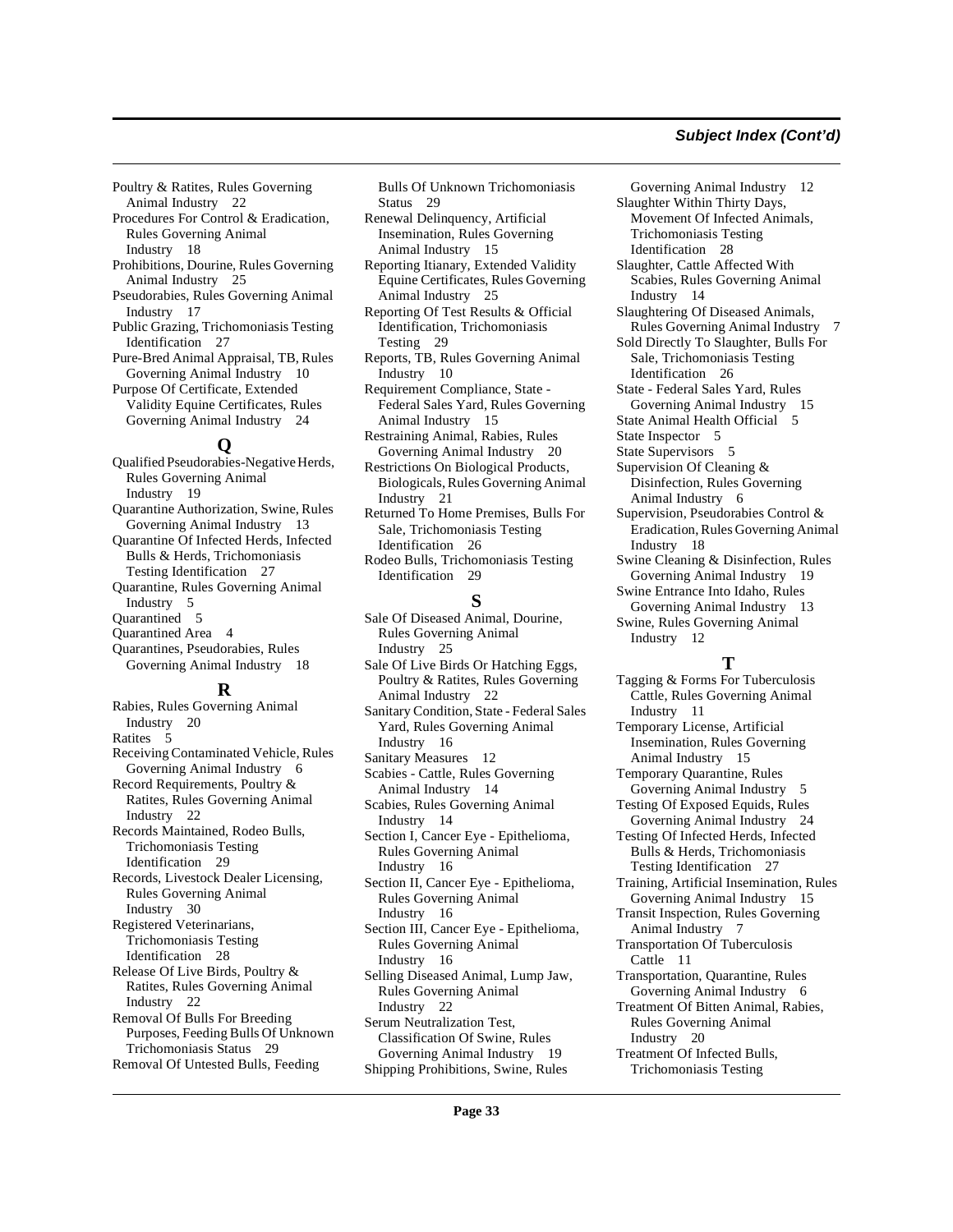#### **Subject Index (Cont'd)**

Poultry & Ratites, Rules Governing Animal Industry [22](#page-21-11)

- Procedures For Control & Eradication, Rules Governing Animal Industry [18](#page-17-1)
- Prohibitions, Dourine, Rules Governing Animal Industry [25](#page-24-8)
- Pseudorabies, Rules Governing Animal Industry [17](#page-16-2)
- Public Grazing, Trichomoniasis Testing Identification [27](#page-26-5)
- Pure-Bred Animal Appraisal, TB, Rules Governing Animal Industry [10](#page-9-2) Purpose Of Certificate, Extended
- Validity Equine Certificates, Rules Governing Animal Industry [24](#page-23-7)

# **Q**

Qualified Pseudorabies-Negative Herds, Rules Governing Animal Industry [19](#page-18-17) Quarantine Authorization, Swine, Rules Governing Animal Industry [13](#page-12-4) Quarantine Of Infected Herds, Infected Bulls & Herds, Trichomoniasis Testing Identification [27](#page-26-6) Quarantine, Rules Governing Animal Industry [5](#page-4-4) Quarantined [5](#page-4-5) Quarantined Area [4](#page-3-7) Quarantines, Pseudorabies, Rules Governing Animal Industry [18](#page-17-2)

#### **R**

Rabies, Rules Governing Animal Industry [20](#page-19-6) Ratites [5](#page-4-6) Receiving Contaminated Vehicle, Rules Governing Animal Industry [6](#page-5-6) Record Requirements, Poultry & Ratites, Rules Governing Animal Industry [22](#page-21-12) Records Maintained, Rodeo Bulls, Trichomoniasis Testing Identification [29](#page-28-10) Records, Livestock Dealer Licensing, Rules Governing Animal Industry [30](#page-29-8) Registered Veterinarians, Trichomoniasis Testing Identification [28](#page-27-9) Release Of Live Birds, Poultry & Ratites, Rules Governing Animal Industry [22](#page-21-13) Removal Of Bulls For Breeding Purposes, Feeding Bulls Of Unknown Trichomoniasis Status [29](#page-28-11) Removal Of Untested Bulls, Feeding

Bulls Of Unknown Trichomoniasis Status [29](#page-28-12)

- Renewal Delinquency, Artificial Insemination, Rules Governing Animal Industry [15](#page-14-11)
- Reporting Itianary, Extended Validity Equine Certificates, Rules Governing Animal Industry [25](#page-24-9)
- Reporting Of Test Results & Official Identification, Trichomoniasis Testing [29](#page-28-13)
- Reports, TB, Rules Governing Animal Industry [10](#page-9-3)
- Requirement Compliance, State Federal Sales Yard, Rules Governing Animal Industry [15](#page-14-12)
- Restraining Animal, Rabies, Rules Governing Animal Industry [20](#page-19-7)
- Restrictions On Biological Products, Biologicals, Rules Governing Animal Industry [21](#page-20-5)
- Returned To Home Premises, Bulls For Sale, Trichomoniasis Testing Identification [26](#page-25-12)
- Rodeo Bulls, Trichomoniasis Testing Identification [29](#page-28-14)

### **S**

- Sale Of Diseased Animal, Dourine, Rules Governing Animal Industry [25](#page-24-10)
- Sale Of Live Birds Or Hatching Eggs, Poultry & Ratites, Rules Governing Animal Industry [22](#page-21-14)
- Sanitary Condition, State Federal Sales Yard, Rules Governing Animal Industry [16](#page-15-3)
- Sanitary Measures [12](#page-11-5)
- Scabies Cattle, Rules Governing Animal Industry [14](#page-13-14)
- Scabies, Rules Governing Animal Industry [14](#page-13-15)
- Section I, Cancer Eye Epithelioma, Rules Governing Animal Industry [16](#page-15-4)
- Section II, Cancer Eye Epithelioma, Rules Governing Animal Industry [16](#page-15-5)
- Section III, Cancer Eye Epithelioma, Rules Governing Animal Industry [16](#page-15-6)
- Selling Diseased Animal, Lump Jaw, Rules Governing Animal Industry [22](#page-21-15)
- Serum Neutralization Test, Classification Of Swine, Rules Governing Animal Industry [19](#page-18-18)
- Shipping Prohibitions, Swine, Rules

Governing Animal Industry [12](#page-11-6) Slaughter Within Thirty Days, Movement Of Infected Animals, Trichomoniasis Testing Identification [28](#page-27-10) Slaughter, Cattle Affected With Scabies, Rules Governing Animal Industry [14](#page-13-16) Slaughtering Of Diseased Animals, Rules Governing Animal Industry [7](#page-6-11) Sold Directly To Slaughter, Bulls For Sale, Trichomoniasis Testing Identification [26](#page-25-13) State - Federal Sales Yard, Rules Governing Animal Industry [15](#page-14-13) State Animal Health Official [5](#page-4-7) State Inspector [5](#page-4-8) State Supervisors [5](#page-4-9) Supervision Of Cleaning & Disinfection, Rules Governing Animal Industry [6](#page-5-7) Supervision, Pseudorabies Control & Eradication, Rules Governing Animal Industry [18](#page-17-3) Swine Cleaning & Disinfection, Rules Governing Animal Industry [19](#page-18-19)

- Swine Entrance Into Idaho, Rules Governing Animal Industry [13](#page-12-5)
- Swine, Rules Governing Animal Industry [12](#page-11-7)

# **T**

Tagging & Forms For Tuberculosis Cattle, Rules Governing Animal Industry [11](#page-10-3) Temporary License, Artificial Insemination, Rules Governing Animal Industry [15](#page-14-14) Temporary Quarantine, Rules Governing Animal Industry [5](#page-4-10) Testing Of Exposed Equids, Rules Governing Animal Industry [24](#page-23-8) Testing Of Infected Herds, Infected Bulls & Herds, Trichomoniasis Testing Identification [27](#page-26-7) Training, Artificial Insemination, Rules Governing Animal Industry [15](#page-14-15) Transit Inspection, Rules Governing Animal Industry [7](#page-6-12) Transportation Of Tuberculosis Cattle [11](#page-10-4) Transportation, Quarantine, Rules Governing Animal Industry [6](#page-5-8) Treatment Of Bitten Animal, Rabies, Rules Governing Animal Industry [20](#page-19-8) Treatment Of Infected Bulls, Trichomoniasis Testing